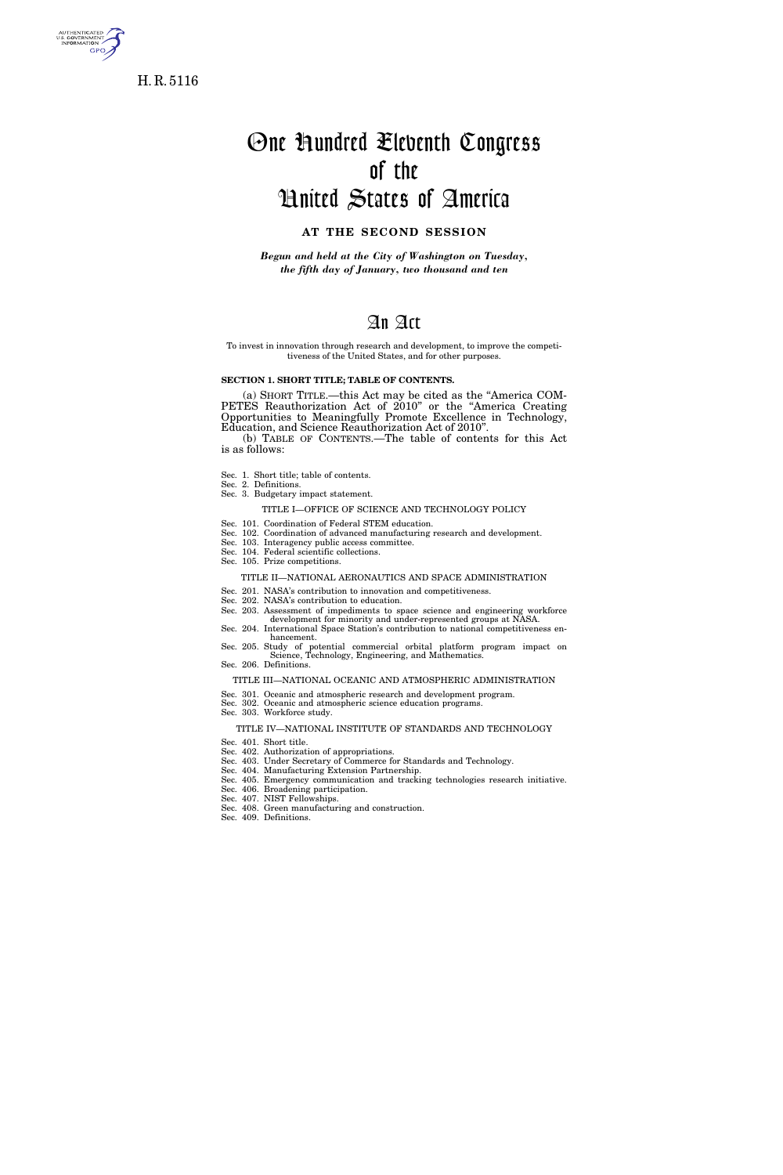

H. R. 5116

# One Hundred Eleventh Congress of the United States of America

### **AT THE SECOND SESSION**

*Begun and held at the City of Washington on Tuesday, the fifth day of January, two thousand and ten* 

## An Act

To invest in innovation through research and development, to improve the competitiveness of the United States, and for other purposes.

#### **SECTION 1. SHORT TITLE; TABLE OF CONTENTS.**

(a) SHORT TITLE.—this Act may be cited as the ''America COM-PETES Reauthorization Act of 2010" or the "America Creating Opportunities to Meaningfully Promote Excellence in Technology, Education, and Science Reauthorization Act of 2010''.

(b) TABLE OF CONTENTS.—The table of contents for this Act is as follows:

- Sec. 1. Short title; table of contents.
- Sec. 2. Definitions. Sec. 3. Budgetary impact statement.
	- - TITLE I—OFFICE OF SCIENCE AND TECHNOLOGY POLICY
- Sec. 101. Coordination of Federal STEM education.
- Sec. 102. Coordination of advanced manufacturing research and development.
- Sec. 103. Interagency public access committee.
- Sec. 104. Federal scientific collections. Sec. 105. Prize competitions.

#### TITLE II—NATIONAL AERONAUTICS AND SPACE ADMINISTRATION

- Sec. 201. NASA's contribution to innovation and competitiveness.
- Sec. 202. NASA's contribution to education.
- Sec. 203. Assessment of impediments to space science and engineering workforce development for minority and under-represented groups at NASA. Sec. 204. International Space Station's contribution to national competitiveness en-
- hancement.
- Sec. 205. Study of potential commercial orbital platform program impact on Science, Technology, Engineering, and Mathematics. Sec. 206. Definitions.
	- TITLE III—NATIONAL OCEANIC AND ATMOSPHERIC ADMINISTRATION
- Sec. 301. Oceanic and atmospheric research and development program.
- Sec. 302. Oceanic and atmospheric science education programs.

### Sec. 303. Workforce study.

### TITLE IV—NATIONAL INSTITUTE OF STANDARDS AND TECHNOLOGY

- Sec. 401. Short title.
- Sec. 402. Authorization of appropriations. Sec. 403. Under Secretary of Commerce for Standards and Technology.
- Sec. 404. Manufacturing Extension Partnership.
- Sec. 405. Emergency communication and tracking technologies research initiative.
- Sec. 406. Broadening participation.
- Sec. 407. NIST Fellowships. Sec. 408. Green manufacturing and construction.
- Sec. 409. Definitions.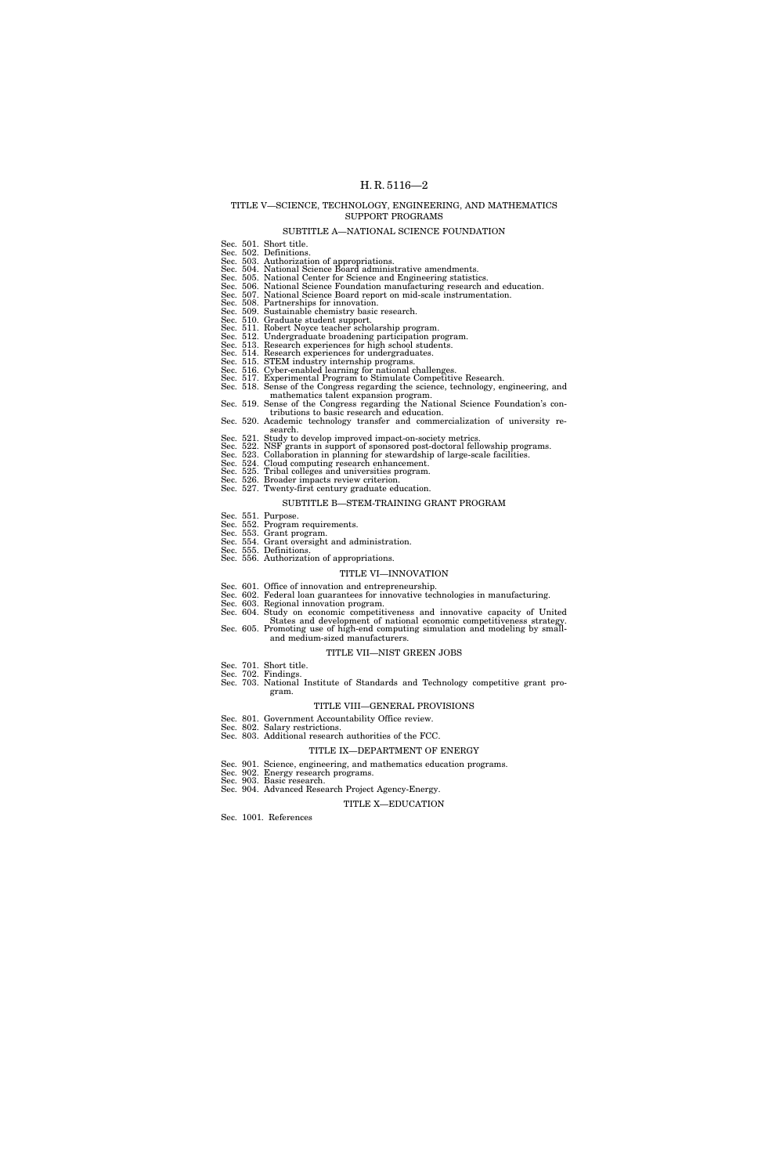#### TITLE V—SCIENCE, TECHNOLOGY, ENGINEERING, AND MATHEMATICS SUPPORT PROGRAMS

#### SUBTITLE A—NATIONAL SCIENCE FOUNDATION

|  | Sec. 501. Short title.                                                              |
|--|-------------------------------------------------------------------------------------|
|  | Sec. 502. Definitions.                                                              |
|  | Sec. 503. Authorization of appropriations.                                          |
|  | Sec. 504. National Science Board administrative amendments.                         |
|  | Sec. 505. National Center for Science and Engineering statistics.                   |
|  | Sec. 506. National Science Foundation manufacturing research and education.         |
|  | Sec. 507. National Science Board report on mid-scale instrumentation.               |
|  | Sec. 508. Partnerships for innovation.                                              |
|  | Sec. 509. Sustainable chemistry basic research.                                     |
|  | Sec. 510. Graduate student support.                                                 |
|  | Sec. 511. Robert Noyce teacher scholarship program.                                 |
|  | Sec. 512. Undergraduate broadening participation program.                           |
|  | Sec. 513. Research experiences for high school students.                            |
|  | Sec. 514. Research experiences for undergraduates.                                  |
|  | Sec. 515. STEM industry internship programs.                                        |
|  | Sec. 516. Cyber-enabled learning for national challenges.                           |
|  | Sec. 517. Experimental Program to Stimulate Competitive Research.                   |
|  | Sec. 518. Sense of the Congress regarding the science, technology, engineering, and |
|  |                                                                                     |
|  | mathematics talent expansion program.                                               |
|  | Sec. 519. Sense of the Congress regarding the National Science Foundation's con-    |
|  | tributions to basic research and education.                                         |
|  | Sec. 520. Academic technology transfer and commercialization of university re-      |
|  | search.                                                                             |
|  | Sec. 521. Study to develop improved impact-on-society metrics.                      |
|  | Sec. 522. NSF grants in support of sponsored post-doctoral fellowship programs.     |
|  | Sec. 523. Collaboration in planning for stewardship of large-scale facilities.      |
|  | Sec. 524. Cloud computing research enhancement.                                     |
|  | Sec. 525. Tribal colleges and universities program.                                 |
|  | Sec. 526. Broader impacts review criterion.                                         |
|  | Sec. 527. Twenty-first century graduate education.                                  |
|  | SUBTITLE B—STEM-TRAINING GRANT PROGRAM                                              |
|  | Sec. 551. Purpose.                                                                  |
|  | Sec. 552. Program requirements.                                                     |
|  | Sec. 553. Grant program.                                                            |
|  | Sec. 554. Grant oversight and administration.                                       |
|  | Sec. 555. Definitions.                                                              |
|  | Sec. 556. Authorization of appropriations.                                          |
|  |                                                                                     |
|  | TITLE VI—INNOVATION                                                                 |
|  | Sec. 601. Office of innovation and entrepreneurship.                                |
|  | Sec. 602. Federal loan guarantees for innovative technologies in manufacturing.     |
|  | Sec. 603. Regional innovation program.                                              |
|  | Sec. 604. Study on economic competitiveness and innovative capacity of United       |
|  | States and development of national economic competitiveness strategy.               |
|  | Sec. 605. Promoting use of high-end computing simulation and modeling by small-     |
|  | and medium-sized manufacturers.                                                     |
|  | TITLE VII—NIST GREEN JOBS                                                           |
|  | Sec. 701. Short title.                                                              |
|  | Sec. 702. Findings.                                                                 |
|  | Sec. 703. National Institute of Standards and Technology competitive grant pro-     |
|  |                                                                                     |

- - gram.
		- TITLE VIII—GENERAL PROVISIONS
		-
- Sec. 801. Government Accountability Office review. Sec. 802. Salary restrictions. Sec. 803. Additional research authorities of the FCC.
	- - TITLE IX—DEPARTMENT OF ENERGY
- Sec. 901. Science, engineering, and mathematics education programs. Sec. 902. Energy research programs. Sec. 903. Basic research. Sec. 904. Advanced Research Project Agency-Energy.
- 
- 
- TITLE X—EDUCATION

Sec. 1001. References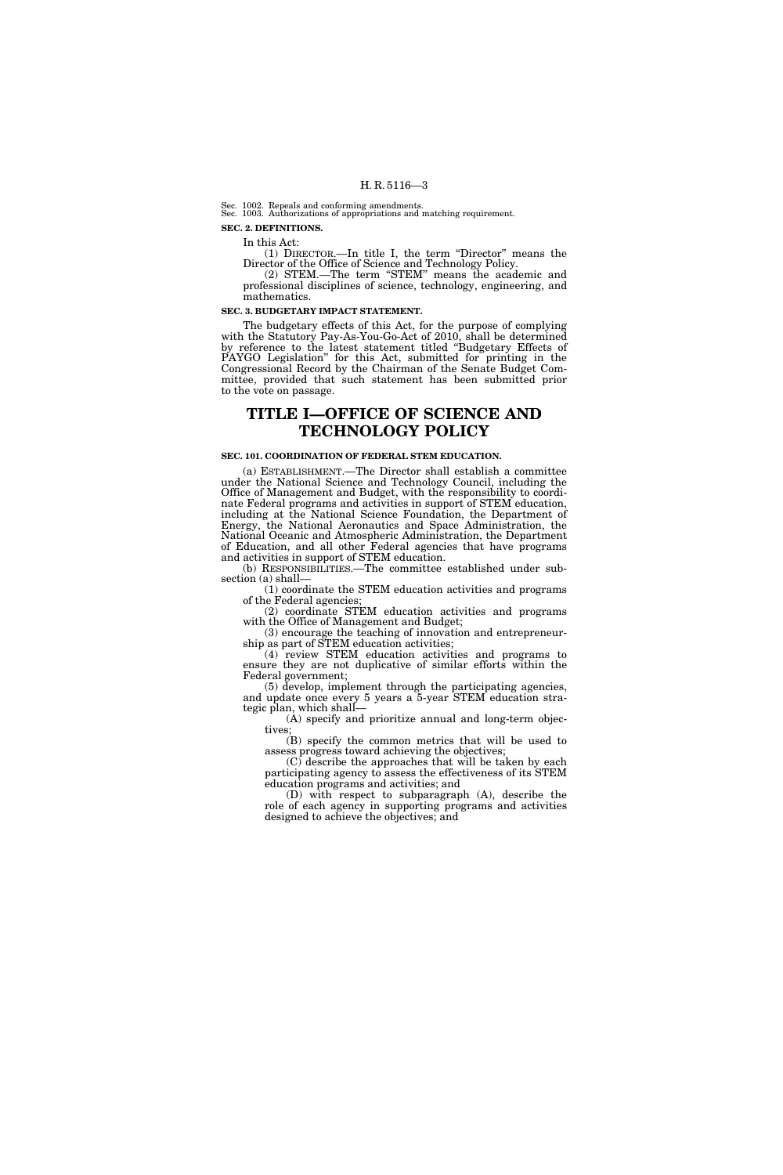Sec. 1002. Repeals and conforming amendments.

Sec. 1003. Authorizations of appropriations and matching requirement. **SEC. 2. DEFINITIONS.** 

In this Act:

(1) DIRECTOR.—In title I, the term ''Director'' means the Director of the Office of Science and Technology Policy.

(2) STEM.—The term ''STEM'' means the academic and professional disciplines of science, technology, engineering, and mathematics.

#### **SEC. 3. BUDGETARY IMPACT STATEMENT.**

The budgetary effects of this Act, for the purpose of complying with the Statutory Pay-As-You-Go-Act of 2010, shall be determined by reference to the latest statement titled ''Budgetary Effects of PAYGO Legislation'' for this Act, submitted for printing in the Congressional Record by the Chairman of the Senate Budget Committee, provided that such statement has been submitted prior to the vote on passage.

### **TITLE I—OFFICE OF SCIENCE AND TECHNOLOGY POLICY**

#### **SEC. 101. COORDINATION OF FEDERAL STEM EDUCATION.**

(a) ESTABLISHMENT.—The Director shall establish a committee under the National Science and Technology Council, including the Office of Management and Budget, with the responsibility to coordinate Federal programs and activities in support of STEM education, including at the National Science Foundation, the Department of Energy, the National Aeronautics and Space Administration, the National Oceanic and Atmospheric Administration, the Department of Education, and all other Federal agencies that have programs and activities in support of STEM education.

(b) RESPONSIBILITIES.—The committee established under subsection (a) shall—

(1) coordinate the STEM education activities and programs of the Federal agencies;

(2) coordinate STEM education activities and programs with the Office of Management and Budget; (3) encourage the teaching of innovation and entrepreneur-

ship as part of STEM education activities;

(4) review STEM education activities and programs to ensure they are not duplicative of similar efforts within the Federal government;

(5) develop, implement through the participating agencies, and update once every 5 years a 5-year STEM education strategic plan, which shall—

(A) specify and prioritize annual and long-term objectives;

(B) specify the common metrics that will be used to assess progress toward achieving the objectives;

(C) describe the approaches that will be taken by each participating agency to assess the effectiveness of its STEM education programs and activities; and

(D) with respect to subparagraph (A), describe the role of each agency in supporting programs and activities designed to achieve the objectives; and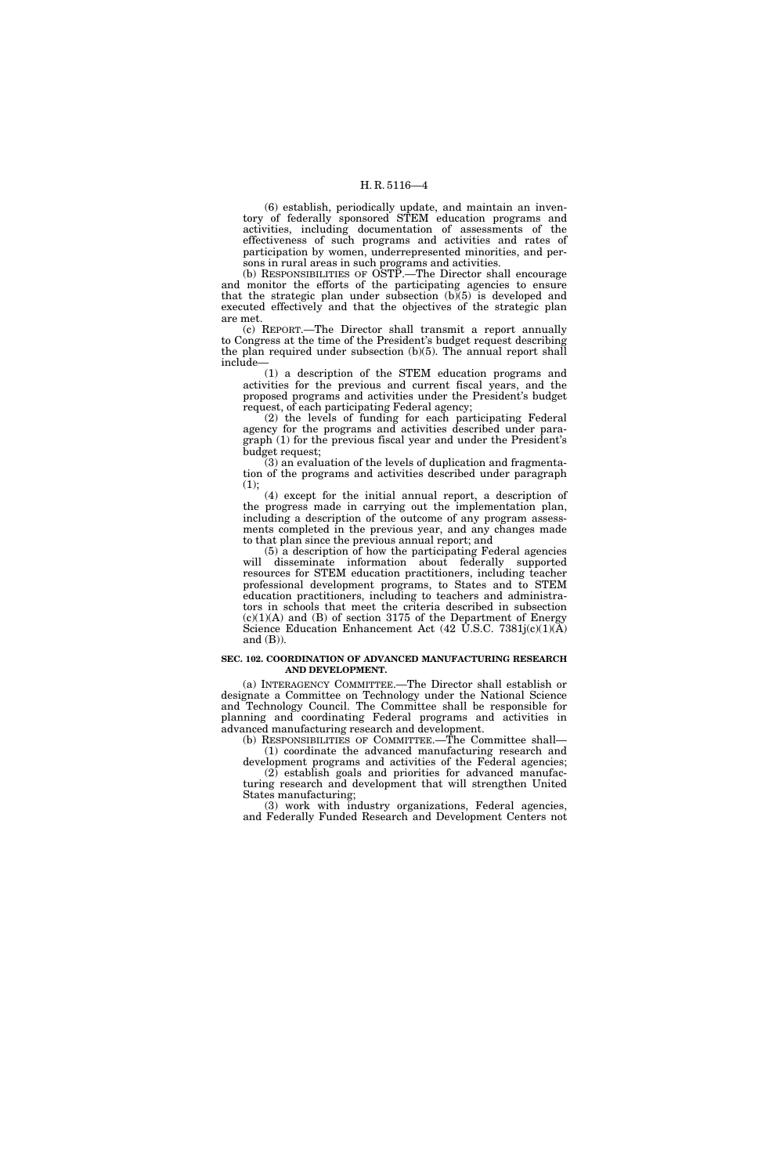(6) establish, periodically update, and maintain an inventory of federally sponsored STEM education programs and activities, including documentation of assessments of the effectiveness of such programs and activities and rates of participation by women, underrepresented minorities, and persons in rural areas in such programs and activities.

(b) RESPONSIBILITIES OF OSTP.—The Director shall encourage and monitor the efforts of the participating agencies to ensure that the strategic plan under subsection  $(b)(5)$  is developed and executed effectively and that the objectives of the strategic plan are met.

(c) REPORT.—The Director shall transmit a report annually to Congress at the time of the President's budget request describing the plan required under subsection (b)(5). The annual report shall include—

(1) a description of the STEM education programs and activities for the previous and current fiscal years, and the proposed programs and activities under the President's budget request, of each participating Federal agency;

(2) the levels of funding for each participating Federal agency for the programs and activities described under paragraph (1) for the previous fiscal year and under the President's budget request;

(3) an evaluation of the levels of duplication and fragmentation of the programs and activities described under paragraph (1);

(4) except for the initial annual report, a description of the progress made in carrying out the implementation plan, including a description of the outcome of any program assessments completed in the previous year, and any changes made to that plan since the previous annual report; and

(5) a description of how the participating Federal agencies will disseminate information about federally supported resources for STEM education practitioners, including teacher professional development programs, to States and to STEM education practitioners, including to teachers and administrators in schools that meet the criteria described in subsection  $(c)(1)(A)$  and  $(B)$  of section 3175 of the Department of Energy Science Education Enhancement Act (42 U.S.C. 7381j(c)(1)(A) and  $(B)$ ).

#### **SEC. 102. COORDINATION OF ADVANCED MANUFACTURING RESEARCH AND DEVELOPMENT.**

(a) INTERAGENCY COMMITTEE.—The Director shall establish or designate a Committee on Technology under the National Science and Technology Council. The Committee shall be responsible for planning and coordinating Federal programs and activities in advanced manufacturing research and development.

(b) RESPONSIBILITIES OF COMMITTEE.—The Committee shall— (1) coordinate the advanced manufacturing research and

development programs and activities of the Federal agencies; (2) establish goals and priorities for advanced manufacturing research and development that will strengthen United States manufacturing;

(3) work with industry organizations, Federal agencies, and Federally Funded Research and Development Centers not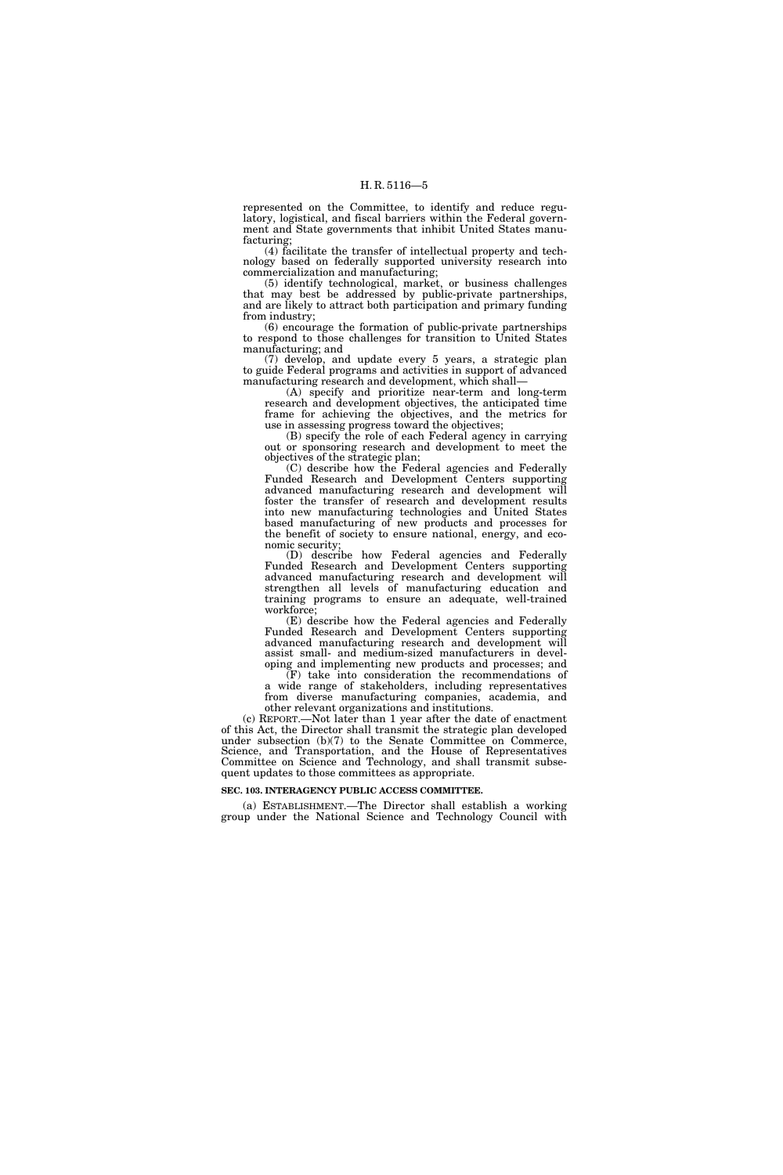represented on the Committee, to identify and reduce regulatory, logistical, and fiscal barriers within the Federal government and State governments that inhibit United States manufacturing;

(4) facilitate the transfer of intellectual property and technology based on federally supported university research into commercialization and manufacturing;

(5) identify technological, market, or business challenges that may best be addressed by public-private partnerships, and are likely to attract both participation and primary funding from industry;

(6) encourage the formation of public-private partnerships to respond to those challenges for transition to United States manufacturing; and

(7) develop, and update every 5 years, a strategic plan to guide Federal programs and activities in support of advanced manufacturing research and development, which shall—

(A) specify and prioritize near-term and long-term research and development objectives, the anticipated time frame for achieving the objectives, and the metrics for use in assessing progress toward the objectives;

(B) specify the role of each Federal agency in carrying out or sponsoring research and development to meet the objectives of the strategic plan;

(C) describe how the Federal agencies and Federally Funded Research and Development Centers supporting advanced manufacturing research and development will foster the transfer of research and development results into new manufacturing technologies and United States based manufacturing of new products and processes for the benefit of society to ensure national, energy, and economic security;

(D) describe how Federal agencies and Federally Funded Research and Development Centers supporting advanced manufacturing research and development will strengthen all levels of manufacturing education and training programs to ensure an adequate, well-trained workforce;

(E) describe how the Federal agencies and Federally Funded Research and Development Centers supporting advanced manufacturing research and development will assist small- and medium-sized manufacturers in developing and implementing new products and processes; and

(F) take into consideration the recommendations of a wide range of stakeholders, including representatives from diverse manufacturing companies, academia, and other relevant organizations and institutions.

(c) REPORT.—Not later than 1 year after the date of enactment of this Act, the Director shall transmit the strategic plan developed under subsection (b)(7) to the Senate Committee on Commerce, Science, and Transportation, and the House of Representatives Committee on Science and Technology, and shall transmit subsequent updates to those committees as appropriate.

#### **SEC. 103. INTERAGENCY PUBLIC ACCESS COMMITTEE.**

(a) ESTABLISHMENT.—The Director shall establish a working group under the National Science and Technology Council with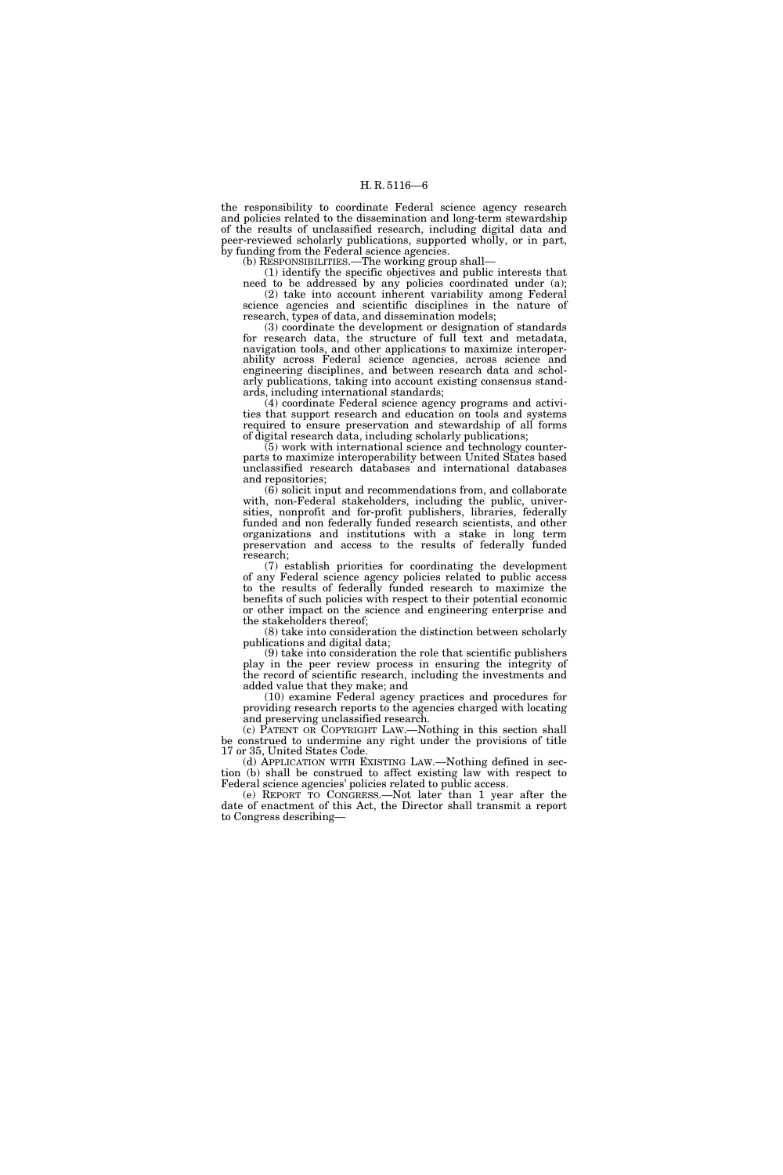the responsibility to coordinate Federal science agency research and policies related to the dissemination and long-term stewardship of the results of unclassified research, including digital data and peer-reviewed scholarly publications, supported wholly, or in part, by funding from the Federal science agencies.

(b) RESPONSIBILITIES.—The working group shall—

(1) identify the specific objectives and public interests that need to be addressed by any policies coordinated under (a); (2) take into account inherent variability among Federal science agencies and scientific disciplines in the nature of research, types of data, and dissemination models;

(3) coordinate the development or designation of standards for research data, the structure of full text and metadata, navigation tools, and other applications to maximize interoperability across Federal science agencies, across science and engineering disciplines, and between research data and scholarly publications, taking into account existing consensus standards, including international standards;

(4) coordinate Federal science agency programs and activities that support research and education on tools and systems required to ensure preservation and stewardship of all forms of digital research data, including scholarly publications;

(5) work with international science and technology counterparts to maximize interoperability between United States based unclassified research databases and international databases and repositories;

 $(6)$  solicit input and recommendations from, and collaborate with, non-Federal stakeholders, including the public, universities, nonprofit and for-profit publishers, libraries, federally funded and non federally funded research scientists, and other organizations and institutions with a stake in long term preservation and access to the results of federally funded research;

(7) establish priorities for coordinating the development of any Federal science agency policies related to public access to the results of federally funded research to maximize the benefits of such policies with respect to their potential economic or other impact on the science and engineering enterprise and the stakeholders thereof;

(8) take into consideration the distinction between scholarly publications and digital data;

(9) take into consideration the role that scientific publishers play in the peer review process in ensuring the integrity of the record of scientific research, including the investments and added value that they make; and

(10) examine Federal agency practices and procedures for providing research reports to the agencies charged with locating and preserving unclassified research.

(c) PATENT OR COPYRIGHT LAW.—Nothing in this section shall be construed to undermine any right under the provisions of title 17 or 35, United States Code.

(d) APPLICATION WITH EXISTING LAW.—Nothing defined in section (b) shall be construed to affect existing law with respect to Federal science agencies' policies related to public access.

(e) REPORT TO CONGRESS.—Not later than 1 year after the date of enactment of this Act, the Director shall transmit a report to Congress describing—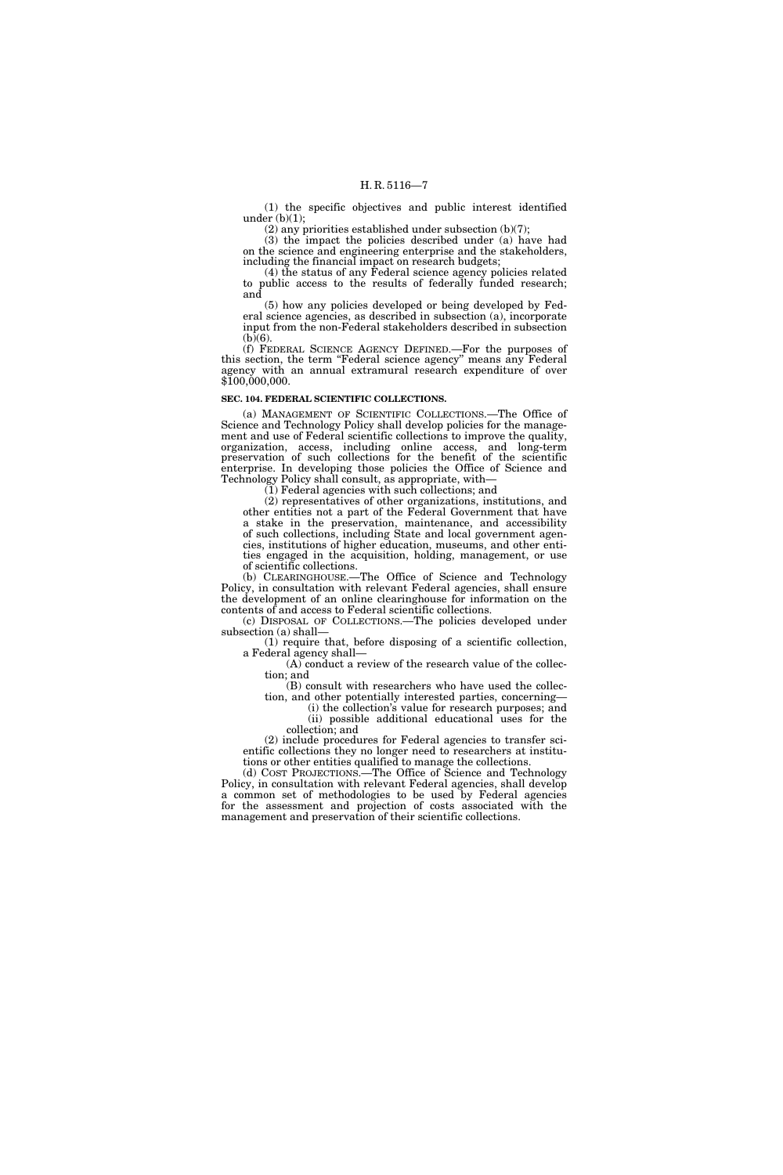(1) the specific objectives and public interest identified under  $(b)(1)$ ;

(2) any priorities established under subsection (b)(7);

(3) the impact the policies described under (a) have had on the science and engineering enterprise and the stakeholders, including the financial impact on research budgets;

(4) the status of any Federal science agency policies related to public access to the results of federally funded research; and

(5) how any policies developed or being developed by Federal science agencies, as described in subsection (a), incorporate input from the non-Federal stakeholders described in subsection  $(b)(6)$ .

(f) FEDERAL SCIENCE AGENCY DEFINED.—For the purposes of this section, the term "Federal science agency" means any Federal agency with an annual extramural research expenditure of over \$100,000,000.

#### **SEC. 104. FEDERAL SCIENTIFIC COLLECTIONS.**

(a) MANAGEMENT OF SCIENTIFIC COLLECTIONS.—The Office of Science and Technology Policy shall develop policies for the management and use of Federal scientific collections to improve the quality, organization, access, including online access, and long-term preservation of such collections for the benefit of the scientific enterprise. In developing those policies the Office of Science and Technology Policy shall consult, as appropriate, with—

 $(1)$  Federal agencies with such collections; and

(2) representatives of other organizations, institutions, and other entities not a part of the Federal Government that have a stake in the preservation, maintenance, and accessibility of such collections, including State and local government agencies, institutions of higher education, museums, and other entities engaged in the acquisition, holding, management, or use of scientific collections.

(b) CLEARINGHOUSE.—The Office of Science and Technology Policy, in consultation with relevant Federal agencies, shall ensure the development of an online clearinghouse for information on the contents of and access to Federal scientific collections.

(c) DISPOSAL OF COLLECTIONS.—The policies developed under subsection (a) shall—

(1) require that, before disposing of a scientific collection, a Federal agency shall—

(A) conduct a review of the research value of the collection; and

(B) consult with researchers who have used the collection, and other potentially interested parties, concerning—

(i) the collection's value for research purposes; and (ii) possible additional educational uses for the collection; and

(2) include procedures for Federal agencies to transfer scientific collections they no longer need to researchers at institutions or other entities qualified to manage the collections.

(d) COST PROJECTIONS.—The Office of Science and Technology Policy, in consultation with relevant Federal agencies, shall develop a common set of methodologies to be used by Federal agencies for the assessment and projection of costs associated with the management and preservation of their scientific collections.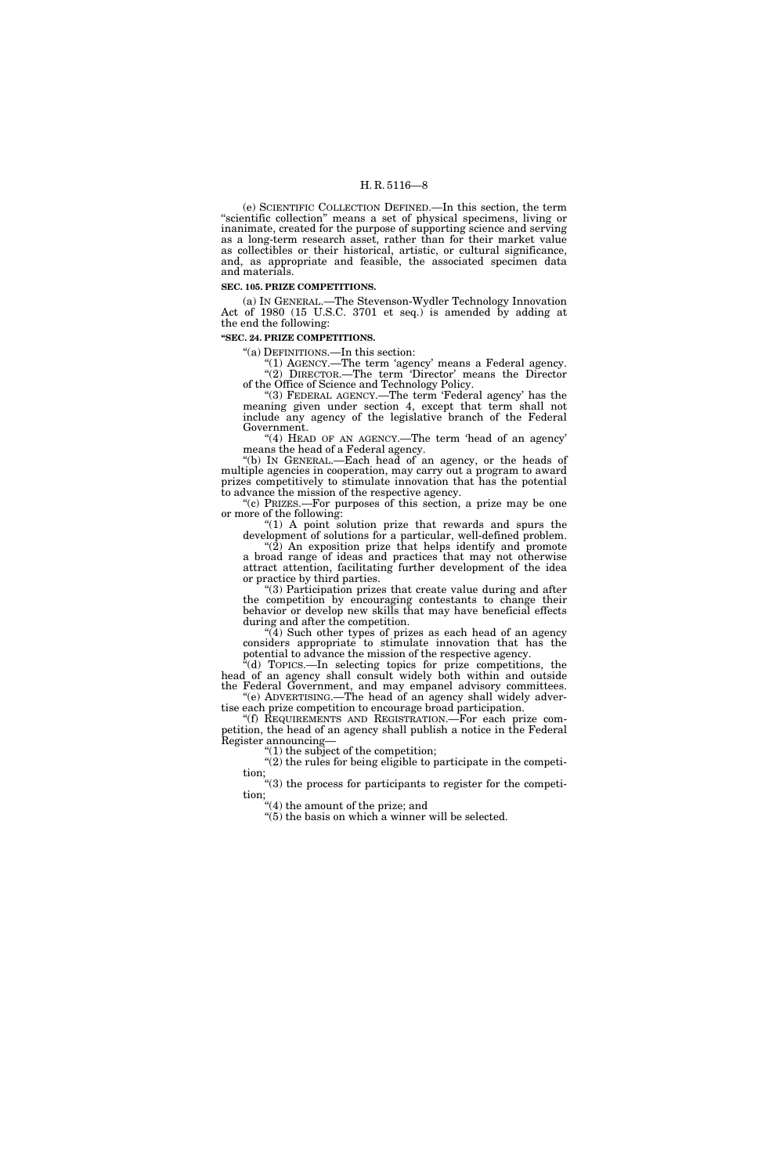(e) SCIENTIFIC COLLECTION DEFINED.—In this section, the term ''scientific collection'' means a set of physical specimens, living or inanimate, created for the purpose of supporting science and serving as a long-term research asset, rather than for their market value as collectibles or their historical, artistic, or cultural significance, and, as appropriate and feasible, the associated specimen data and materials.

#### **SEC. 105. PRIZE COMPETITIONS.**

(a) IN GENERAL.—The Stevenson-Wydler Technology Innovation Act of 1980 (15 U.S.C. 3701 et seq.) is amended by adding at the end the following:

#### **''SEC. 24. PRIZE COMPETITIONS.**

''(a) DEFINITIONS.—In this section:

"(1) AGENCY.—The term 'agency' means a Federal agency. "(2) DIRECTOR.—The term 'Director' means the Director of the Office of Science and Technology Policy.

"(3) FEDERAL AGENCY.—The term 'Federal agency' has the meaning given under section 4, except that term shall not include any agency of the legislative branch of the Federal Government.

''(4) HEAD OF AN AGENCY.—The term 'head of an agency' means the head of a Federal agency.

''(b) IN GENERAL.—Each head of an agency, or the heads of multiple agencies in cooperation, may carry out a program to award prizes competitively to stimulate innovation that has the potential to advance the mission of the respective agency.

''(c) PRIZES.—For purposes of this section, a prize may be one or more of the following:

" $(1)$  A point solution prize that rewards and spurs the development of solutions for a particular, well-defined problem. " $(2)$  An exposition prize that helps identify and promote

a broad range of ideas and practices that may not otherwise attract attention, facilitating further development of the idea or practice by third parties.

(3) Participation prizes that create value during and after the competition by encouraging contestants to change their behavior or develop new skills that may have beneficial effects during and after the competition.

"(4) Such other types of prizes as each head of an agency considers appropriate to stimulate innovation that has the  $\frac{1}{2}$  or  $\frac{1}{2}$  or  $\frac{1}{2}$  or  $\frac{1}{2}$  or  $\frac{1}{2}$  or  $\frac{1}{2}$  or  $\frac{1}{2}$  or  $\frac{1}{2}$  or  $\frac{1}{2}$  or  $\frac{1}{2}$  or  $\frac{1}{2}$  or  $\frac{1}{2}$  or  $\frac{1}{2}$  or  $\frac{1}{2}$  or  $\frac{1}{2}$  or  $\frac{1}{2}$  or  $\frac{1}{2}$  or

 $*(d)$  TOPICS.—In selecting topics for prize competitions, the head of an agency shall consult widely both within and outside the Federal Government, and may empanel advisory committees. ''(e) ADVERTISING.—The head of an agency shall widely adver-

tise each prize competition to encourage broad participation. ''(f) REQUIREMENTS AND REGISTRATION.—For each prize competition, the head of an agency shall publish a notice in the Federal Register announcing—

 $'(1)$  the subject of the competition;

 $''(2)$  the rules for being eligible to participate in the competition;

''(3) the process for participants to register for the competition;

''(4) the amount of the prize; and

 $"(5)$  the basis on which a winner will be selected.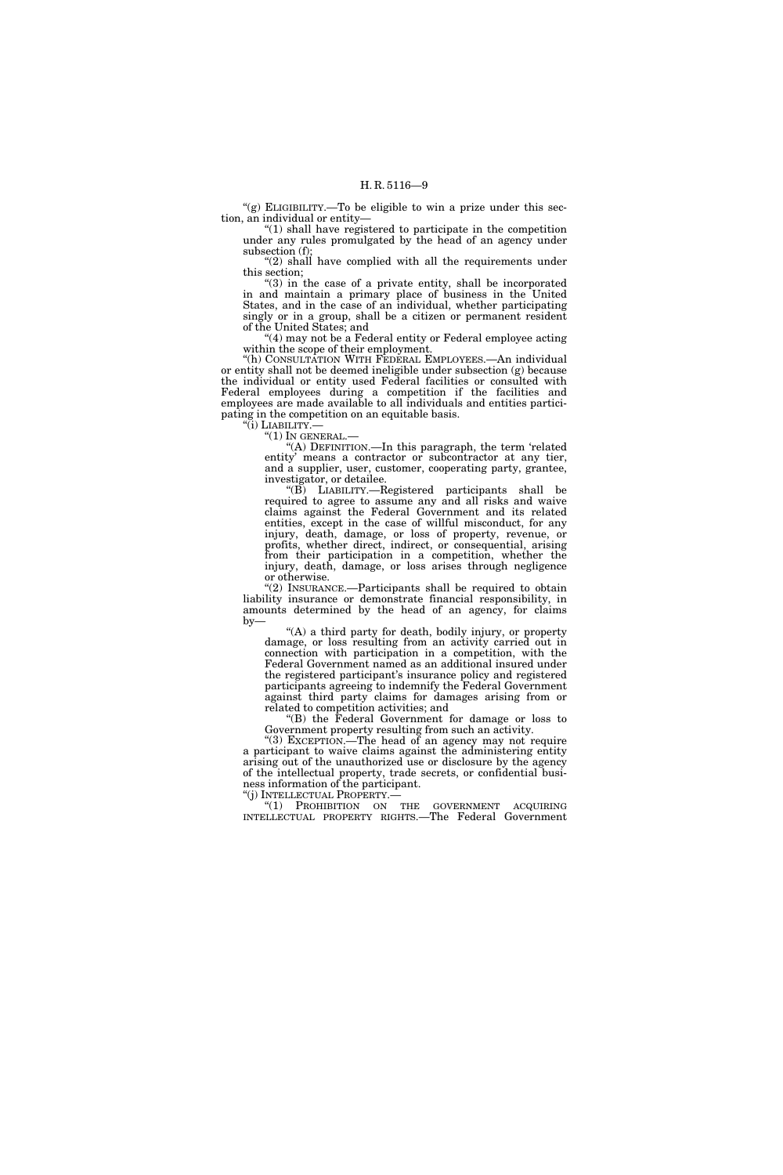"(g) ELIGIBILITY.—To be eligible to win a prize under this section, an individual or entity—

 $''(1)$  shall have registered to participate in the competition under any rules promulgated by the head of an agency under subsection (f);

" $(2)$  shall have complied with all the requirements under this section;

"(3) in the case of a private entity, shall be incorporated in and maintain a primary place of business in the United States, and in the case of an individual, whether participating singly or in a group, shall be a citizen or permanent resident of the United States; and

"(4) may not be a Federal entity or Federal employee acting within the scope of their employment.

''(h) CONSULTATION WITH FEDERAL EMPLOYEES.—An individual or entity shall not be deemed ineligible under subsection (g) because the individual or entity used Federal facilities or consulted with Federal employees during a competition if the facilities and employees are made available to all individuals and entities participating in the competition on an equitable basis. ''(i) LIABILITY.—

 $''(1)$  In general.—

''(A) DEFINITION.—In this paragraph, the term 'related entity' means a contractor or subcontractor at any tier, and a supplier, user, customer, cooperating party, grantee, investigator, or detailee.

''(B) LIABILITY.—Registered participants shall be required to agree to assume any and all risks and waive claims against the Federal Government and its related entities, except in the case of willful misconduct, for any injury, death, damage, or loss of property, revenue, or profits, whether direct, indirect, or consequential, arising from their participation in a competition, whether the injury, death, damage, or loss arises through negligence or otherwise.

" $(2)$  INSURANCE.—Participants shall be required to obtain liability insurance or demonstrate financial responsibility, in amounts determined by the head of an agency, for claims  $by-$ 

''(A) a third party for death, bodily injury, or property damage, or loss resulting from an activity carried out in connection with participation in a competition, with the Federal Government named as an additional insured under the registered participant's insurance policy and registered participants agreeing to indemnify the Federal Government against third party claims for damages arising from or related to competition activities; and

''(B) the Federal Government for damage or loss to Government property resulting from such an activity.

"(3) EXCEPTION.—The head of an agency may not require a participant to waive claims against the administering entity arising out of the unauthorized use or disclosure by the agency of the intellectual property, trade secrets, or confidential business information of the participant.

''(j) INTELLECTUAL PROPERTY.— ''(1) PROHIBITION ON THE GOVERNMENT ACQUIRING INTELLECTUAL PROPERTY RIGHTS.—The Federal Government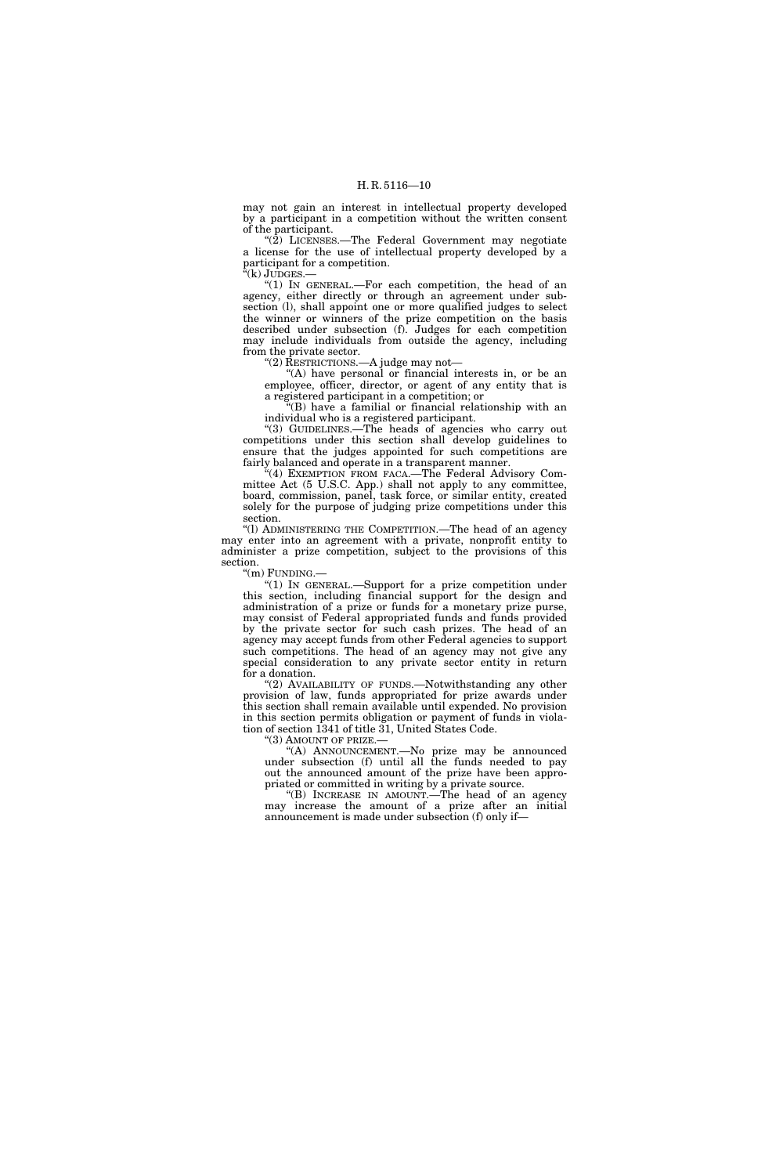may not gain an interest in intellectual property developed by a participant in a competition without the written consent of the participant.

" $(2)$  LICENSES.—The Federal Government may negotiate a license for the use of intellectual property developed by a participant for a competition.

''(k) JUDGES.—

''(1) IN GENERAL.—For each competition, the head of an agency, either directly or through an agreement under subsection (l), shall appoint one or more qualified judges to select the winner or winners of the prize competition on the basis described under subsection (f). Judges for each competition may include individuals from outside the agency, including from the private sector.

''(2) RESTRICTIONS.—A judge may not—

''(A) have personal or financial interests in, or be an employee, officer, director, or agent of any entity that is a registered participant in a competition; or

''(B) have a familial or financial relationship with an individual who is a registered participant.

"(3) GUIDELINES.-The heads of agencies who carry out competitions under this section shall develop guidelines to ensure that the judges appointed for such competitions are fairly balanced and operate in a transparent manner.

''(4) EXEMPTION FROM FACA.—The Federal Advisory Committee Act (5 U.S.C. App.) shall not apply to any committee, board, commission, panel, task force, or similar entity, created solely for the purpose of judging prize competitions under this section.

''(l) ADMINISTERING THE COMPETITION.—The head of an agency may enter into an agreement with a private, nonprofit entity to administer a prize competition, subject to the provisions of this section.

''(m) FUNDING.—

"(1) IN GENERAL.—Support for a prize competition under this section, including financial support for the design and administration of a prize or funds for a monetary prize purse, may consist of Federal appropriated funds and funds provided by the private sector for such cash prizes. The head of an agency may accept funds from other Federal agencies to support such competitions. The head of an agency may not give any special consideration to any private sector entity in return for a donation.

 $(2)$  AVAILABILITY OF FUNDS.—Notwithstanding any other provision of law, funds appropriated for prize awards under this section shall remain available until expended. No provision in this section permits obligation or payment of funds in violation of section 1341 of title 31, United States Code.

''(3) AMOUNT OF PRIZE.—

''(A) ANNOUNCEMENT.—No prize may be announced under subsection (f) until all the funds needed to pay out the announced amount of the prize have been appropriated or committed in writing by a private source.

''(B) INCREASE IN AMOUNT.—The head of an agency may increase the amount of a prize after an initial announcement is made under subsection (f) only if—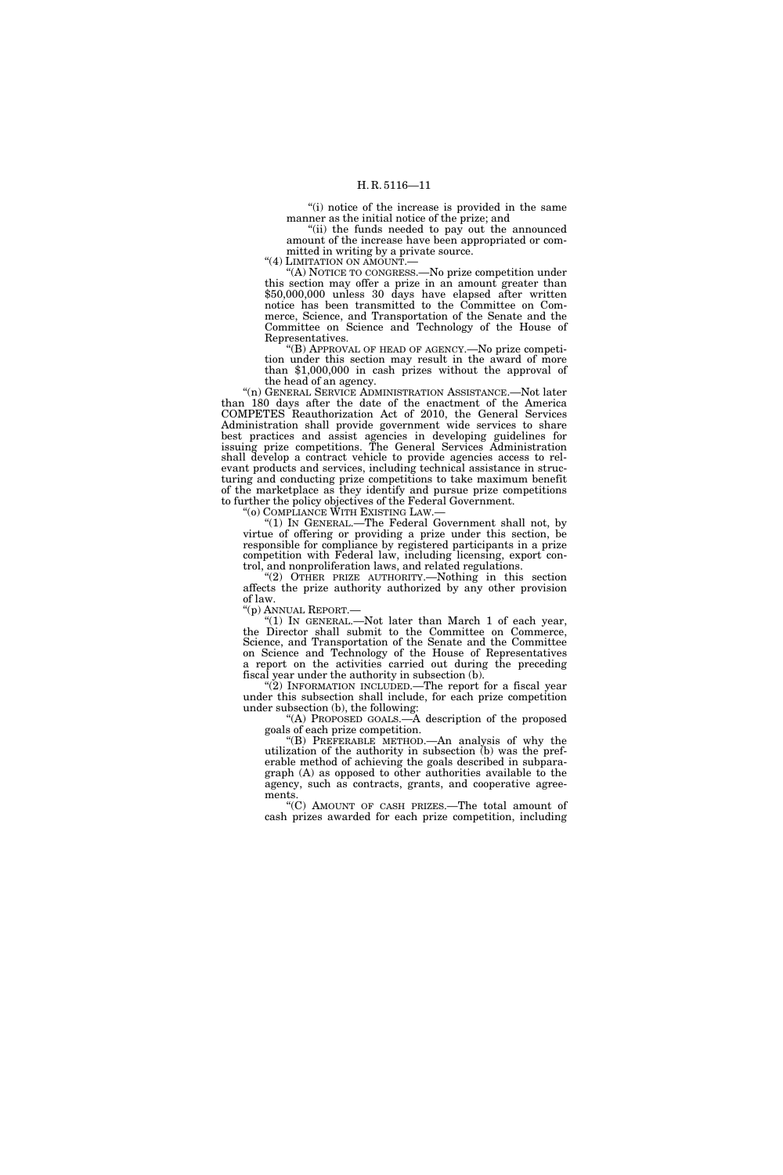"(i) notice of the increase is provided in the same manner as the initial notice of the prize; and

"(ii) the funds needed to pay out the announced amount of the increase have been appropriated or committed in writing by a private source.

"(4) LIMITATION ON AMOUNT.

''(A) NOTICE TO CONGRESS.—No prize competition under this section may offer a prize in an amount greater than \$50,000,000 unless 30 days have elapsed after written notice has been transmitted to the Committee on Commerce, Science, and Transportation of the Senate and the Committee on Science and Technology of the House of Representatives.

''(B) APPROVAL OF HEAD OF AGENCY.—No prize competition under this section may result in the award of more than \$1,000,000 in cash prizes without the approval of the head of an agency.

''(n) GENERAL SERVICE ADMINISTRATION ASSISTANCE.—Not later than 180 days after the date of the enactment of the America COMPETES Reauthorization Act of 2010, the General Services Administration shall provide government wide services to share best practices and assist agencies in developing guidelines for issuing prize competitions. The General Services Administration shall develop a contract vehicle to provide agencies access to relevant products and services, including technical assistance in structuring and conducting prize competitions to take maximum benefit of the marketplace as they identify and pursue prize competitions to further the policy objectives of the Federal Government.

''(o) COMPLIANCE WITH EXISTING LAW.—

''(1) IN GENERAL.—The Federal Government shall not, by virtue of offering or providing a prize under this section, be responsible for compliance by registered participants in a prize competition with Federal law, including licensing, export control, and nonproliferation laws, and related regulations.

"(2) OTHER PRIZE AUTHORITY.—Nothing in this section affects the prize authority authorized by any other provision of law.<br>"(p) ANNUAL REPORT.—

"(1) IN GENERAL.—Not later than March 1 of each year, the Director shall submit to the Committee on Commerce, Science, and Transportation of the Senate and the Committee on Science and Technology of the House of Representatives a report on the activities carried out during the preceding fiscal year under the authority in subsection (b).

" $(2)$  INFORMATION INCLUDED.—The report for a fiscal year under this subsection shall include, for each prize competition under subsection (b), the following:

''(A) PROPOSED GOALS.—A description of the proposed goals of each prize competition.

''(B) PREFERABLE METHOD.—An analysis of why the utilization of the authority in subsection (b) was the preferable method of achieving the goals described in subparagraph (A) as opposed to other authorities available to the agency, such as contracts, grants, and cooperative agreements.

''(C) AMOUNT OF CASH PRIZES.—The total amount of cash prizes awarded for each prize competition, including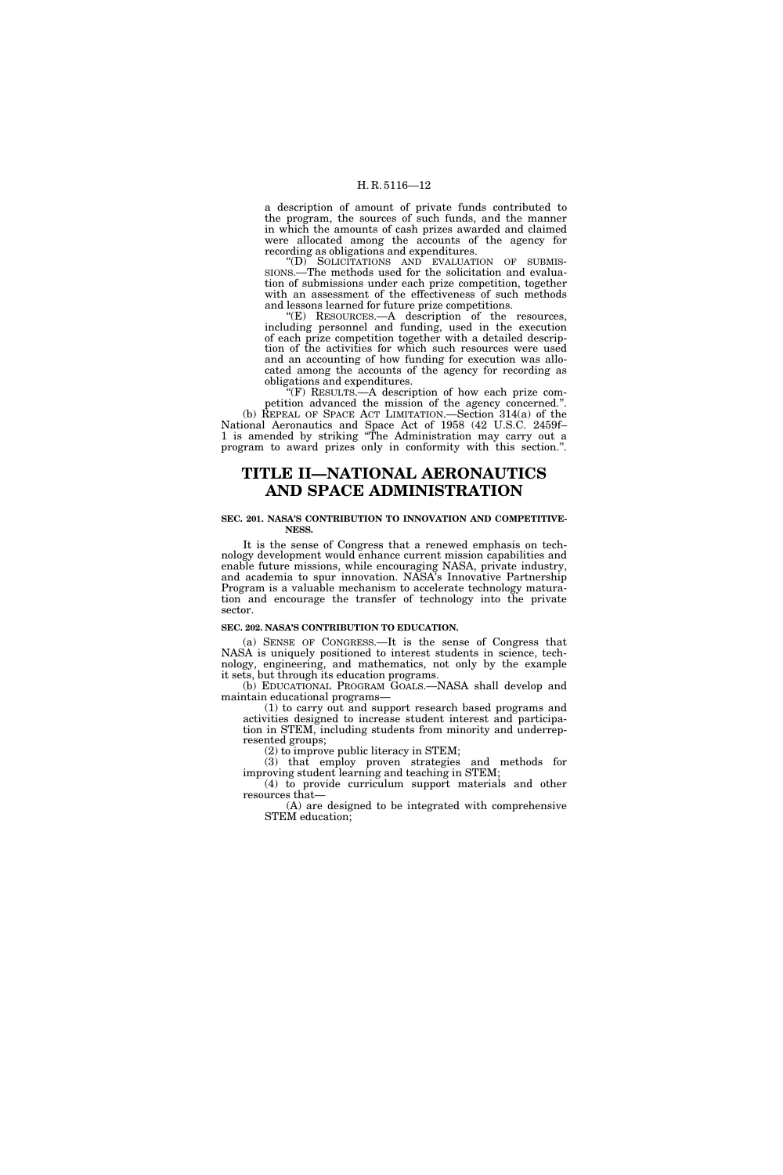a description of amount of private funds contributed to the program, the sources of such funds, and the manner in which the amounts of cash prizes awarded and claimed were allocated among the accounts of the agency for recording as obligations and expenditures.

''(D) SOLICITATIONS AND EVALUATION OF SUBMIS-SIONS.—The methods used for the solicitation and evaluation of submissions under each prize competition, together with an assessment of the effectiveness of such methods and lessons learned for future prize competitions.

''(E) RESOURCES.—A description of the resources, including personnel and funding, used in the execution of each prize competition together with a detailed description of the activities for which such resources were used and an accounting of how funding for execution was allocated among the accounts of the agency for recording as obligations and expenditures.

''(F) RESULTS.—A description of how each prize competition advanced the mission of the agency concerned.''. (b) REPEAL OF SPACE ACT LIMITATION.—Section 314(a) of the National Aeronautics and Space Act of 1958 (42 U.S.C. 2459f– 1 is amended by striking ''The Administration may carry out a program to award prizes only in conformity with this section.''.

### **TITLE II—NATIONAL AERONAUTICS AND SPACE ADMINISTRATION**

#### **SEC. 201. NASA'S CONTRIBUTION TO INNOVATION AND COMPETITIVE-NESS.**

It is the sense of Congress that a renewed emphasis on technology development would enhance current mission capabilities and enable future missions, while encouraging NASA, private industry, and academia to spur innovation. NASA's Innovative Partnership Program is a valuable mechanism to accelerate technology maturation and encourage the transfer of technology into the private sector.

#### **SEC. 202. NASA'S CONTRIBUTION TO EDUCATION.**

(a) SENSE OF CONGRESS.—It is the sense of Congress that NASA is uniquely positioned to interest students in science, technology, engineering, and mathematics, not only by the example it sets, but through its education programs.

(b) EDUCATIONAL PROGRAM GOALS.—NASA shall develop and maintain educational programs—

(1) to carry out and support research based programs and activities designed to increase student interest and participation in STEM, including students from minority and underrepresented groups;

(2) to improve public literacy in STEM;

(3) that employ proven strategies and methods for improving student learning and teaching in STEM;

(4) to provide curriculum support materials and other resources that—

(A) are designed to be integrated with comprehensive STEM education;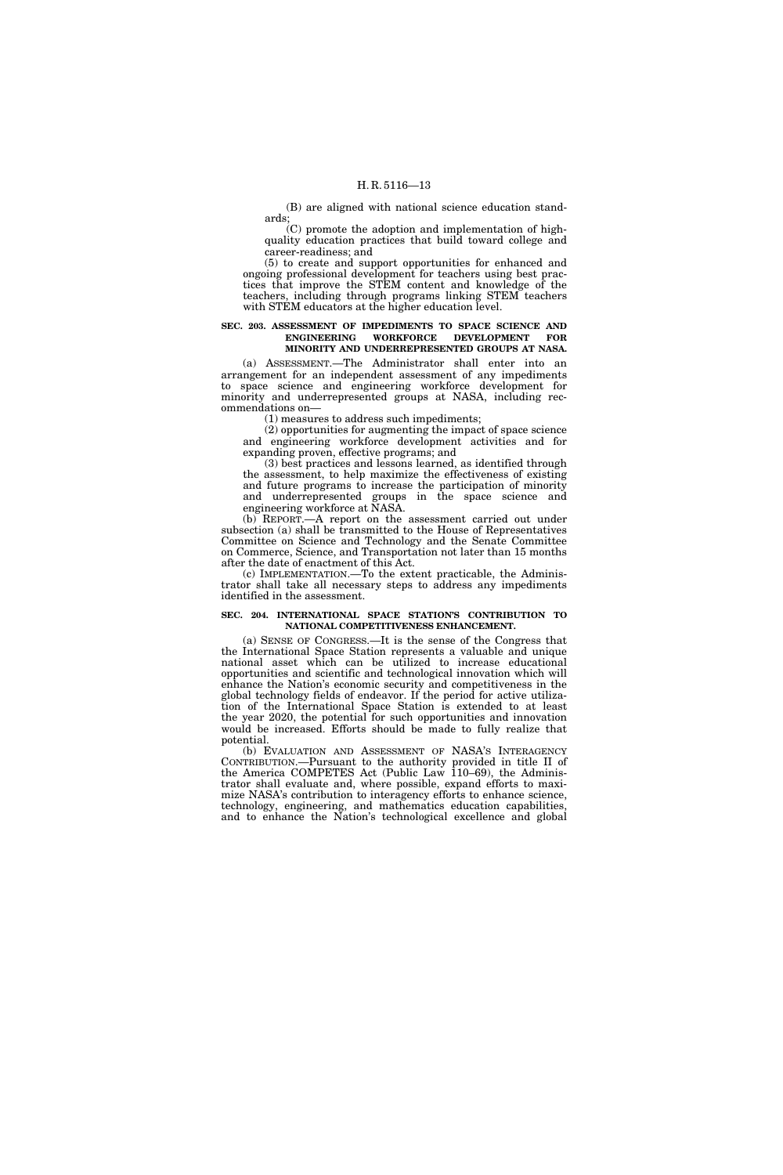(B) are aligned with national science education standards;

(C) promote the adoption and implementation of highquality education practices that build toward college and career-readiness; and

(5) to create and support opportunities for enhanced and ongoing professional development for teachers using best practices that improve the STEM content and knowledge of the teachers, including through programs linking STEM teachers with STEM educators at the higher education level.

#### **SEC. 203. ASSESSMENT OF IMPEDIMENTS TO SPACE SCIENCE AND ENGINEERING WORKFORCE DEVELOPMENT FOR MINORITY AND UNDERREPRESENTED GROUPS AT NASA.**

(a) ASSESSMENT.—The Administrator shall enter into an arrangement for an independent assessment of any impediments to space science and engineering workforce development for minority and underrepresented groups at NASA, including recommendations on—

(1) measures to address such impediments;

(2) opportunities for augmenting the impact of space science and engineering workforce development activities and for expanding proven, effective programs; and

(3) best practices and lessons learned, as identified through the assessment, to help maximize the effectiveness of existing and future programs to increase the participation of minority and underrepresented groups in the space science and engineering workforce at NASA.

(b) REPORT.—A report on the assessment carried out under subsection (a) shall be transmitted to the House of Representatives Committee on Science and Technology and the Senate Committee on Commerce, Science, and Transportation not later than 15 months after the date of enactment of this Act.

(c) IMPLEMENTATION.—To the extent practicable, the Administrator shall take all necessary steps to address any impediments identified in the assessment.

#### **SEC. 204. INTERNATIONAL SPACE STATION'S CONTRIBUTION TO NATIONAL COMPETITIVENESS ENHANCEMENT.**

(a) SENSE OF CONGRESS.—It is the sense of the Congress that the International Space Station represents a valuable and unique national asset which can be utilized to increase educational opportunities and scientific and technological innovation which will enhance the Nation's economic security and competitiveness in the global technology fields of endeavor. If the period for active utilization of the International Space Station is extended to at least the year 2020, the potential for such opportunities and innovation would be increased. Efforts should be made to fully realize that potential.

(b) EVALUATION AND ASSESSMENT OF NASA'S INTERAGENCY CONTRIBUTION.—Pursuant to the authority provided in title II of the America COMPETES Act (Public Law 110–69), the Administrator shall evaluate and, where possible, expand efforts to maximize NASA's contribution to interagency efforts to enhance science, technology, engineering, and mathematics education capabilities, and to enhance the Nation's technological excellence and global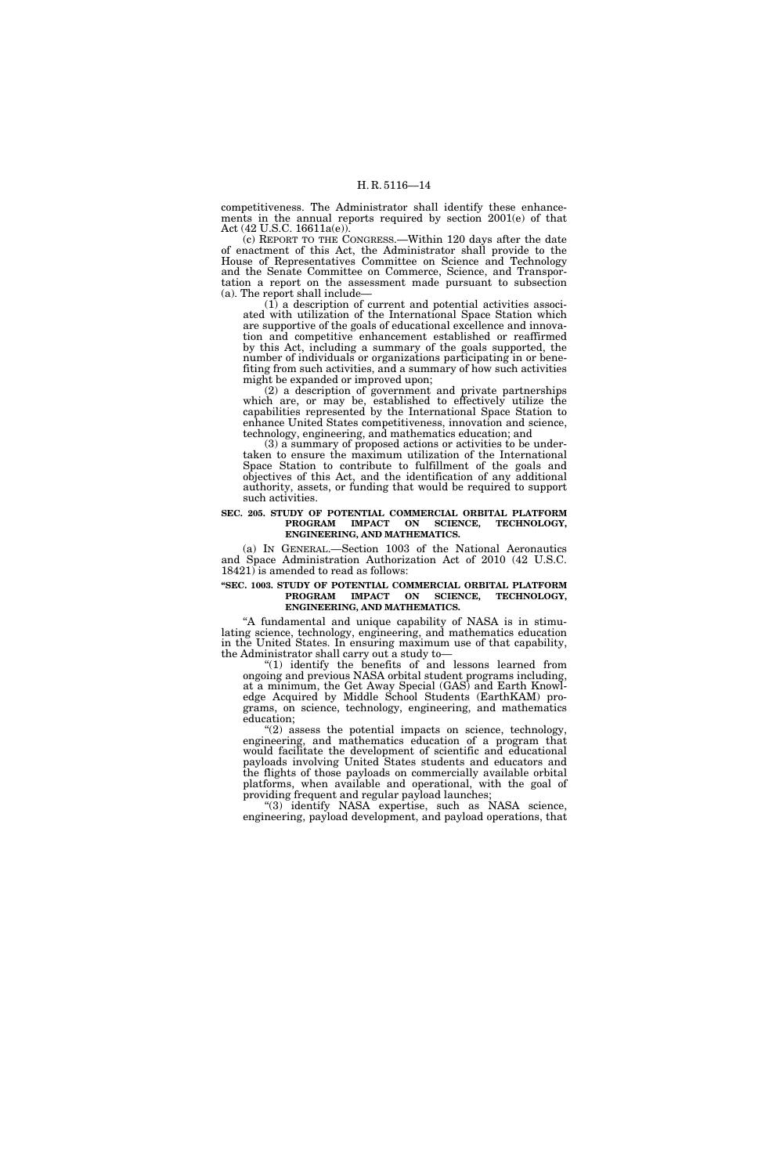competitiveness. The Administrator shall identify these enhancements in the annual reports required by section 2001(e) of that Act (42 U.S.C. 16611a(e)).

(c) REPORT TO THE CONGRESS.—Within 120 days after the date of enactment of this Act, the Administrator shall provide to the House of Representatives Committee on Science and Technology and the Senate Committee on Commerce, Science, and Transportation a report on the assessment made pursuant to subsection (a). The report shall include—

(1) a description of current and potential activities associated with utilization of the International Space Station which are supportive of the goals of educational excellence and innovation and competitive enhancement established or reaffirmed by this Act, including a summary of the goals supported, the number of individuals or organizations participating in or benefiting from such activities, and a summary of how such activities might be expanded or improved upon;

(2) a description of government and private partnerships which are, or may be, established to effectively utilize the capabilities represented by the International Space Station to enhance United States competitiveness, innovation and science, technology, engineering, and mathematics education; and

(3) a summary of proposed actions or activities to be undertaken to ensure the maximum utilization of the International Space Station to contribute to fulfillment of the goals and objectives of this Act, and the identification of any additional authority, assets, or funding that would be required to support such activities.

#### **SEC. 205. STUDY OF POTENTIAL COMMERCIAL ORBITAL PLATFORM PROGRAM IMPACT ON SCIENCE, TECHNOLOGY, ENGINEERING, AND MATHEMATICS.**

(a) IN GENERAL.—Section 1003 of the National Aeronautics and Space Administration Authorization Act of 2010 (42 U.S.C. 18421) is amended to read as follows:

#### **''SEC. 1003. STUDY OF POTENTIAL COMMERCIAL ORBITAL PLATFORM PROGRAM IMPACT ON SCIENCE, TECHNOLOGY, ENGINEERING, AND MATHEMATICS.**

''A fundamental and unique capability of NASA is in stimulating science, technology, engineering, and mathematics education in the United States. In ensuring maximum use of that capability, the Administrator shall carry out a study to—

''(1) identify the benefits of and lessons learned from ongoing and previous NASA orbital student programs including, at a minimum, the Get Away Special (GAS) and Earth Knowledge Acquired by Middle School Students (EarthKAM) programs, on science, technology, engineering, and mathematics education;

"(2) assess the potential impacts on science, technology, engineering, and mathematics education of a program that would facilitate the development of scientific and educational payloads involving United States students and educators and the flights of those payloads on commercially available orbital platforms, when available and operational, with the goal of providing frequent and regular payload launches;

''(3) identify NASA expertise, such as NASA science, engineering, payload development, and payload operations, that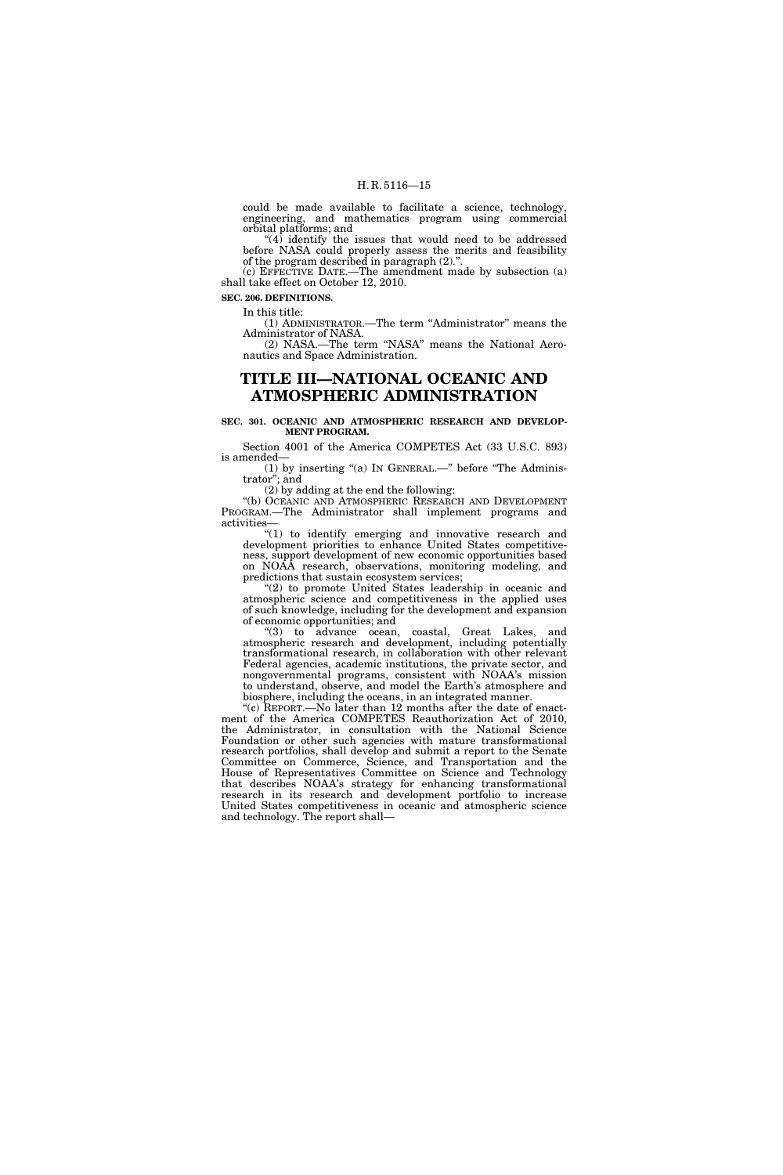could be made available to facilitate a science, technology, engineering, and mathematics program using commercial orbital platforms; and

 $(4)$  identify the issues that would need to be addressed before NASA could properly assess the merits and feasibility of the program described in paragraph (2).''.

(c) EFFECTIVE DATE.—The amendment made by subsection (a) shall take effect on October 12, 2010.

**SEC. 206. DEFINITIONS.** 

In this title:

(1) ADMINISTRATOR.—The term ''Administrator'' means the Administrator of NASA.

(2) NASA.—The term ''NASA'' means the National Aeronautics and Space Administration.

### **TITLE III—NATIONAL OCEANIC AND ATMOSPHERIC ADMINISTRATION**

**SEC. 301. OCEANIC AND ATMOSPHERIC RESEARCH AND DEVELOP-MENT PROGRAM.** 

Section 4001 of the America COMPETES Act (33 U.S.C. 893) is amended—

(1) by inserting ''(a) IN GENERAL.—'' before ''The Administrator''; and

(2) by adding at the end the following:

''(b) OCEANIC AND ATMOSPHERIC RESEARCH AND DEVELOPMENT PROGRAM.—The Administrator shall implement programs and activities—

"(1) to identify emerging and innovative research and development priorities to enhance United States competitiveness, support development of new economic opportunities based on NOAA research, observations, monitoring modeling, and predictions that sustain ecosystem services;

"(2) to promote United States leadership in oceanic and atmospheric science and competitiveness in the applied uses of such knowledge, including for the development and expansion of economic opportunities; and

''(3) to advance ocean, coastal, Great Lakes, and atmospheric research and development, including potentially transformational research, in collaboration with other relevant Federal agencies, academic institutions, the private sector, and nongovernmental programs, consistent with NOAA's mission to understand, observe, and model the Earth's atmosphere and biosphere, including the oceans, in an integrated manner.

"(c) REPORT.—No later than 12 months after the date of enactment of the America COMPETES Reauthorization Act of 2010, the Administrator, in consultation with the National Science Foundation or other such agencies with mature transformational research portfolios, shall develop and submit a report to the Senate Committee on Commerce, Science, and Transportation and the House of Representatives Committee on Science and Technology that describes NOAA's strategy for enhancing transformational research in its research and development portfolio to increase United States competitiveness in oceanic and atmospheric science and technology. The report shall—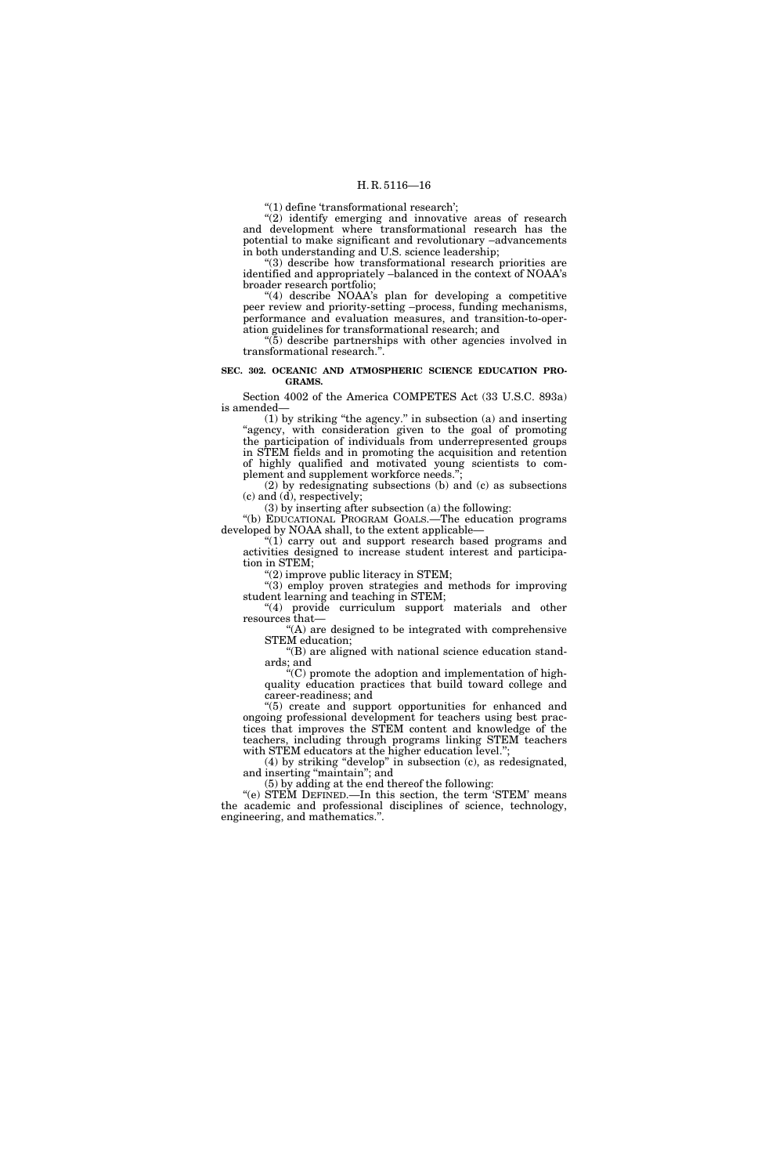" $(1)$  define 'transformational research';

 $''(2)$  identify emerging and innovative areas of research and development where transformational research has the potential to make significant and revolutionary –advancements in both understanding and U.S. science leadership;

''(3) describe how transformational research priorities are identified and appropriately –balanced in the context of NOAA's broader research portfolio;

"(4) describe NOAA's plan for developing a competitive peer review and priority-setting –process, funding mechanisms, performance and evaluation measures, and transition-to-operation guidelines for transformational research; and

 $\mathcal{F}(\bar{5})$  describe partnerships with other agencies involved in transformational research.'

#### **SEC. 302. OCEANIC AND ATMOSPHERIC SCIENCE EDUCATION PRO-GRAMS.**

Section 4002 of the America COMPETES Act (33 U.S.C. 893a) is amended—

(1) by striking ''the agency.'' in subsection (a) and inserting "agency, with consideration given to the goal of promoting the participation of individuals from underrepresented groups in STEM fields and in promoting the acquisition and retention of highly qualified and motivated young scientists to complement and supplement workforce needs.'

(2) by redesignating subsections (b) and (c) as subsections (c) and (d), respectively;

(3) by inserting after subsection (a) the following:

''(b) EDUCATIONAL PROGRAM GOALS.—The education programs developed by NOAA shall, to the extent applicable—

 $(1)$  carry out and support research based programs and activities designed to increase student interest and participation in STEM;

 $''(2)$  improve public literacy in STEM;

''(3) employ proven strategies and methods for improving student learning and teaching in STEM;

"(4) provide curriculum support materials and other resources that—

''(A) are designed to be integrated with comprehensive STEM education;

''(B) are aligned with national science education standards; and

''(C) promote the adoption and implementation of highquality education practices that build toward college and career-readiness; and

''(5) create and support opportunities for enhanced and ongoing professional development for teachers using best practices that improves the STEM content and knowledge of the teachers, including through programs linking STEM teachers with STÉM educators at the higher education level.";

(4) by striking ''develop'' in subsection (c), as redesignated, and inserting "maintain"; and

(5) by adding at the end thereof the following:

"(e) STEM DEFINED.—In this section, the term 'STEM' means the academic and professional disciplines of science, technology, engineering, and mathematics.''.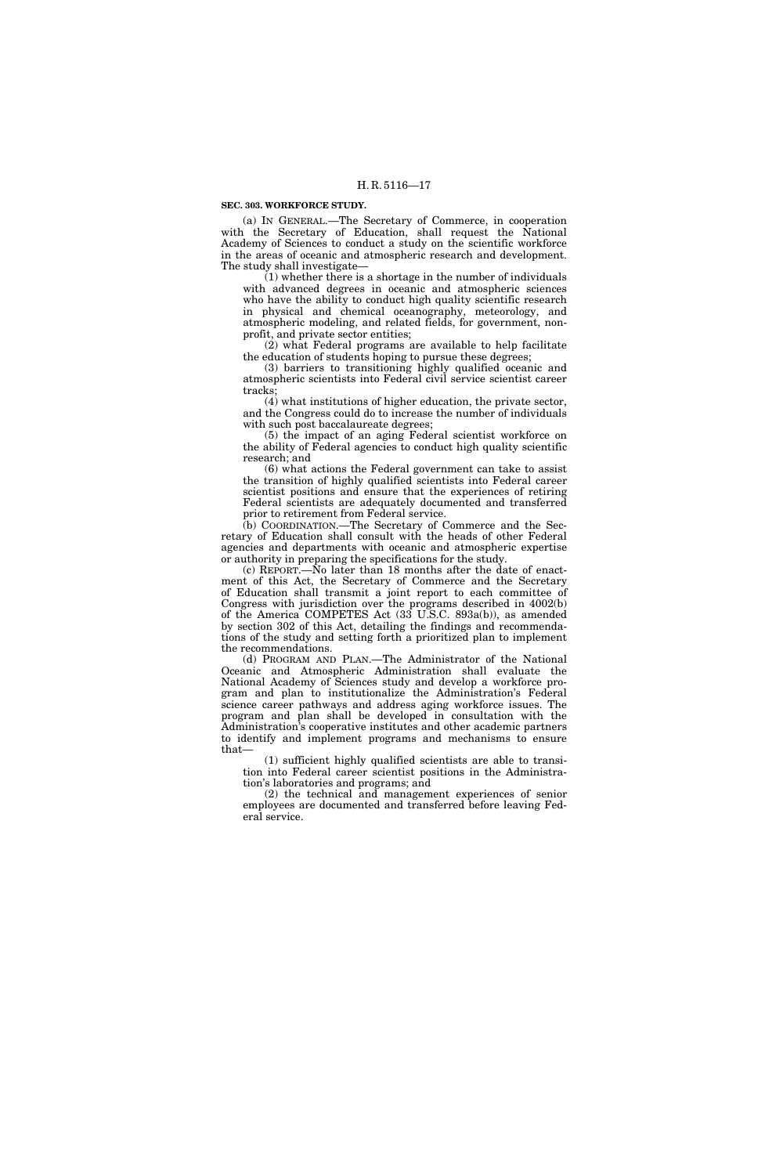#### **SEC. 303. WORKFORCE STUDY.**

(a) IN GENERAL.—The Secretary of Commerce, in cooperation with the Secretary of Education, shall request the National Academy of Sciences to conduct a study on the scientific workforce in the areas of oceanic and atmospheric research and development. The study shall investigate—

 $(1)$  whether there is a shortage in the number of individuals with advanced degrees in oceanic and atmospheric sciences who have the ability to conduct high quality scientific research in physical and chemical oceanography, meteorology, and atmospheric modeling, and related fields, for government, nonprofit, and private sector entities;

(2) what Federal programs are available to help facilitate the education of students hoping to pursue these degrees;

(3) barriers to transitioning highly qualified oceanic and atmospheric scientists into Federal civil service scientist career tracks;

(4) what institutions of higher education, the private sector, and the Congress could do to increase the number of individuals with such post baccalaureate degrees;

(5) the impact of an aging Federal scientist workforce on the ability of Federal agencies to conduct high quality scientific research; and

(6) what actions the Federal government can take to assist the transition of highly qualified scientists into Federal career scientist positions and ensure that the experiences of retiring Federal scientists are adequately documented and transferred prior to retirement from Federal service.

(b) COORDINATION.—The Secretary of Commerce and the Secretary of Education shall consult with the heads of other Federal agencies and departments with oceanic and atmospheric expertise or authority in preparing the specifications for the study.

(c) REPORT.—No later than 18 months after the date of enactment of this Act, the Secretary of Commerce and the Secretary of Education shall transmit a joint report to each committee of Congress with jurisdiction over the programs described in 4002(b) of the America COMPETES Act (33 U.S.C. 893a(b)), as amended by section 302 of this Act, detailing the findings and recommendations of the study and setting forth a prioritized plan to implement the recommendations.

(d) PROGRAM AND PLAN.—The Administrator of the National Oceanic and Atmospheric Administration shall evaluate the National Academy of Sciences study and develop a workforce program and plan to institutionalize the Administration's Federal science career pathways and address aging workforce issues. The program and plan shall be developed in consultation with the Administration's cooperative institutes and other academic partners to identify and implement programs and mechanisms to ensure that—

(1) sufficient highly qualified scientists are able to transition into Federal career scientist positions in the Administration's laboratories and programs; and

(2) the technical and management experiences of senior employees are documented and transferred before leaving Federal service.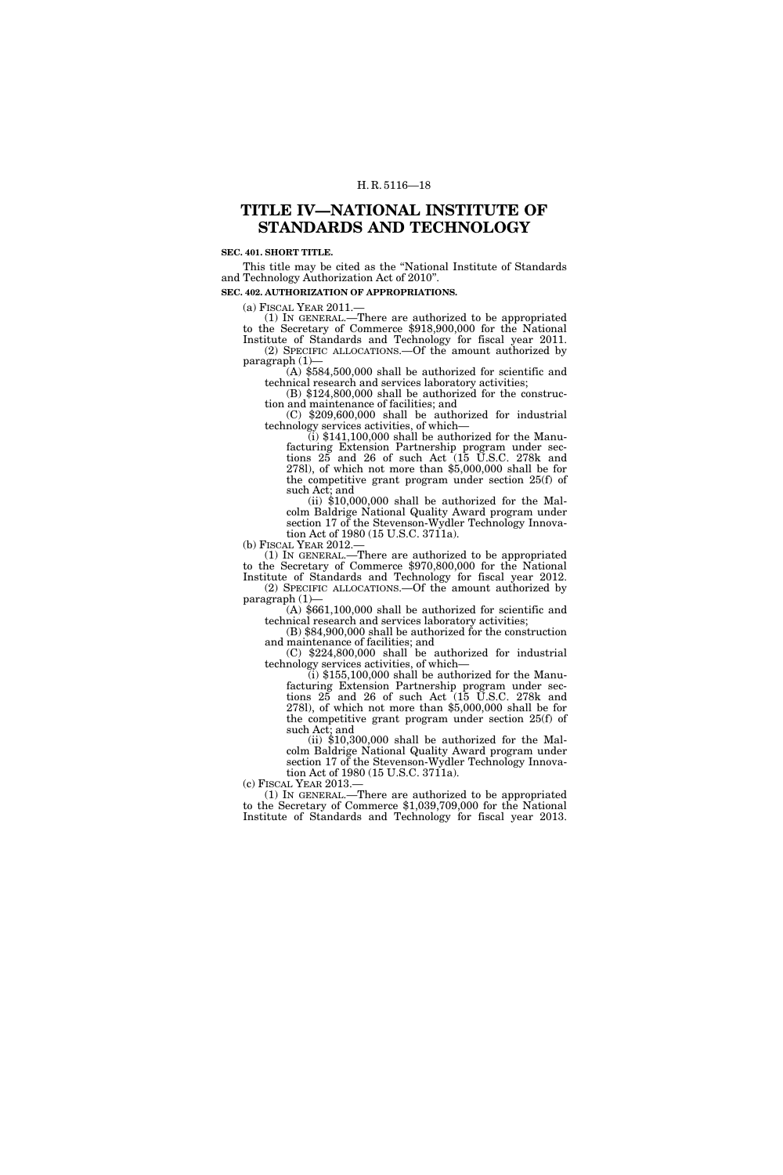### **TITLE IV—NATIONAL INSTITUTE OF STANDARDS AND TECHNOLOGY**

#### **SEC. 401. SHORT TITLE.**

This title may be cited as the ''National Institute of Standards and Technology Authorization Act of 2010''.

**SEC. 402. AUTHORIZATION OF APPROPRIATIONS.** 

(a) FISCAL YEAR 2011.—

(1) IN GENERAL.—There are authorized to be appropriated to the Secretary of Commerce \$918,900,000 for the National Institute of Standards and Technology for fiscal year 2011. (2) SPECIFIC ALLOCATIONS.—Of the amount authorized by paragraph  $(1)$ —

 $(A)$  \$584,500,000 shall be authorized for scientific and technical research and services laboratory activities;

 $(B)$  \$124,800,000 shall be authorized for the construction and maintenance of facilities; and

 $(C)$  \$209,600,000 shall be authorized for industrial technology services activities, of which—

 $\tilde{t}$ ) \$141,100,000 shall be authorized for the Manufacturing Extension Partnership program under sections 25 and 26 of such Act (15 U.S.C. 278k and 278l), of which not more than \$5,000,000 shall be for the competitive grant program under section 25(f) of

such Act; and<br>(ii) \$10,000,000 shall be authorized for the Malcolm Baldrige National Quality Award program under section 17 of the Stevenson-Wydler Technology Innovation Act of 1980 (15 U.S.C. 3711a).

(b) FISCAL YEAR 2012.—

(1) IN GENERAL.—There are authorized to be appropriated to the Secretary of Commerce \$970,800,000 for the National Institute of Standards and Technology for fiscal year 2012. (2) SPECIFIC ALLOCATIONS.—Of the amount authorized by

paragraph  $(1)$ —<br>(A) \$661,100,000 shall be authorized for scientific and technical research and services laboratory activities;

 $t(B)$  \$84,900,000 shall be authorized for the construction

and maintenance of facilities; and (C)  $$224,800,000$  shall be authorized for industrial technology services activities, of which—

 $\lambda$  (i) \$155,100,000 shall be authorized for the Manufacturing Extension Partnership program under sections 25 and 26 of such Act (15 U.S.C. 278k and 278l), of which not more than \$5,000,000 shall be for the competitive grant program under section 25(f) of such Act; and

(ii) \$10,300,000 shall be authorized for the Malcolm Baldrige National Quality Award program under section 17 of the Stevenson-Wydler Technology Innovation Act of 1980 (15 U.S.C. 3711a).

(c) FISCAL YEAR 2013. to the Secretary of Commerce  $$1,039,709,000$  for the National Institute of Standards and Technology for fiscal year 2013.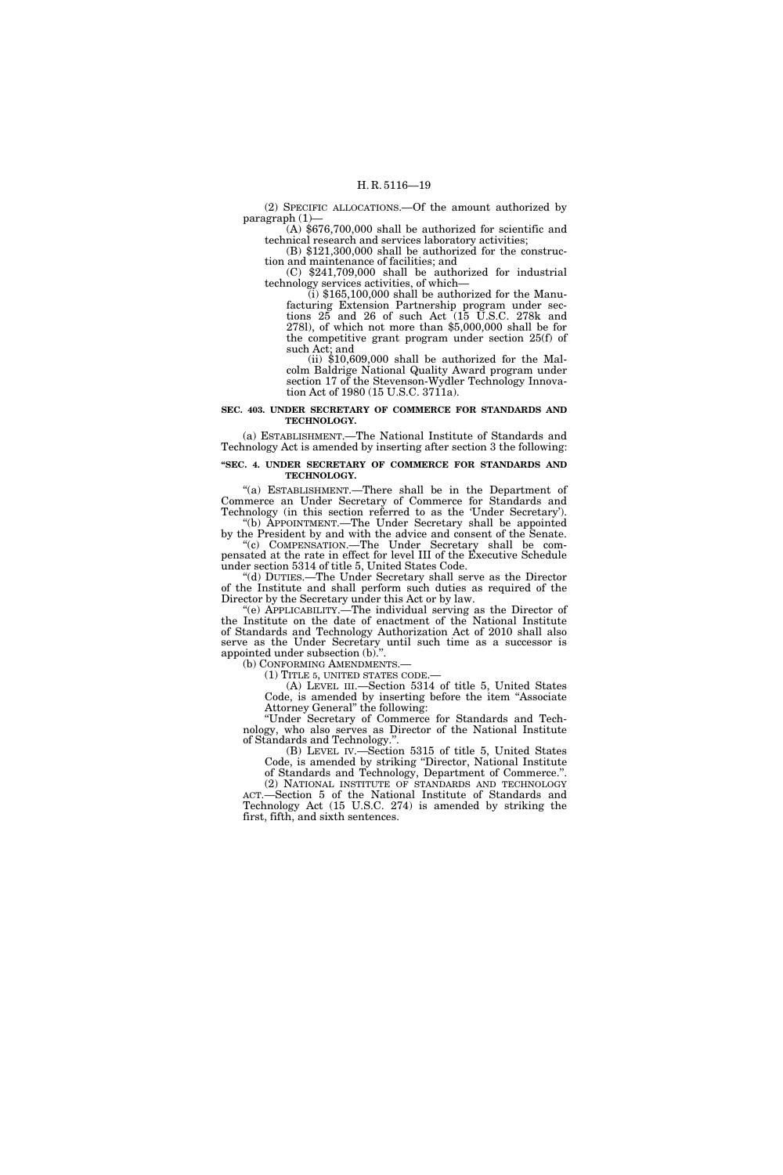(2) SPECIFIC ALLOCATIONS.—Of the amount authorized by paragraph (1)—

(A) \$676,700,000 shall be authorized for scientific and technical research and services laboratory activities;

(B) \$121,300,000 shall be authorized for the construction and maintenance of facilities; and

(C) \$241,709,000 shall be authorized for industrial technology services activities, of which—

 $\langle$ i) \$165,100,000 shall be authorized for the Manufacturing Extension Partnership program under sections 25 and 26 of such Act (15 U.S.C. 278k and 278l), of which not more than \$5,000,000 shall be for the competitive grant program under section 25(f) of such Act; and

(ii)  $$10,609,000$  shall be authorized for the Malcolm Baldrige National Quality Award program under section 17 of the Stevenson-Wydler Technology Innovation Act of 1980 (15 U.S.C. 3711a).

#### **SEC. 403. UNDER SECRETARY OF COMMERCE FOR STANDARDS AND TECHNOLOGY.**

(a) ESTABLISHMENT.—The National Institute of Standards and Technology Act is amended by inserting after section 3 the following:

**''SEC. 4. UNDER SECRETARY OF COMMERCE FOR STANDARDS AND TECHNOLOGY.** 

''(a) ESTABLISHMENT.—There shall be in the Department of Commerce an Under Secretary of Commerce for Standards and Technology (in this section referred to as the 'Under Secretary'). ''(b) APPOINTMENT.—The Under Secretary shall be appointed

by the President by and with the advice and consent of the Senate. ''(c) COMPENSATION.—The Under Secretary shall be compensated at the rate in effect for level III of the Executive Schedule under section 5314 of title 5, United States Code.

''(d) DUTIES.—The Under Secretary shall serve as the Director of the Institute and shall perform such duties as required of the Director by the Secretary under this Act or by law.

''(e) APPLICABILITY.—The individual serving as the Director of the Institute on the date of enactment of the National Institute of Standards and Technology Authorization Act of 2010 shall also serve as the Under Secretary until such time as a successor is appointed under subsection (b).''.

(b) CONFORMING AMENDMENTS.

(1) TITLE 5, UNITED STATES CODE.—

(A) LEVEL III.—Section 5314 of title 5, United States Code, is amended by inserting before the item ''Associate Attorney General'' the following:

''Under Secretary of Commerce for Standards and Technology, who also serves as Director of the National Institute of Standards and Technology.''.

(B) LEVEL IV.—Section 5315 of title 5, United States Code, is amended by striking ''Director, National Institute of Standards and Technology, Department of Commerce.''.

(2) NATIONAL INSTITUTE OF STANDARDS AND TECHNOLOGY ACT.—Section 5 of the National Institute of Standards and Technology Act (15 U.S.C. 274) is amended by striking the first, fifth, and sixth sentences.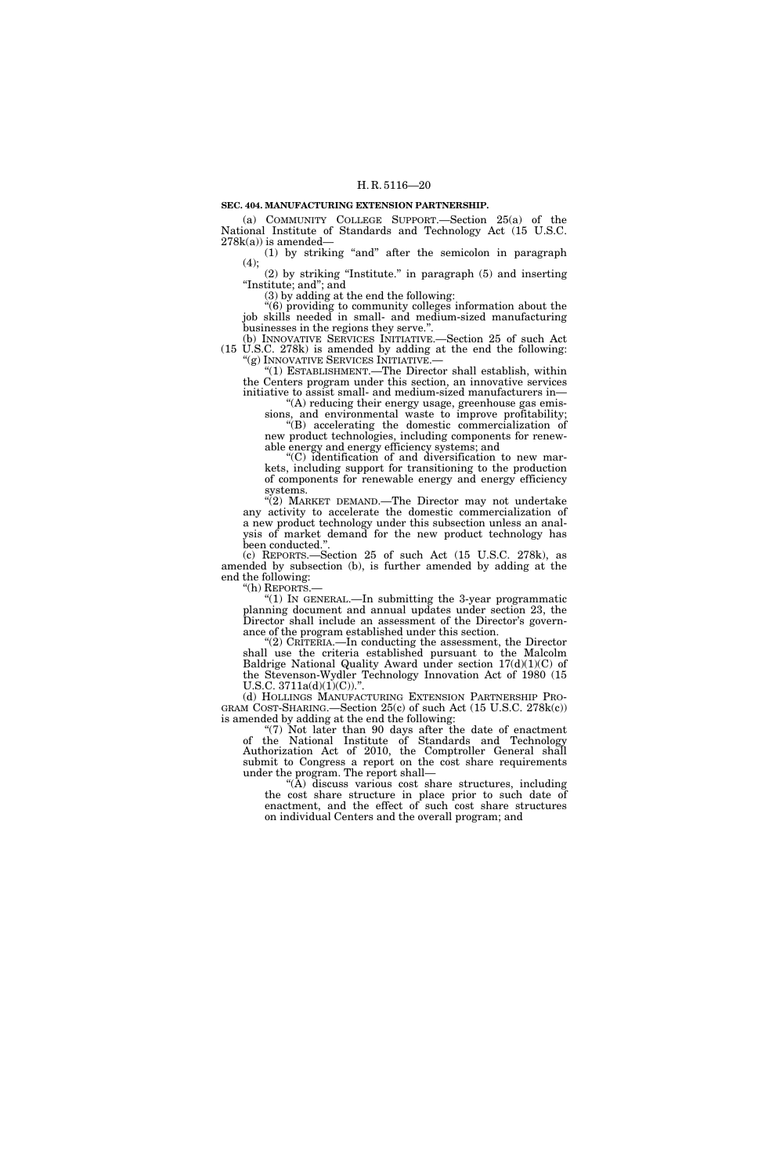#### **SEC. 404. MANUFACTURING EXTENSION PARTNERSHIP.**

(a) COMMUNITY COLLEGE SUPPORT.—Section 25(a) of the National Institute of Standards and Technology Act (15 U.S.C.  $278k(a)$ ) is amended-

(1) by striking ''and'' after the semicolon in paragraph  $(4);$ 

(2) by striking ''Institute.'' in paragraph (5) and inserting ''Institute; and''; and

(3) by adding at the end the following:

''(6) providing to community colleges information about the job skills needed in small- and medium-sized manufacturing businesses in the regions they serve.''.

(b) INNOVATIVE SERVICES INITIATIVE.—Section 25 of such Act (15 U.S.C. 278k) is amended by adding at the end the following: "(g) INNOVATIVE SERVICES INITIATIVE.—

"(1) ESTABLISHMENT.— The Director shall establish, within the Centers program under this section, an innovative services initiative to assist small- and medium-sized manufacturers in—

 $(A)$  reducing their energy usage, greenhouse gas emissions, and environmental waste to improve profitability; ''(B) accelerating the domestic commercialization of new product technologies, including components for renew-

able energy and energy efficiency systems; and ''(C) identification of and diversification to new mar-

kets, including support for transitioning to the production of components for renewable energy and energy efficiency systems.

''(2) MARKET DEMAND.—The Director may not undertake any activity to accelerate the domestic commercialization of a new product technology under this subsection unless an analysis of market demand for the new product technology has been conducted.''.

(c) REPORTS.—Section 25 of such Act (15 U.S.C. 278k), as amended by subsection (b), is further amended by adding at the end the following:<br>"(h) REPORTS.-

"(1) In GENERAL.—In submitting the 3-year programmatic planning document and annual updates under section 23, the Director shall include an assessment of the Director's governance of the program established under this section.

''(2) CRITERIA.—In conducting the assessment, the Director shall use the criteria established pursuant to the Malcolm Baldrige National Quality Award under section 17(d)(1)(C) of the Stevenson-Wydler Technology Innovation Act of 1980 (15 U.S.C.  $3711a(d)(1)(C)$ .".

(d) HOLLINGS MANUFACTURING EXTENSION PARTNERSHIP PRO- GRAM COST-SHARING.—Section 25(c) of such Act (15 U.S.C. 278k(c)) is amended by adding at the end the following:

" $(7)$  Not later than  $90$  days after the date of enactment of the National Institute of Standards and Technology Authorization Act of 2010, the Comptroller General shall submit to Congress a report on the cost share requirements under the program. The report shall—

''(A) discuss various cost share structures, including the cost share structure in place prior to such date of enactment, and the effect of such cost share structures on individual Centers and the overall program; and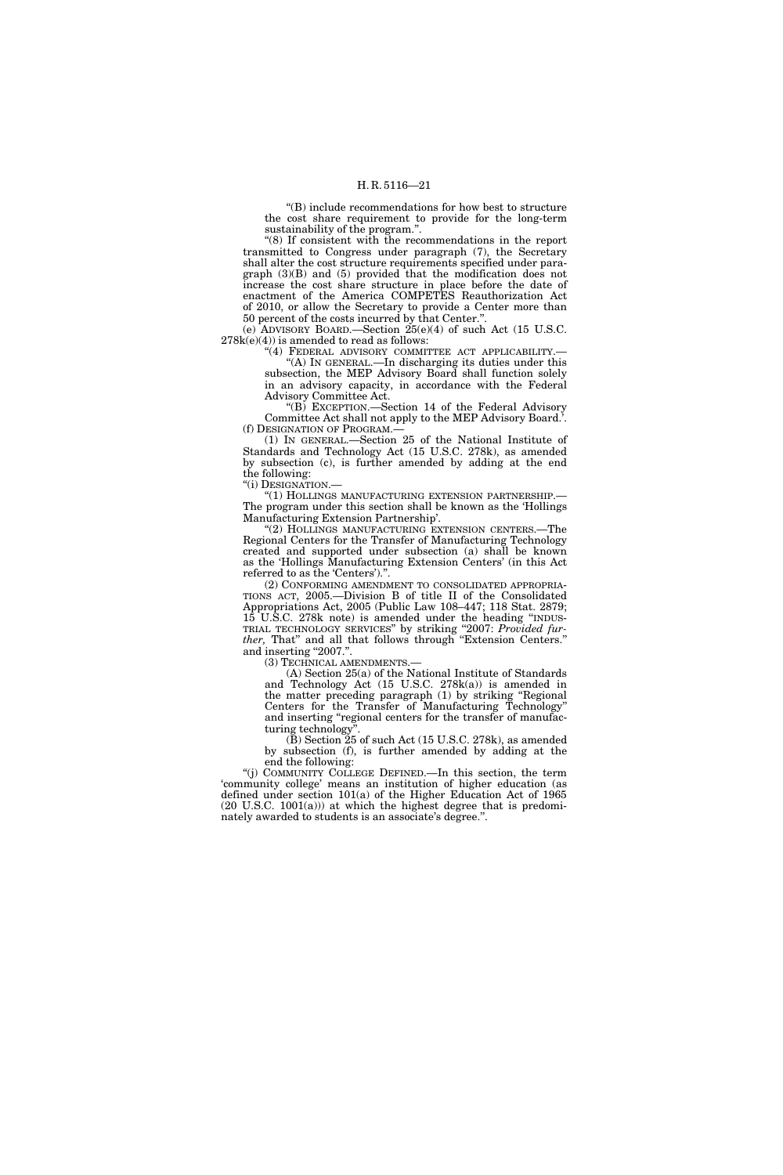''(B) include recommendations for how best to structure the cost share requirement to provide for the long-term sustainability of the program.''.

''(8) If consistent with the recommendations in the report transmitted to Congress under paragraph (7), the Secretary shall alter the cost structure requirements specified under paragraph (3)(B) and (5) provided that the modification does not increase the cost share structure in place before the date of enactment of the America COMPETES Reauthorization Act of 2010, or allow the Secretary to provide a Center more than 50 percent of the costs incurred by that Center.''.

(e) ADVISORY BOARD.—Section 25(e)(4) of such Act (15 U.S.C.  $278k(e)(4)$ ) is amended to read as follows:

"(4) FEDERAL ADVISORY COMMITTEE ACT APPLICABILITY.-''(A) IN GENERAL.—In discharging its duties under this subsection, the MEP Advisory Board shall function solely in an advisory capacity, in accordance with the Federal Advisory Committee Act.

''(B) EXCEPTION.—Section 14 of the Federal Advisory Committee Act shall not apply to the MEP Advisory Board.'. (f) DESIGNATION OF PROGRAM.—

(1) IN GENERAL.—Section 25 of the National Institute of Standards and Technology Act (15 U.S.C. 278k), as amended by subsection (c), is further amended by adding at the end the following:

''(i) DESIGNATION.—

''(1) HOLLINGS MANUFACTURING EXTENSION PARTNERSHIP.— The program under this section shall be known as the 'Hollings Manufacturing Extension Partnership'.

''(2) HOLLINGS MANUFACTURING EXTENSION CENTERS.—The Regional Centers for the Transfer of Manufacturing Technology created and supported under subsection (a) shall be known as the 'Hollings Manufacturing Extension Centers' (in this Act referred to as the 'Centers').''.

(2) CONFORMING AMENDMENT TO CONSOLIDATED APPROPRIA-TIONS ACT, 2005.—Division B of title II of the Consolidated Appropriations Act, 2005 (Public Law 108–447; 118 Stat. 2879; 15 U.S.C. 278k note) is amended under the heading ''INDUS-TRIAL TECHNOLOGY SERVICES'' by striking ''2007: *Provided fur*ther, That" and all that follows through "Extension Centers." and inserting "2007.".

(3) TECHNICAL AMENDMENTS.—

(A) Section 25(a) of the National Institute of Standards and Technology Act (15 U.S.C. 278k(a)) is amended in the matter preceding paragraph (1) by striking "Regional Centers for the Transfer of Manufacturing Technology'' and inserting "regional centers for the transfer of manufacturing technology''.

 $(\mathbf{\bar{B}})$  Section  $\mathbf{\tilde{25}}$  of such Act (15 U.S.C. 278k), as amended by subsection (f), is further amended by adding at the end the following:

''(j) COMMUNITY COLLEGE DEFINED.—In this section, the term 'community college' means an institution of higher education (as defined under section 101(a) of the Higher Education Act of 1965  $(20 \text{ U.S.C. } 1001(a))$  at which the highest degree that is predominately awarded to students is an associate's degree.''.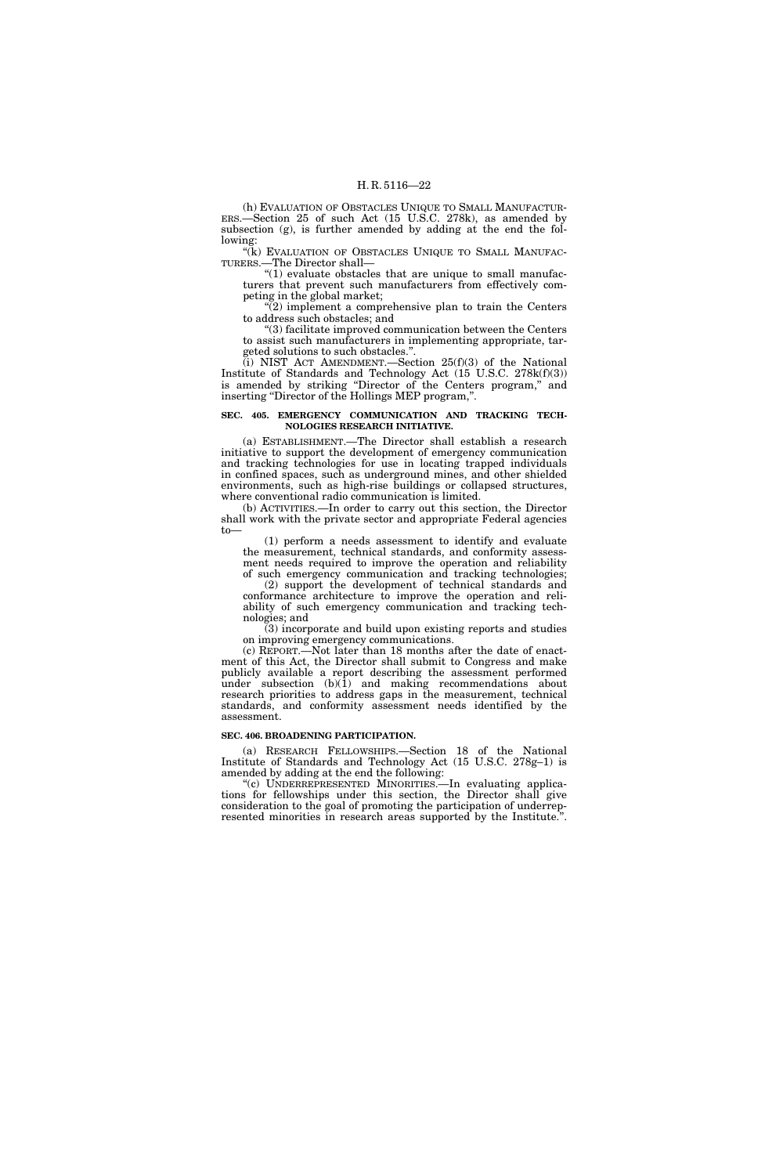(h) EVALUATION OF OBSTACLES UNIQUE TO SMALL MANUFACTUR-ERS.—Section 25 of such Act (15 U.S.C. 278k), as amended by subsection (g), is further amended by adding at the end the following:

"(k) EVALUATION OF OBSTACLES UNIQUE TO SMALL MANUFAC-TURERS.—The Director shall—

''(1) evaluate obstacles that are unique to small manufacturers that prevent such manufacturers from effectively competing in the global market;

 $\sqrt{\frac{2}{2}}$  implement a comprehensive plan to train the Centers to address such obstacles; and

''(3) facilitate improved communication between the Centers to assist such manufacturers in implementing appropriate, targeted solutions to such obstacles."

 $(ii)$  NIST ACT AMENDMENT.—Section 25(f)(3) of the National Institute of Standards and Technology Act (15 U.S.C. 278k(f)(3)) is amended by striking ''Director of the Centers program,'' and inserting ''Director of the Hollings MEP program,''.

#### **SEC. 405. EMERGENCY COMMUNICATION AND TRACKING TECH-NOLOGIES RESEARCH INITIATIVE.**

(a) ESTABLISHMENT.—The Director shall establish a research initiative to support the development of emergency communication and tracking technologies for use in locating trapped individuals in confined spaces, such as underground mines, and other shielded environments, such as high-rise buildings or collapsed structures, where conventional radio communication is limited.

(b) ACTIVITIES.—In order to carry out this section, the Director shall work with the private sector and appropriate Federal agencies to—

(1) perform a needs assessment to identify and evaluate the measurement, technical standards, and conformity assessment needs required to improve the operation and reliability

of such emergency communication and tracking technologies; (2) support the development of technical standards and conformance architecture to improve the operation and reliability of such emergency communication and tracking technologies; and

(3) incorporate and build upon existing reports and studies on improving emergency communications.

(c) REPORT.—Not later than 18 months after the date of enactment of this Act, the Director shall submit to Congress and make publicly available a report describing the assessment performed under subsection  $(b)(1)$  and making recommendations about research priorities to address gaps in the measurement, technical standards, and conformity assessment needs identified by the assessment.

#### **SEC. 406. BROADENING PARTICIPATION.**

(a) RESEARCH FELLOWSHIPS.—Section 18 of the National Institute of Standards and Technology Act (15 U.S.C. 278g–1) is amended by adding at the end the following:

''(c) UNDERREPRESENTED MINORITIES.—In evaluating applications for fellowships under this section, the Director shall give consideration to the goal of promoting the participation of underrepresented minorities in research areas supported by the Institute.''.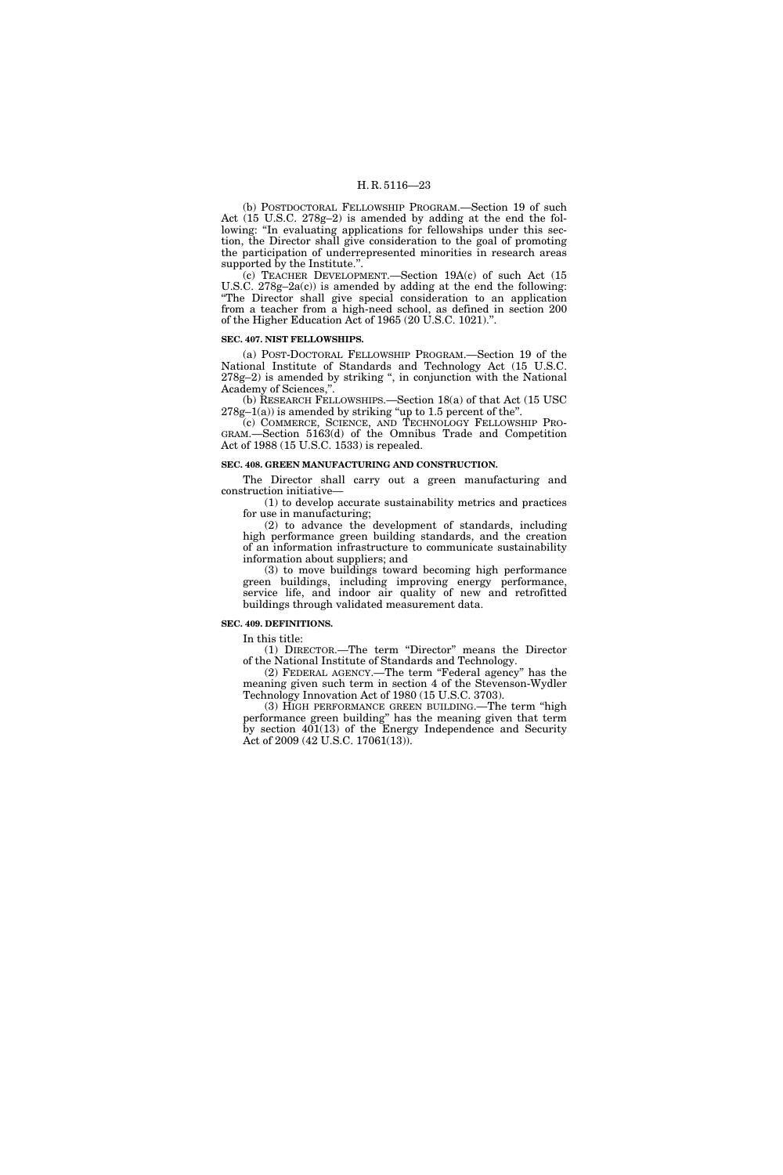(b) POSTDOCTORAL FELLOWSHIP PROGRAM.—Section 19 of such Act (15 U.S.C. 278g–2) is amended by adding at the end the following: "In evaluating applications for fellowships under this section, the Director shall give consideration to the goal of promoting the participation of underrepresented minorities in research areas supported by the Institute.".

(c) TEACHER DEVELOPMENT.—Section 19A(c) of such Act (15 U.S.C.  $278g-2a(c)$  is amended by adding at the end the following: ''The Director shall give special consideration to an application from a teacher from a high-need school, as defined in section 200 of the Higher Education Act of 1965 (20 U.S.C. 1021).''.

#### **SEC. 407. NIST FELLOWSHIPS.**

(a) POST-DOCTORAL FELLOWSHIP PROGRAM.—Section 19 of the National Institute of Standards and Technology Act (15 U.S.C. 278g–2) is amended by striking '', in conjunction with the National Academy of Sciences,''.

(b) RESEARCH FELLOWSHIPS.—Section 18(a) of that Act (15 USC  $278g-1(a)$ ) is amended by striking "up to 1.5 percent of the".

(c) COMMERCE, SCIENCE, AND TECHNOLOGY FELLOWSHIP PRO-GRAM.—Section 5163(d) of the Omnibus Trade and Competition Act of 1988 (15 U.S.C. 1533) is repealed.

#### **SEC. 408. GREEN MANUFACTURING AND CONSTRUCTION.**

The Director shall carry out a green manufacturing and construction initiative—

(1) to develop accurate sustainability metrics and practices for use in manufacturing;

(2) to advance the development of standards, including high performance green building standards, and the creation of an information infrastructure to communicate sustainability information about suppliers; and

(3) to move buildings toward becoming high performance green buildings, including improving energy performance, service life, and indoor air quality of new and retrofitted buildings through validated measurement data.

#### **SEC. 409. DEFINITIONS.**

In this title:

(1) DIRECTOR.—The term ''Director'' means the Director of the National Institute of Standards and Technology.

(2) FEDERAL AGENCY.—The term ''Federal agency'' has the meaning given such term in section 4 of the Stevenson-Wydler Technology Innovation Act of 1980 (15 U.S.C. 3703).

(3) HIGH PERFORMANCE GREEN BUILDING.—The term ''high performance green building'' has the meaning given that term by section 401(13) of the Energy Independence and Security Act of 2009 (42 U.S.C. 17061(13)).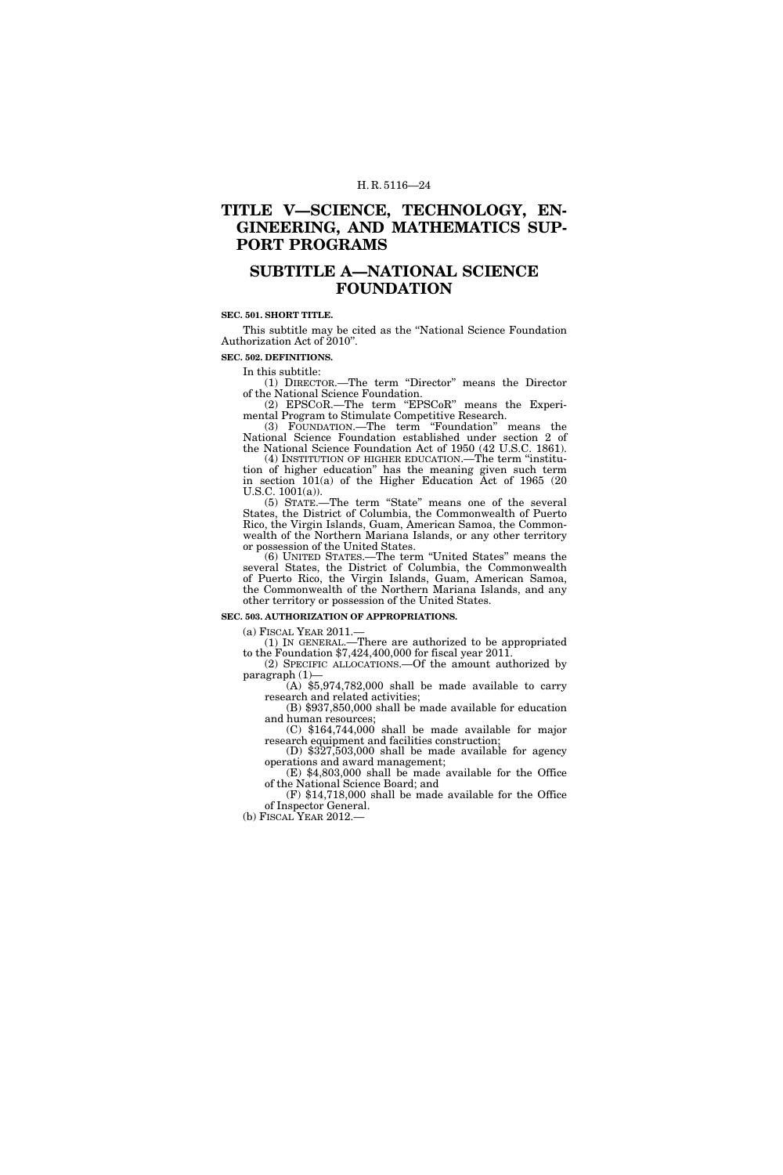### **TITLE V—SCIENCE, TECHNOLOGY, EN-GINEERING, AND MATHEMATICS SUP-PORT PROGRAMS**

### **SUBTITLE A—NATIONAL SCIENCE FOUNDATION**

#### **SEC. 501. SHORT TITLE.**

This subtitle may be cited as the ''National Science Foundation Authorization Act of 2010''.

**SEC. 502. DEFINITIONS.** 

In this subtitle:

(1) DIRECTOR.—The term ''Director'' means the Director of the National Science Foundation.

(2) EPSCoR.—The term "EPSCoR" means the Experimental Program to Stimulate Competitive Research.

(3) FOUNDATION.—The term ''Foundation'' means the National Science Foundation established under section 2 of the National Science Foundation Act of 1950 (42 U.S.C. 1861).

(4) INSTITUTION OF HIGHER EDUCATION.—The term ''institution of higher education'' has the meaning given such term in section 101(a) of the Higher Education Act of 1965 (20 U.S.C. 1001(a)).

(5) STATE.—The term ''State'' means one of the several States, the District of Columbia, the Commonwealth of Puerto Rico, the Virgin Islands, Guam, American Samoa, the Commonwealth of the Northern Mariana Islands, or any other territory or possession of the United States.

(6) UNITED STATES.—The term ''United States'' means the several States, the District of Columbia, the Commonwealth of Puerto Rico, the Virgin Islands, Guam, American Samoa, the Commonwealth of the Northern Mariana Islands, and any other territory or possession of the United States.

#### **SEC. 503. AUTHORIZATION OF APPROPRIATIONS.**

 $(a)$  FISCAL YEAR 2011.

(1) IN GENERAL.—There are authorized to be appropriated to the Foundation \$7,424,400,000 for fiscal year 2011.

(2) SPECIFIC ALLOCATIONS.—Of the amount authorized by paragraph  $(1)$ —<br>(A) \$5,974,782,000 shall be made available to carry

research and related activities;

(B) \$937,850,000 shall be made available for education and human resources;

(C) \$164,744,000 shall be made available for major

(D)  $$327,503,000$  shall be made available for agency operations and award management;  $(E)$  \$4,803,000 shall be made available for the Office

of the National Science Board; and

(F) \$14,718,000 shall be made available for the Office of Inspector General.

(b) FISCAL YEAR 2012.—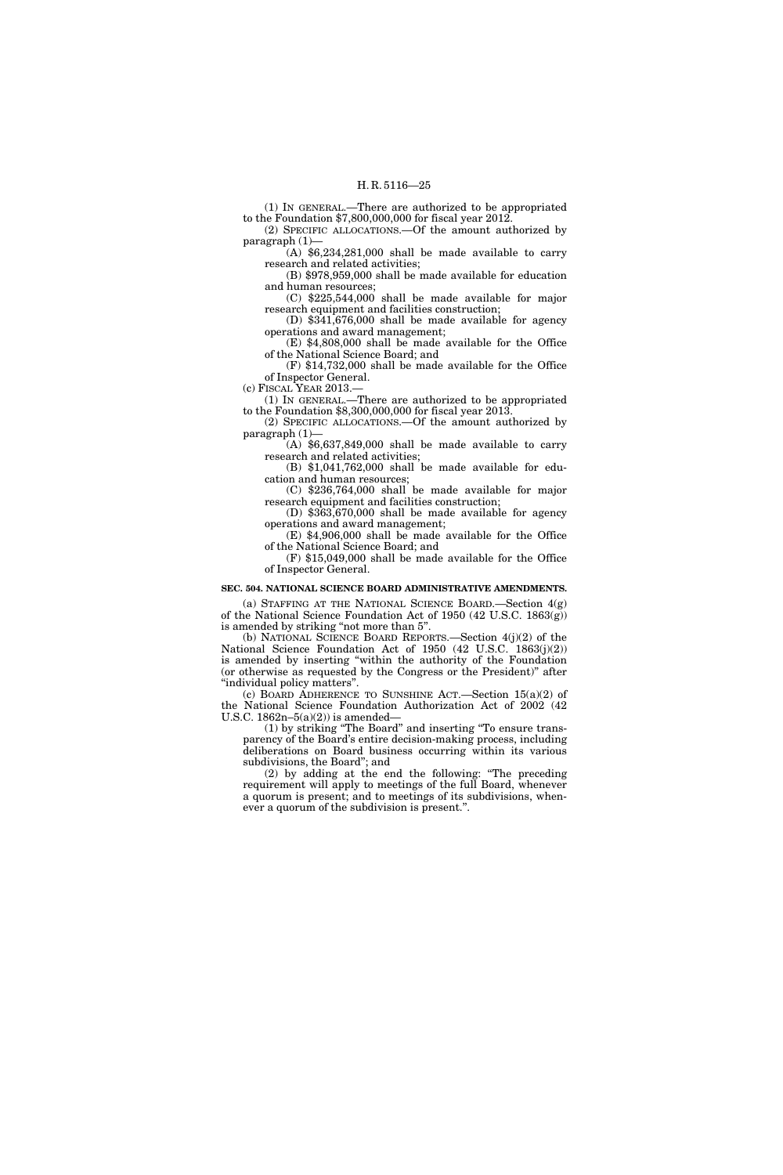(1) IN GENERAL.—There are authorized to be appropriated to the Foundation \$7,800,000,000 for fiscal year 2012. (2) SPECIFIC ALLOCATIONS.—Of the amount authorized by

paragraph (1)—  $(A)$  \$6,234,281,000 shall be made available to carry

research and related activities; (B) \$978,959,000 shall be made available for education

and human resources;

(C) \$225,544,000 shall be made available for major research equipment and facilities construction;

(D) \$341,676,000 shall be made available for agency operations and award management;

(E) \$4,808,000 shall be made available for the Office of the National Science Board; and

(F) \$14,732,000 shall be made available for the Office of Inspector General.

(c) FISCAL YEAR 2013.—

(1) IN GENERAL.—There are authorized to be appropriated to the Foundation \$8,300,000,000 for fiscal year 2013.

(2) SPECIFIC ALLOCATIONS.—Of the amount authorized by paragraph (1)—

 $(A)$  \$6,637,849,000 shall be made available to carry research and related activities;

(B) \$1,041,762,000 shall be made available for education and human resources;

(C) \$236,764,000 shall be made available for major research equipment and facilities construction;

(D) \$363,670,000 shall be made available for agency operations and award management; (E) \$4,906,000 shall be made available for the Office

of the National Science Board; and (F) \$15,049,000 shall be made available for the Office

of Inspector General.

### **SEC. 504. NATIONAL SCIENCE BOARD ADMINISTRATIVE AMENDMENTS.**

(a) STAFFING AT THE NATIONAL SCIENCE BOARD.—Section 4(g) of the National Science Foundation Act of 1950 (42 U.S.C. 1863(g)) is amended by striking "not more than 5".

(b) NATIONAL SCIENCE BOARD REPORTS.—Section 4(j)(2) of the National Science Foundation Act of 1950 (42 U.S.C. 1863(j)(2)) is amended by inserting ''within the authority of the Foundation (or otherwise as requested by the Congress or the President)'' after ''individual policy matters''.

(c) BOARD ADHERENCE TO SUNSHINE ACT.—Section 15(a)(2) of the National Science Foundation Authorization Act of 2002 (42 U.S.C.  $1862n-5(a)(2)$  is amended-

(1) by striking ''The Board'' and inserting ''To ensure transparency of the Board's entire decision-making process, including deliberations on Board business occurring within its various subdivisions, the Board''; and

(2) by adding at the end the following: ''The preceding requirement will apply to meetings of the full Board, whenever a quorum is present; and to meetings of its subdivisions, whenever a quorum of the subdivision is present.''.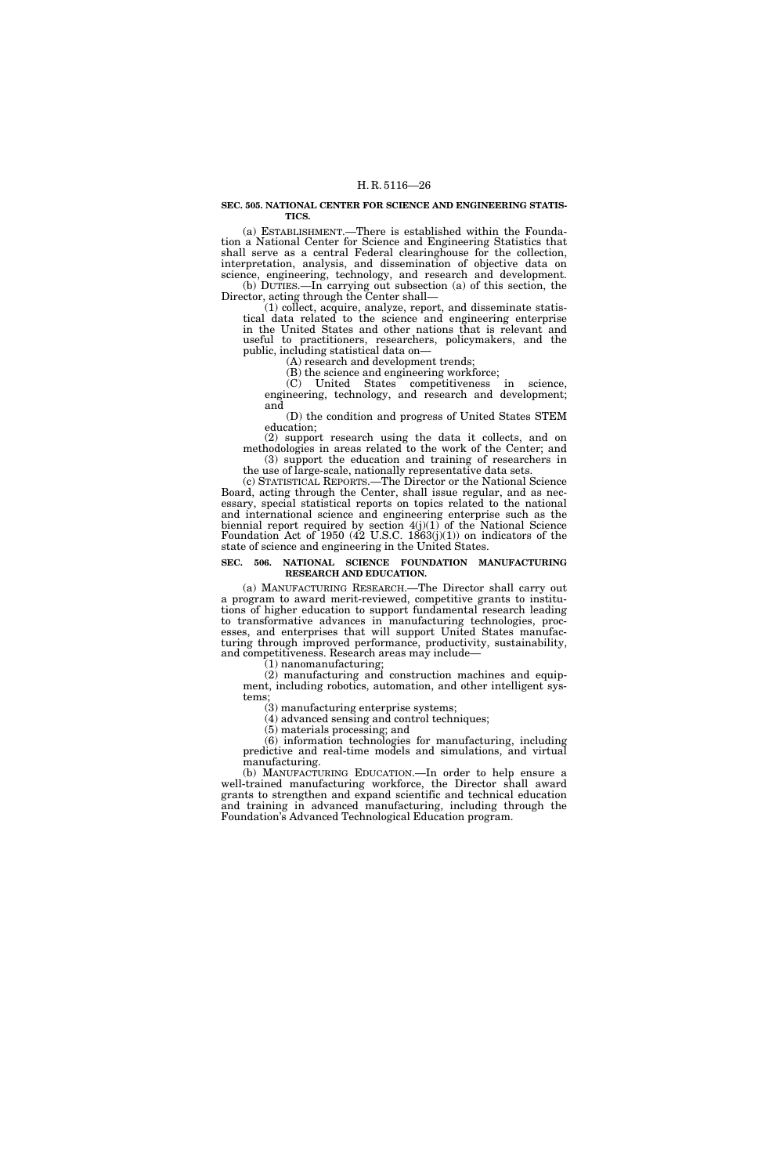#### **SEC. 505. NATIONAL CENTER FOR SCIENCE AND ENGINEERING STATIS-TICS.**

(a) ESTABLISHMENT.—There is established within the Foundation a National Center for Science and Engineering Statistics that shall serve as a central Federal clearinghouse for the collection, interpretation, analysis, and dissemination of objective data on science, engineering, technology, and research and development. (b) DUTIES.—In carrying out subsection (a) of this section, the

Director, acting through the Center shall—

(1) collect, acquire, analyze, report, and disseminate statistical data related to the science and engineering enterprise in the United States and other nations that is relevant and useful to practitioners, researchers, policymakers, and the public, including statistical data on—

(A) research and development trends;

(B) the science and engineering workforce;

(C) United States competitiveness in science, engineering, technology, and research and development; and

(D) the condition and progress of United States STEM education;

(2) support research using the data it collects, and on methodologies in areas related to the work of the Center; and (3) support the education and training of researchers in

the use of large-scale, nationally representative data sets. (c) STATISTICAL REPORTS.—The Director or the National Science Board, acting through the Center, shall issue regular, and as nec-

essary, special statistical reports on topics related to the national and international science and engineering enterprise such as the biennial report required by section 4(j)(1) of the National Science Foundation Act of  $1950$  (42 U.S.C. 1863(j)(1)) on indicators of the state of science and engineering in the United States.

#### **SEC. 506. NATIONAL SCIENCE FOUNDATION MANUFACTURING RESEARCH AND EDUCATION.**

(a) MANUFACTURING RESEARCH.—The Director shall carry out a program to award merit-reviewed, competitive grants to institutions of higher education to support fundamental research leading to transformative advances in manufacturing technologies, processes, and enterprises that will support United States manufacturing through improved performance, productivity, sustainability, and competitiveness. Research areas may include—

(1) nanomanufacturing;

(2) manufacturing and construction machines and equipment, including robotics, automation, and other intelligent systems;

(3) manufacturing enterprise systems;

(4) advanced sensing and control techniques;

(5) materials processing; and

(6) information technologies for manufacturing, including predictive and real-time models and simulations, and virtual manufacturing.

(b) MANUFACTURING EDUCATION.—In order to help ensure a well-trained manufacturing workforce, the Director shall award grants to strengthen and expand scientific and technical education and training in advanced manufacturing, including through the Foundation's Advanced Technological Education program.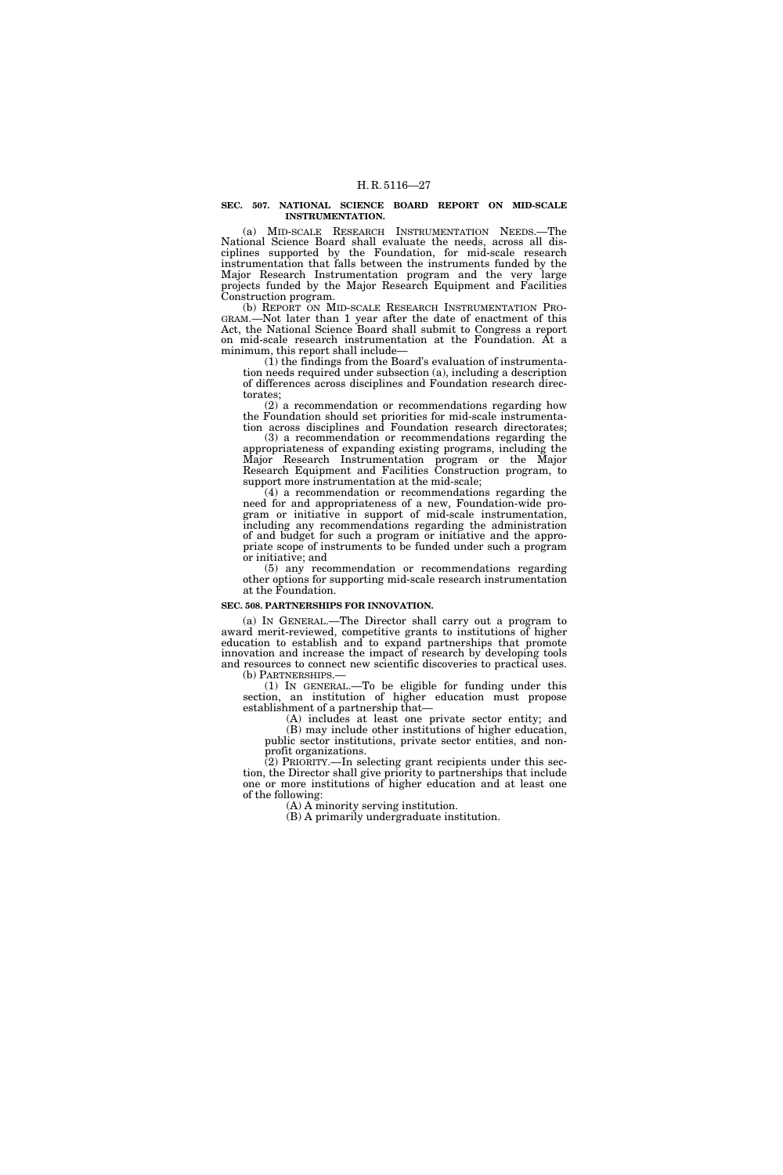#### **SEC. 507. NATIONAL SCIENCE BOARD REPORT ON MID-SCALE INSTRUMENTATION.**

(a) MID-SCALE RESEARCH INSTRUMENTATION NEEDS.—The National Science Board shall evaluate the needs, across all disciplines supported by the Foundation, for mid-scale research instrumentation that falls between the instruments funded by the Major Research Instrumentation program and the very large projects funded by the Major Research Equipment and Facilities Construction program.

(b) REPORT ON MID-SCALE RESEARCH INSTRUMENTATION PRO-GRAM.—Not later than 1 year after the date of enactment of this Act, the National Science Board shall submit to Congress a report on mid-scale research instrumentation at the Foundation. At a minimum, this report shall include—

(1) the findings from the Board's evaluation of instrumentation needs required under subsection (a), including a description of differences across disciplines and Foundation research directorates;

 $(2)$  a recommendation or recommendations regarding how the Foundation should set priorities for mid-scale instrumentation across disciplines and Foundation research directorates;

(3) a recommendation or recommendations regarding the appropriateness of expanding existing programs, including the Major Research Instrumentation program or the Major Research Equipment and Facilities Construction program, to support more instrumentation at the mid-scale;

(4) a recommendation or recommendations regarding the need for and appropriateness of a new, Foundation-wide program or initiative in support of mid-scale instrumentation, including any recommendations regarding the administration of and budget for such a program or initiative and the appropriate scope of instruments to be funded under such a program or initiative; and

(5) any recommendation or recommendations regarding other options for supporting mid-scale research instrumentation at the Foundation.

#### **SEC. 508. PARTNERSHIPS FOR INNOVATION.**

(a) IN GENERAL.—The Director shall carry out a program to award merit-reviewed, competitive grants to institutions of higher education to establish and to expand partnerships that promote innovation and increase the impact of research by developing tools and resources to connect new scientific discoveries to practical uses. (b) PARTNERSHIPS.—

(1) IN GENERAL.—To be eligible for funding under this section, an institution of higher education must propose establishment of a partnership that—

(A) includes at least one private sector entity; and (B) may include other institutions of higher education, public sector institutions, private sector entities, and nonprofit organizations.

(2) PRIORITY.—In selecting grant recipients under this section, the Director shall give priority to partnerships that include one or more institutions of higher education and at least one of the following:

(A) A minority serving institution.

(B) A primarily undergraduate institution.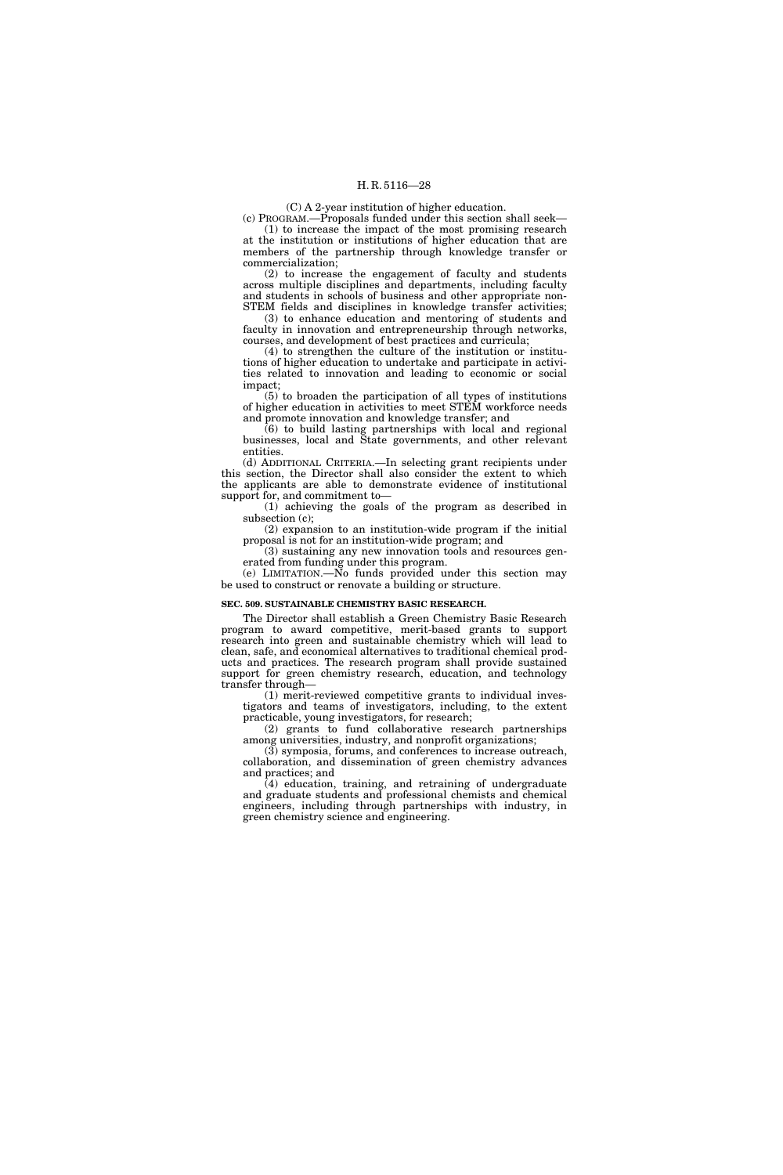(C) A 2-year institution of higher education.

(c) PROGRAM.—Proposals funded under this section shall seek— (1) to increase the impact of the most promising research at the institution or institutions of higher education that are members of the partnership through knowledge transfer or commercialization;

(2) to increase the engagement of faculty and students across multiple disciplines and departments, including faculty and students in schools of business and other appropriate non-STEM fields and disciplines in knowledge transfer activities;

(3) to enhance education and mentoring of students and faculty in innovation and entrepreneurship through networks, courses, and development of best practices and curricula;

(4) to strengthen the culture of the institution or institutions of higher education to undertake and participate in activities related to innovation and leading to economic or social impact;

(5) to broaden the participation of all types of institutions of higher education in activities to meet STEM workforce needs and promote innovation and knowledge transfer; and

(6) to build lasting partnerships with local and regional businesses, local and State governments, and other relevant entities.

(d) ADDITIONAL CRITERIA.—In selecting grant recipients under this section, the Director shall also consider the extent to which the applicants are able to demonstrate evidence of institutional support for, and commitment to—

(1) achieving the goals of the program as described in subsection (c);

(2) expansion to an institution-wide program if the initial proposal is not for an institution-wide program; and

(3) sustaining any new innovation tools and resources generated from funding under this program.

(e) LIMITATION.—No funds provided under this section may be used to construct or renovate a building or structure.

#### **SEC. 509. SUSTAINABLE CHEMISTRY BASIC RESEARCH.**

The Director shall establish a Green Chemistry Basic Research program to award competitive, merit-based grants to support research into green and sustainable chemistry which will lead to clean, safe, and economical alternatives to traditional chemical products and practices. The research program shall provide sustained support for green chemistry research, education, and technology transfer through—

(1) merit-reviewed competitive grants to individual investigators and teams of investigators, including, to the extent practicable, young investigators, for research;

(2) grants to fund collaborative research partnerships among universities, industry, and nonprofit organizations;

(3) symposia, forums, and conferences to increase outreach, collaboration, and dissemination of green chemistry advances and practices; and

(4) education, training, and retraining of undergraduate and graduate students and professional chemists and chemical engineers, including through partnerships with industry, in green chemistry science and engineering.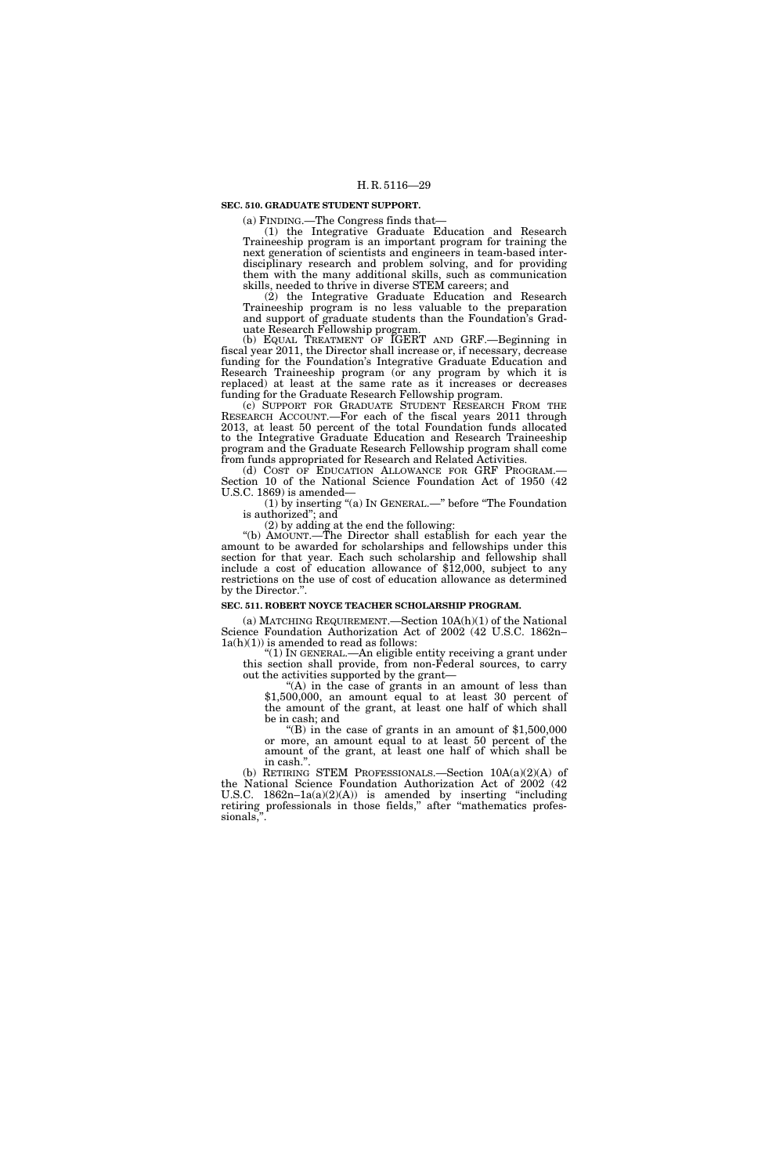### **SEC. 510. GRADUATE STUDENT SUPPORT.**

(a) FINDING.—The Congress finds that—

(1) the Integrative Graduate Education and Research Traineeship program is an important program for training the next generation of scientists and engineers in team-based interdisciplinary research and problem solving, and for providing them with the many additional skills, such as communication skills, needed to thrive in diverse STEM careers; and

(2) the Integrative Graduate Education and Research Traineeship program is no less valuable to the preparation and support of graduate students than the Foundation's Graduate Research Fellowship program.

(b) EQUAL TREATMENT OF IGERT AND GRF.—Beginning in fiscal year 2011, the Director shall increase or, if necessary, decrease funding for the Foundation's Integrative Graduate Education and Research Traineeship program (or any program by which it is replaced) at least at the same rate as it increases or decreases funding for the Graduate Research Fellowship program.

(c) SUPPORT FOR GRADUATE STUDENT RESEARCH FROM THE RESEARCH ACCOUNT.—For each of the fiscal years 2011 through 2013, at least 50 percent of the total Foundation funds allocated to the Integrative Graduate Education and Research Traineeship program and the Graduate Research Fellowship program shall come from funds appropriated for Research and Related Activities.

(d) COST OF EDUCATION ALLOWANCE FOR GRF PROGRAM.— Section 10 of the National Science Foundation Act of 1950 (42 U.S.C. 1869) is amended—

(1) by inserting "(a) IN GENERAL.—" before "The Foundation is authorized''; and

(2) by adding at the end the following:

''(b) AMOUNT.—The Director shall establish for each year the amount to be awarded for scholarships and fellowships under this section for that year. Each such scholarship and fellowship shall include a cost of education allowance of \$12,000, subject to any restrictions on the use of cost of education allowance as determined by the Director.''.

#### **SEC. 511. ROBERT NOYCE TEACHER SCHOLARSHIP PROGRAM.**

(a) MATCHING REQUIREMENT.—Section 10A(h)(1) of the National Science Foundation Authorization Act of 2002 (42 U.S.C. 1862n–  $1a(h)(1)$ ) is amended to read as follows:

''(1) IN GENERAL.—An eligible entity receiving a grant under this section shall provide, from non-Federal sources, to carry out the activities supported by the grant—

 $(A)$  in the case of grants in an amount of less than \$1,500,000, an amount equal to at least 30 percent of the amount of the grant, at least one half of which shall be in cash; and

"(B) in the case of grants in an amount of  $$1,500,000$ or more, an amount equal to at least 50 percent of the amount of the grant, at least one half of which shall be in cash."

(b) RETIRING STEM PROFESSIONALS.—Section 10A(a)(2)(A) of the National Science Foundation Authorization Act of 2002 (42 U.S.C.  $1862n-1a(a)(2)(A)$  is amended by inserting "including" retiring professionals in those fields," after "mathematics professionals,''.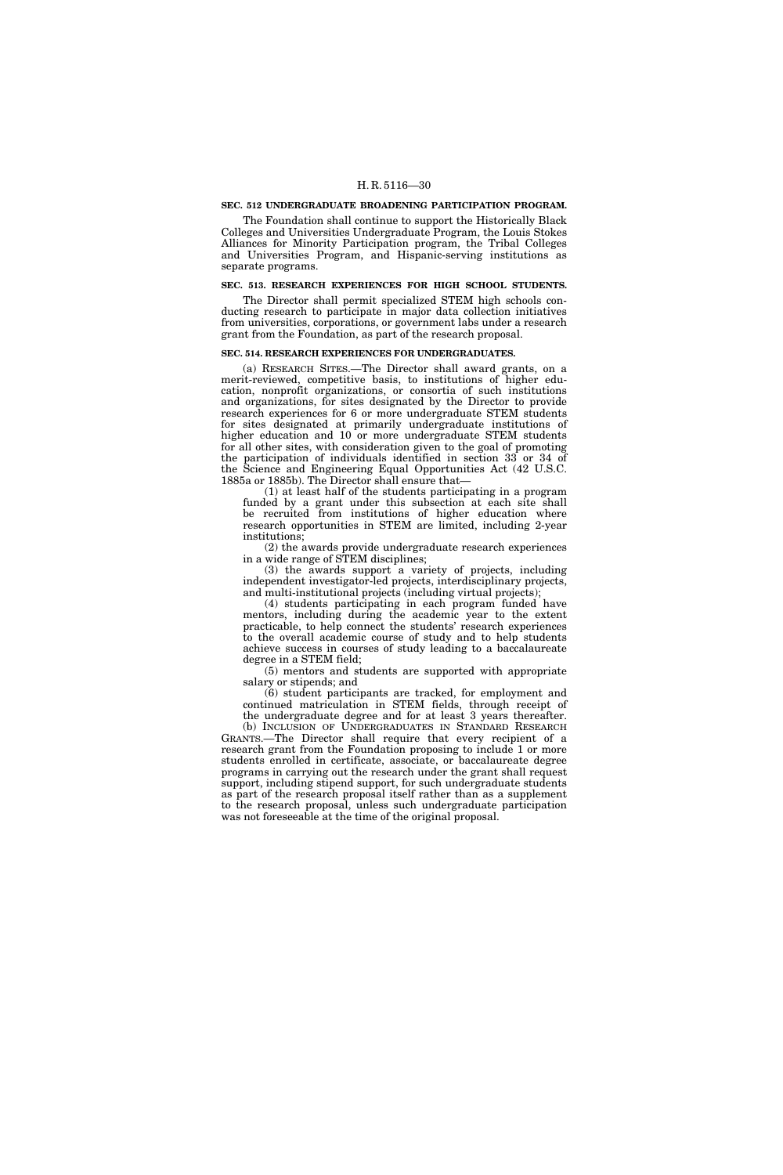#### **SEC. 512 UNDERGRADUATE BROADENING PARTICIPATION PROGRAM.**

The Foundation shall continue to support the Historically Black Colleges and Universities Undergraduate Program, the Louis Stokes Alliances for Minority Participation program, the Tribal Colleges and Universities Program, and Hispanic-serving institutions as separate programs.

#### **SEC. 513. RESEARCH EXPERIENCES FOR HIGH SCHOOL STUDENTS.**

The Director shall permit specialized STEM high schools conducting research to participate in major data collection initiatives from universities, corporations, or government labs under a research grant from the Foundation, as part of the research proposal.

#### **SEC. 514. RESEARCH EXPERIENCES FOR UNDERGRADUATES.**

(a) RESEARCH SITES.—The Director shall award grants, on a merit-reviewed, competitive basis, to institutions of higher education, nonprofit organizations, or consortia of such institutions and organizations, for sites designated by the Director to provide research experiences for 6 or more undergraduate STEM students for sites designated at primarily undergraduate institutions of higher education and 10 or more undergraduate STEM students for all other sites, with consideration given to the goal of promoting the participation of individuals identified in section 33 or 34 of the Science and Engineering Equal Opportunities Act (42 U.S.C. 1885a or 1885b). The Director shall ensure that—

(1) at least half of the students participating in a program funded by a grant under this subsection at each site shall be recruited from institutions of higher education where research opportunities in STEM are limited, including 2-year institutions;

(2) the awards provide undergraduate research experiences in a wide range of STEM disciplines;

(3) the awards support a variety of projects, including independent investigator-led projects, interdisciplinary projects, and multi-institutional projects (including virtual projects);

(4) students participating in each program funded have mentors, including during the academic year to the extent practicable, to help connect the students' research experiences to the overall academic course of study and to help students achieve success in courses of study leading to a baccalaureate degree in a STEM field;

(5) mentors and students are supported with appropriate salary or stipends; and

(6) student participants are tracked, for employment and continued matriculation in STEM fields, through receipt of the undergraduate degree and for at least 3 years thereafter.

(b) INCLUSION OF UNDERGRADUATES IN STANDARD RESEARCH GRANTS.—The Director shall require that every recipient of a research grant from the Foundation proposing to include 1 or more students enrolled in certificate, associate, or baccalaureate degree programs in carrying out the research under the grant shall request support, including stipend support, for such undergraduate students as part of the research proposal itself rather than as a supplement to the research proposal, unless such undergraduate participation was not foreseeable at the time of the original proposal.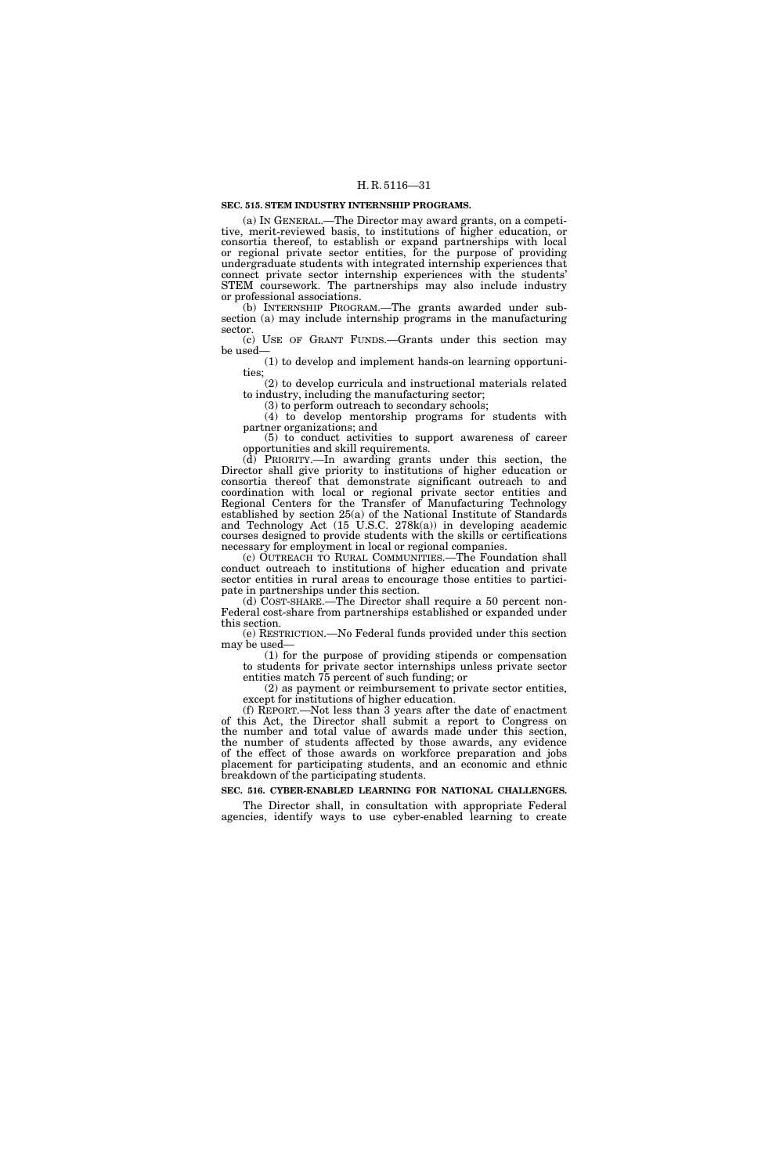#### **SEC. 515. STEM INDUSTRY INTERNSHIP PROGRAMS.**

(a) IN GENERAL.—The Director may award grants, on a competitive, merit-reviewed basis, to institutions of higher education, or consortia thereof, to establish or expand partnerships with local or regional private sector entities, for the purpose of providing undergraduate students with integrated internship experiences that connect private sector internship experiences with the students' STEM coursework. The partnerships may also include industry or professional associations.

(b) INTERNSHIP PROGRAM.—The grants awarded under subsection (a) may include internship programs in the manufacturing sector.

(c) USE OF GRANT FUNDS.—Grants under this section may be used—

(1) to develop and implement hands-on learning opportunities;

(2) to develop curricula and instructional materials related to industry, including the manufacturing sector;

(3) to perform outreach to secondary schools;

(4) to develop mentorship programs for students with partner organizations; and

(5) to conduct activities to support awareness of career opportunities and skill requirements.

 $(d)$  PRIORITY.—In awarding grants under this section, the Director shall give priority to institutions of higher education or consortia thereof that demonstrate significant outreach to and coordination with local or regional private sector entities and Regional Centers for the Transfer of Manufacturing Technology established by section 25(a) of the National Institute of Standards and Technology Act (15 U.S.C. 278k(a)) in developing academic courses designed to provide students with the skills or certifications necessary for employment in local or regional companies.

(c) OUTREACH TO RURAL COMMUNITIES.—The Foundation shall conduct outreach to institutions of higher education and private sector entities in rural areas to encourage those entities to participate in partnerships under this section.

(d) COST-SHARE.—The Director shall require a 50 percent non-Federal cost-share from partnerships established or expanded under this section.

(e) RESTRICTION.—No Federal funds provided under this section may be used—

(1) for the purpose of providing stipends or compensation to students for private sector internships unless private sector entities match 75 percent of such funding; or

(2) as payment or reimbursement to private sector entities, except for institutions of higher education.

(f) REPORT.—Not less than 3 years after the date of enactment of this Act, the Director shall submit a report to Congress on the number and total value of awards made under this section, the number of students affected by those awards, any evidence of the effect of those awards on workforce preparation and jobs placement for participating students, and an economic and ethnic breakdown of the participating students.

**SEC. 516. CYBER-ENABLED LEARNING FOR NATIONAL CHALLENGES.** 

The Director shall, in consultation with appropriate Federal agencies, identify ways to use cyber-enabled learning to create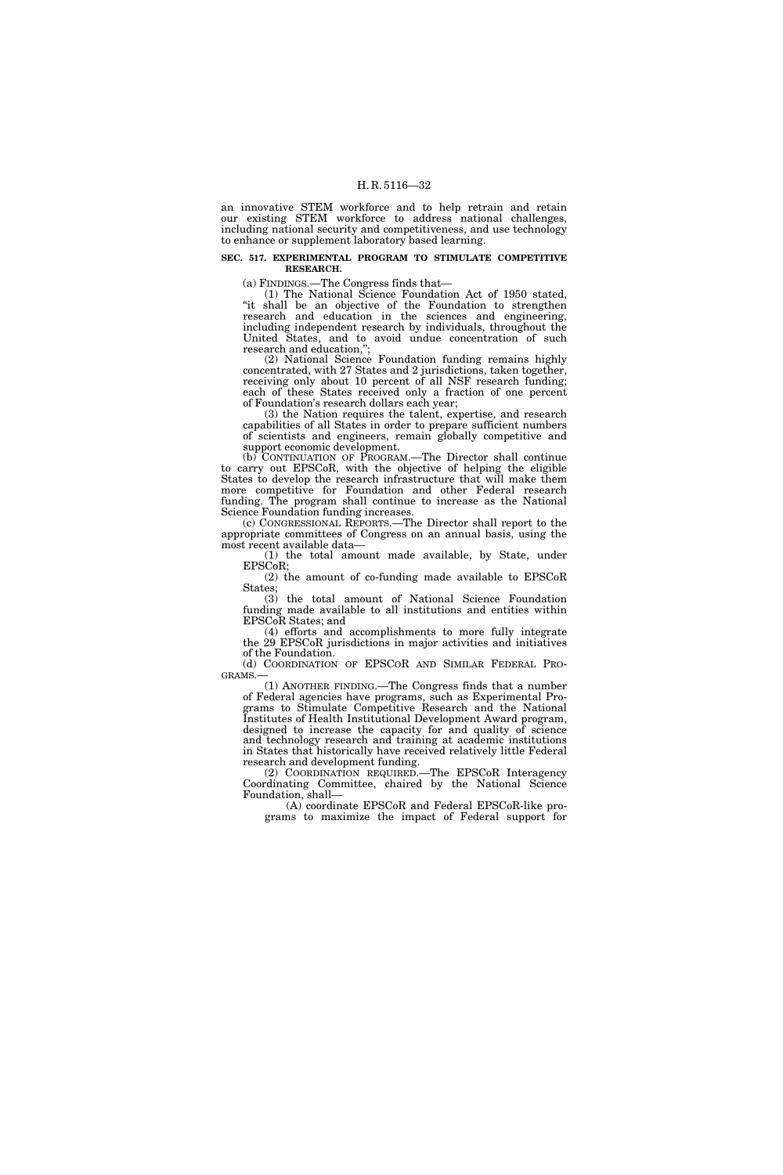an innovative STEM workforce and to help retrain and retain our existing STEM workforce to address national challenges, including national security and competitiveness, and use technology to enhance or supplement laboratory based learning.

#### **SEC. 517. EXPERIMENTAL PROGRAM TO STIMULATE COMPETITIVE RESEARCH.**

(a) FINDINGS.—The Congress finds that—

(1) The National Science Foundation Act of 1950 stated, "it shall be an objective of the Foundation to strengthen research and education in the sciences and engineering, including independent research by individuals, throughout the United States, and to avoid undue concentration of such research and education,'';

(2) National Science Foundation funding remains highly concentrated, with 27 States and 2 jurisdictions, taken together, receiving only about 10 percent of all NSF research funding; each of these States received only a fraction of one percent of Foundation's research dollars each year;

(3) the Nation requires the talent, expertise, and research capabilities of all States in order to prepare sufficient numbers of scientists and engineers, remain globally competitive and support economic development.

(b) CONTINUATION OF PROGRAM.—The Director shall continue to carry out EPSCoR, with the objective of helping the eligible States to develop the research infrastructure that will make them more competitive for Foundation and other Federal research funding. The program shall continue to increase as the National Science Foundation funding increases.

(c) CONGRESSIONAL REPORTS.—The Director shall report to the appropriate committees of Congress on an annual basis, using the most recent available data—

(1) the total amount made available, by State, under EPSCoR;

(2) the amount of co-funding made available to EPSCoR States;

(3) the total amount of National Science Foundation funding made available to all institutions and entities within EPSCoR States; and

(4) efforts and accomplishments to more fully integrate the 29 EPSCoR jurisdictions in major activities and initiatives of the Foundation.

(d) COORDINATION OF EPSCOR AND SIMILAR FEDERAL PRO-GRAMS.—

(1) ANOTHER FINDING.—The Congress finds that a number of Federal agencies have programs, such as Experimental Programs to Stimulate Competitive Research and the National Institutes of Health Institutional Development Award program, designed to increase the capacity for and quality of science and technology research and training at academic institutions in States that historically have received relatively little Federal research and development funding.

(2) COORDINATION REQUIRED.—The EPSCoR Interagency Coordinating Committee, chaired by the National Science Foundation, shall—

(A) coordinate EPSCoR and Federal EPSCoR-like programs to maximize the impact of Federal support for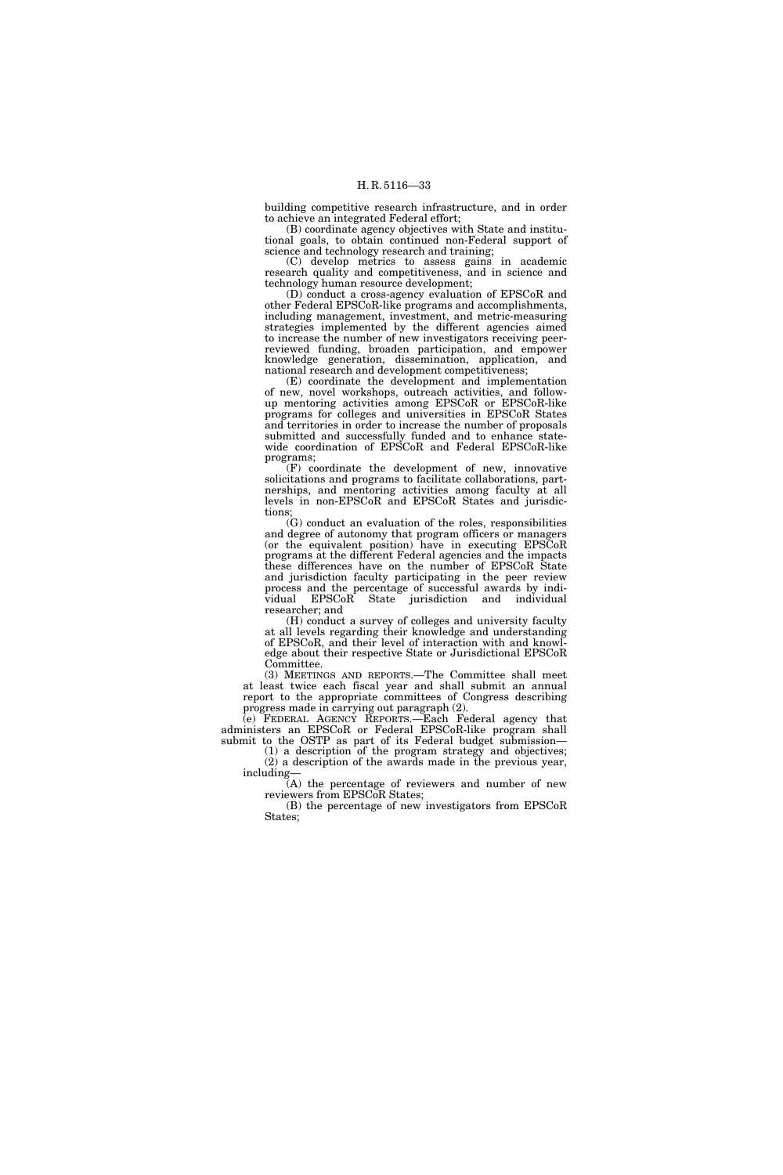building competitive research infrastructure, and in order to achieve an integrated Federal effort;

(B) coordinate agency objectives with State and institutional goals, to obtain continued non-Federal support of science and technology research and training;

(C) develop metrics to assess gains in academic research quality and competitiveness, and in science and technology human resource development;

(D) conduct a cross-agency evaluation of EPSCoR and other Federal EPSCoR-like programs and accomplishments, including management, investment, and metric-measuring strategies implemented by the different agencies aimed to increase the number of new investigators receiving peerreviewed funding, broaden participation, and empower knowledge generation, dissemination, application, and national research and development competitiveness;

(E) coordinate the development and implementation of new, novel workshops, outreach activities, and followup mentoring activities among EPSCoR or EPSCoR-like programs for colleges and universities in EPSCoR States and territories in order to increase the number of proposals submitted and successfully funded and to enhance statewide coordination of EPSCoR and Federal EPSCoR-like programs;

(F) coordinate the development of new, innovative solicitations and programs to facilitate collaborations, partnerships, and mentoring activities among faculty at all levels in non-EPSCoR and EPSCoR States and jurisdictions;

 $(G)$  conduct an evaluation of the roles, responsibilities and degree of autonomy that program officers or managers (or the equivalent position) have in executing EPSCoR programs at the different Federal agencies and the impacts these differences have on the number of EPSCoR State and jurisdiction faculty participating in the peer review process and the percentage of successful awards by individual EPSCoR State jurisdiction and individual researcher; and

(H) conduct a survey of colleges and university faculty at all levels regarding their knowledge and understanding of EPSCoR, and their level of interaction with and knowledge about their respective State or Jurisdictional EPSCoR Committee.

(3) MEETINGS AND REPORTS.—The Committee shall meet at least twice each fiscal year and shall submit an annual report to the appropriate committees of Congress describing progress made in carrying out paragraph (2).

(e) FEDERAL AGENCY REPORTS.—Each Federal agency that administers an EPSCoR or Federal EPSCoR-like program shall submit to the OSTP as part of its Federal budget submission—

(1) a description of the program strategy and objectives; (2) a description of the awards made in the previous year, including—

(A) the percentage of reviewers and number of new reviewers from EPSCoR States;

(B) the percentage of new investigators from EPSCoR States;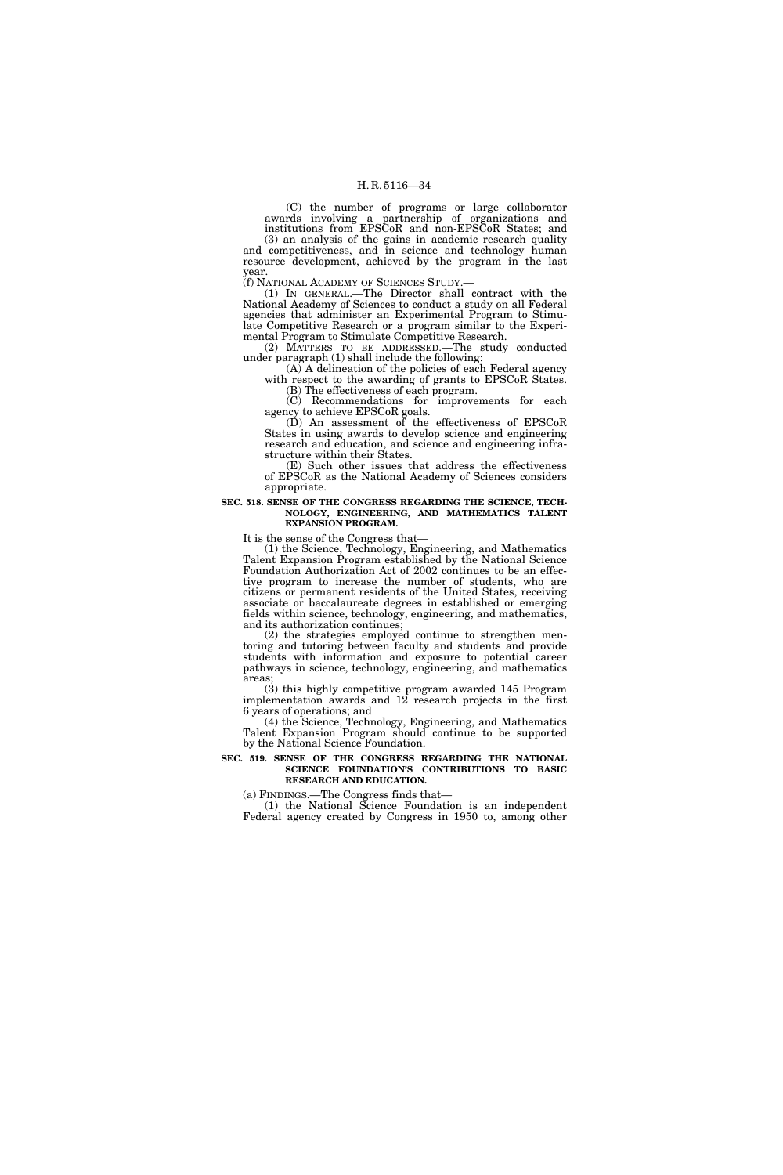(C) the number of programs or large collaborator awards involving a partnership of organizations and institutions from EPSCoR and non-EPSCoR States; and

(3) an analysis of the gains in academic research quality and competitiveness, and in science and technology human resource development, achieved by the program in the last year.<br>(f) NATIONAL ACADEMY OF SCIENCES STUDY.—

(1) IN GENERAL.—The Director shall contract with the National Academy of Sciences to conduct a study on all Federal agencies that administer an Experimental Program to Stimulate Competitive Research or a program similar to the Experimental Program to Stimulate Competitive Research.

(2) MATTERS TO BE ADDRESSED.—The study conducted under paragraph (1) shall include the following:

(A) A delineation of the policies of each Federal agency with respect to the awarding of grants to EPSCoR States.

(B) The effectiveness of each program. (C) Recommendations for improvements for each agency to achieve EPSCoR goals.

(D) An assessment of the effectiveness of EPSCoR States in using awards to develop science and engineering research and education, and science and engineering infrastructure within their States.

(E) Such other issues that address the effectiveness of EPSCoR as the National Academy of Sciences considers appropriate.

**SEC. 518. SENSE OF THE CONGRESS REGARDING THE SCIENCE, TECH-NOLOGY, ENGINEERING, AND MATHEMATICS TALENT EXPANSION PROGRAM.** 

It is the sense of the Congress that—

(1) the Science, Technology, Engineering, and Mathematics Talent Expansion Program established by the National Science Foundation Authorization Act of 2002 continues to be an effective program to increase the number of students, who are citizens or permanent residents of the United States, receiving associate or baccalaureate degrees in established or emerging fields within science, technology, engineering, and mathematics, and its authorization continues;

(2) the strategies employed continue to strengthen mentoring and tutoring between faculty and students and provide students with information and exposure to potential career pathways in science, technology, engineering, and mathematics areas;

(3) this highly competitive program awarded 145 Program implementation awards and 12 research projects in the first 6 years of operations; and

(4) the Science, Technology, Engineering, and Mathematics Talent Expansion Program should continue to be supported by the National Science Foundation.

#### **SEC. 519. SENSE OF THE CONGRESS REGARDING THE NATIONAL SCIENCE FOUNDATION'S CONTRIBUTIONS TO BASIC RESEARCH AND EDUCATION.**

(a) FINDINGS.—The Congress finds that—

(1) the National Science Foundation is an independent Federal agency created by Congress in 1950 to, among other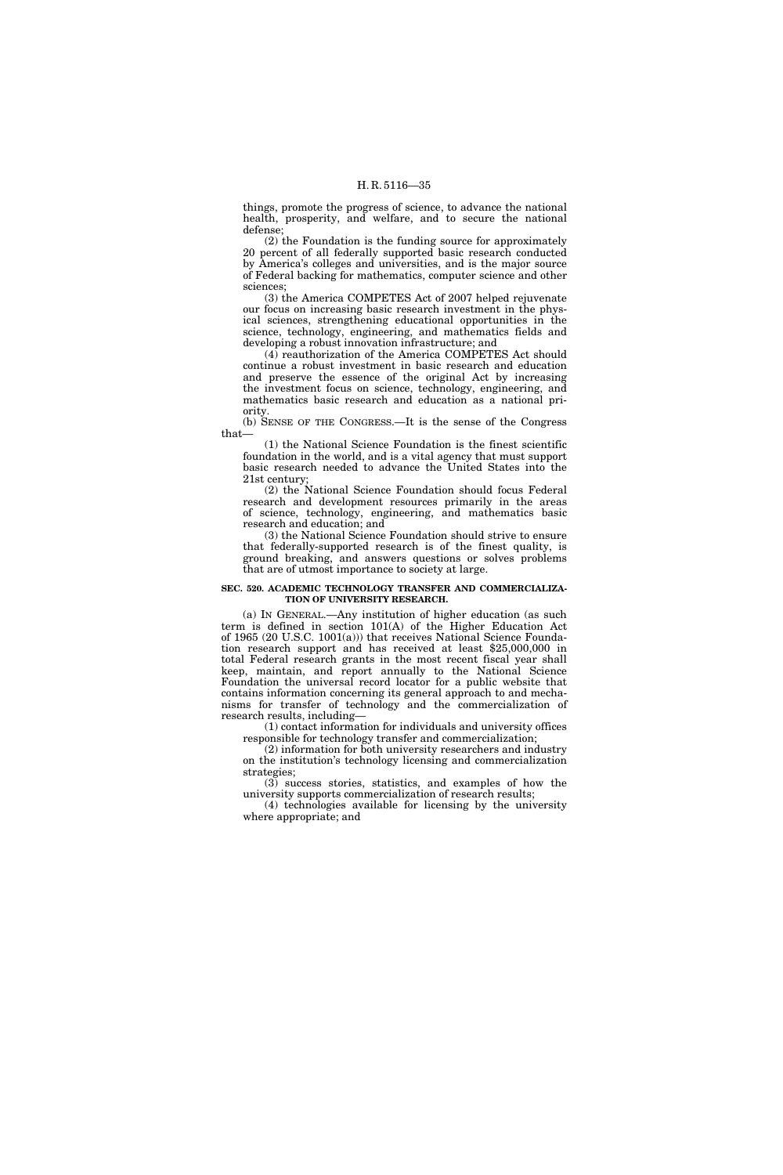things, promote the progress of science, to advance the national health, prosperity, and welfare, and to secure the national defense;

(2) the Foundation is the funding source for approximately 20 percent of all federally supported basic research conducted by America's colleges and universities, and is the major source of Federal backing for mathematics, computer science and other sciences;

(3) the America COMPETES Act of 2007 helped rejuvenate our focus on increasing basic research investment in the physical sciences, strengthening educational opportunities in the science, technology, engineering, and mathematics fields and developing a robust innovation infrastructure; and

(4) reauthorization of the America COMPETES Act should continue a robust investment in basic research and education and preserve the essence of the original Act by increasing the investment focus on science, technology, engineering, and mathematics basic research and education as a national priority.

(b) SENSE OF THE CONGRESS.—It is the sense of the Congress that—

(1) the National Science Foundation is the finest scientific foundation in the world, and is a vital agency that must support basic research needed to advance the United States into the 21st century;

(2) the National Science Foundation should focus Federal research and development resources primarily in the areas of science, technology, engineering, and mathematics basic research and education; and

(3) the National Science Foundation should strive to ensure that federally-supported research is of the finest quality, is ground breaking, and answers questions or solves problems that are of utmost importance to society at large.

#### **SEC. 520. ACADEMIC TECHNOLOGY TRANSFER AND COMMERCIALIZA-TION OF UNIVERSITY RESEARCH.**

(a) IN GENERAL.—Any institution of higher education (as such term is defined in section 101(A) of the Higher Education Act of 1965 (20 U.S.C. 1001(a))) that receives National Science Foundation research support and has received at least \$25,000,000 in total Federal research grants in the most recent fiscal year shall keep, maintain, and report annually to the National Science Foundation the universal record locator for a public website that contains information concerning its general approach to and mechanisms for transfer of technology and the commercialization of research results, including—

(1) contact information for individuals and university offices responsible for technology transfer and commercialization;

(2) information for both university researchers and industry on the institution's technology licensing and commercialization strategies;

(3) success stories, statistics, and examples of how the university supports commercialization of research results;

(4) technologies available for licensing by the university where appropriate; and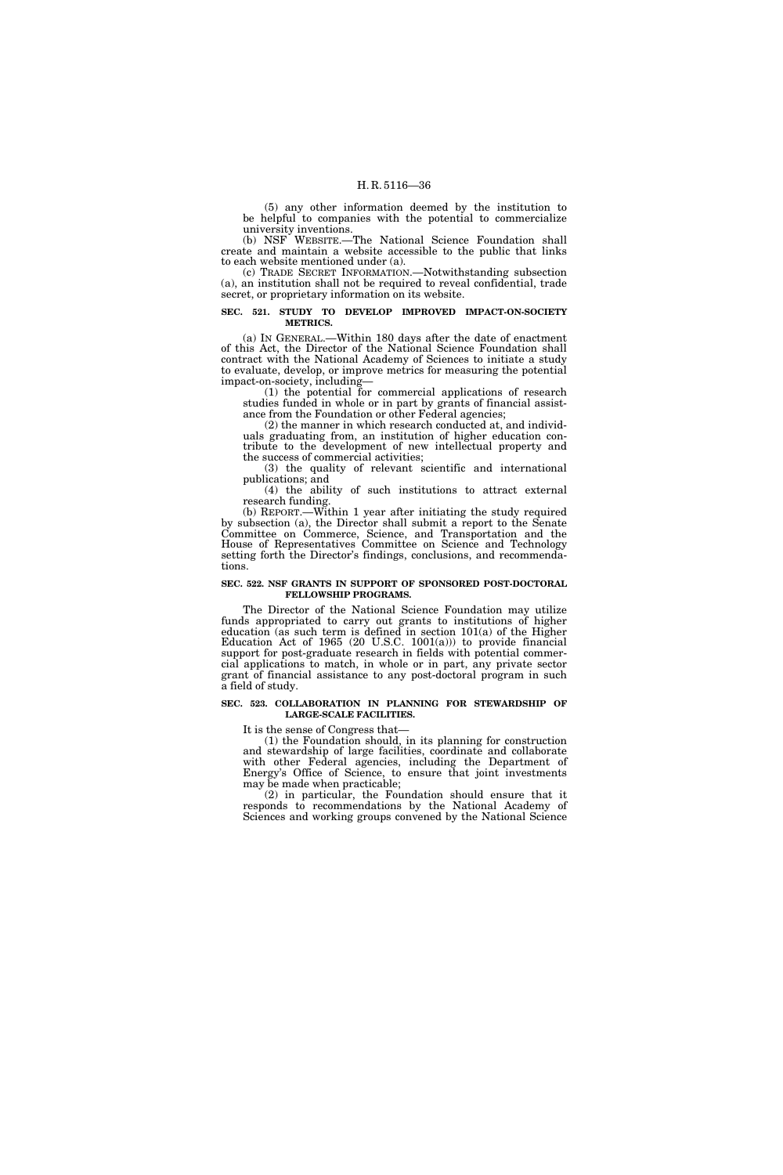(5) any other information deemed by the institution to be helpful to companies with the potential to commercialize university inventions.

(b) NSF WEBSITE.—The National Science Foundation shall create and maintain a website accessible to the public that links to each website mentioned under (a).

(c) TRADE SECRET INFORMATION.—Notwithstanding subsection (a), an institution shall not be required to reveal confidential, trade secret, or proprietary information on its website.

#### **SEC. 521. STUDY TO DEVELOP IMPROVED IMPACT-ON-SOCIETY METRICS.**

(a) IN GENERAL.—Within 180 days after the date of enactment of this Act, the Director of the National Science Foundation shall contract with the National Academy of Sciences to initiate a study to evaluate, develop, or improve metrics for measuring the potential impact-on-society, including—

(1) the potential for commercial applications of research studies funded in whole or in part by grants of financial assistance from the Foundation or other Federal agencies;

(2) the manner in which research conducted at, and individuals graduating from, an institution of higher education contribute to the development of new intellectual property and the success of commercial activities;

(3) the quality of relevant scientific and international publications; and

(4) the ability of such institutions to attract external research funding.

(b) REPORT.—Within 1 year after initiating the study required by subsection (a), the Director shall submit a report to the Senate Committee on Commerce, Science, and Transportation and the House of Representatives Committee on Science and Technology setting forth the Director's findings, conclusions, and recommendations.

#### **SEC. 522. NSF GRANTS IN SUPPORT OF SPONSORED POST-DOCTORAL FELLOWSHIP PROGRAMS.**

The Director of the National Science Foundation may utilize funds appropriated to carry out grants to institutions of higher education (as such term is defined in section 101(a) of the Higher Education Act of 1965 (20 U.S.C. 1001(a))) to provide financial support for post-graduate research in fields with potential commercial applications to match, in whole or in part, any private sector grant of financial assistance to any post-doctoral program in such a field of study.

#### **SEC. 523. COLLABORATION IN PLANNING FOR STEWARDSHIP OF LARGE-SCALE FACILITIES.**

It is the sense of Congress that-

(1) the Foundation should, in its planning for construction and stewardship of large facilities, coordinate and collaborate with other Federal agencies, including the Department of Energy's Office of Science, to ensure that joint investments may be made when practicable;

(2) in particular, the Foundation should ensure that it responds to recommendations by the National Academy of Sciences and working groups convened by the National Science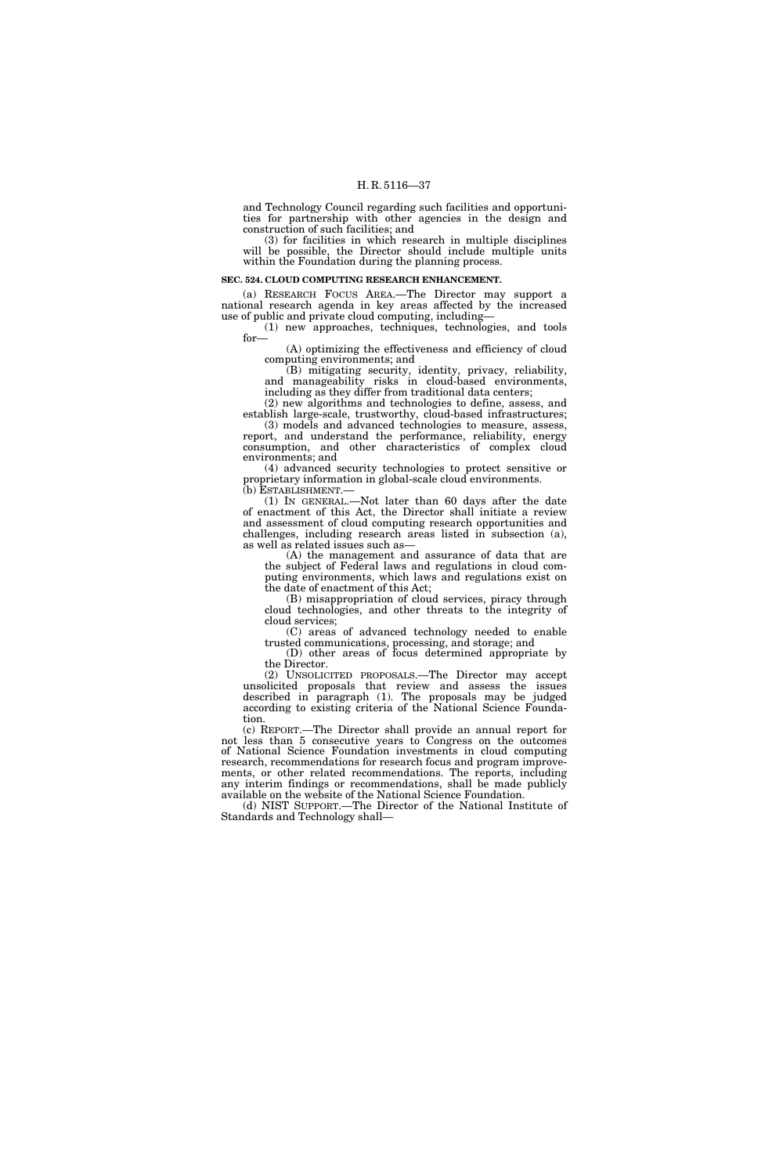and Technology Council regarding such facilities and opportunities for partnership with other agencies in the design and construction of such facilities; and

(3) for facilities in which research in multiple disciplines will be possible, the Director should include multiple units within the Foundation during the planning process.

#### **SEC. 524. CLOUD COMPUTING RESEARCH ENHANCEMENT.**

(a) RESEARCH FOCUS AREA.—The Director may support a national research agenda in key areas affected by the increased use of public and private cloud computing, including—

(1) new approaches, techniques, technologies, and tools for—

(A) optimizing the effectiveness and efficiency of cloud computing environments; and

(B) mitigating security, identity, privacy, reliability, and manageability risks in cloud-based environments, including as they differ from traditional data centers;

(2) new algorithms and technologies to define, assess, and establish large-scale, trustworthy, cloud-based infrastructures; (3) models and advanced technologies to measure, assess,

report, and understand the performance, reliability, energy consumption, and other characteristics of complex cloud environments; and

(4) advanced security technologies to protect sensitive or proprietary information in global-scale cloud environments.<br>(b) ESTABLISHMENT.—

 $(1)$  In GENERAL.—Not later than 60 days after the date of enactment of this Act, the Director shall initiate a review and assessment of cloud computing research opportunities and challenges, including research areas listed in subsection (a), as well as related issues such as—

(A) the management and assurance of data that are the subject of Federal laws and regulations in cloud computing environments, which laws and regulations exist on the date of enactment of this Act;

(B) misappropriation of cloud services, piracy through cloud technologies, and other threats to the integrity of cloud services;

(C) areas of advanced technology needed to enable trusted communications, processing, and storage; and

(D) other areas of focus determined appropriate by the Director.

(2) UNSOLICITED PROPOSALS.—The Director may accept unsolicited proposals that review and assess the issues described in paragraph (1). The proposals may be judged according to existing criteria of the National Science Foundation.

(c) REPORT.—The Director shall provide an annual report for not less than 5 consecutive years to Congress on the outcomes of National Science Foundation investments in cloud computing research, recommendations for research focus and program improvements, or other related recommendations. The reports, including any interim findings or recommendations, shall be made publicly available on the website of the National Science Foundation.

(d) NIST SUPPORT.—The Director of the National Institute of Standards and Technology shall—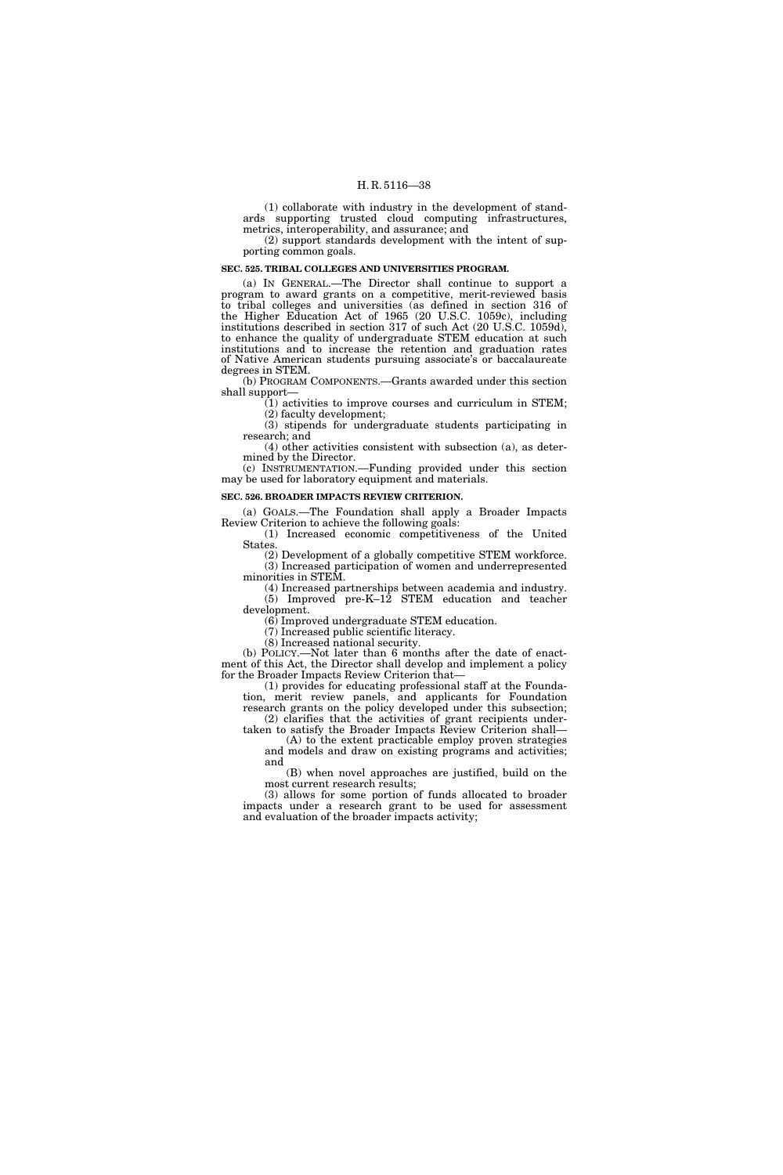(1) collaborate with industry in the development of standards supporting trusted cloud computing infrastructures, metrics, interoperability, and assurance; and

(2) support standards development with the intent of supporting common goals.

#### **SEC. 525. TRIBAL COLLEGES AND UNIVERSITIES PROGRAM.**

(a) IN GENERAL.—The Director shall continue to support a program to award grants on a competitive, merit-reviewed basis to tribal colleges and universities (as defined in section 316 of the Higher Education Act of 1965 (20 U.S.C. 1059c), including institutions described in section 317 of such Act (20 U.S.C. 1059d), to enhance the quality of undergraduate STEM education at such institutions and to increase the retention and graduation rates of Native American students pursuing associate's or baccalaureate degrees in STEM.

(b) PROGRAM COMPONENTS.—Grants awarded under this section shall support—

(1) activities to improve courses and curriculum in STEM; (2) faculty development;

(3) stipends for undergraduate students participating in research; and

(4) other activities consistent with subsection (a), as determined by the Director.

(c) INSTRUMENTATION.—Funding provided under this section may be used for laboratory equipment and materials.

#### **SEC. 526. BROADER IMPACTS REVIEW CRITERION.**

(a) GOALS.—The Foundation shall apply a Broader Impacts Review Criterion to achieve the following goals:

(1) Increased economic competitiveness of the United States. (2) Development of a globally competitive STEM workforce.

(3) Increased participation of women and underrepresented minorities in STEM.

(4) Increased partnerships between academia and industry. (5) Improved pre-K–12 STEM education and teacher development.

(6) Improved undergraduate STEM education.

(7) Increased public scientific literacy.

(8) Increased national security.

(b) POLICY.—Not later than 6 months after the date of enactment of this Act, the Director shall develop and implement a policy for the Broader Impacts Review Criterion that—

(1) provides for educating professional staff at the Foundation, merit review panels, and applicants for Foundation research grants on the policy developed under this subsection;

(2) clarifies that the activities of grant recipients undertaken to satisfy the Broader Impacts Review Criterion shall— (A) to the extent practicable employ proven strategies

and models and draw on existing programs and activities; and

(B) when novel approaches are justified, build on the most current research results;

(3) allows for some portion of funds allocated to broader impacts under a research grant to be used for assessment and evaluation of the broader impacts activity;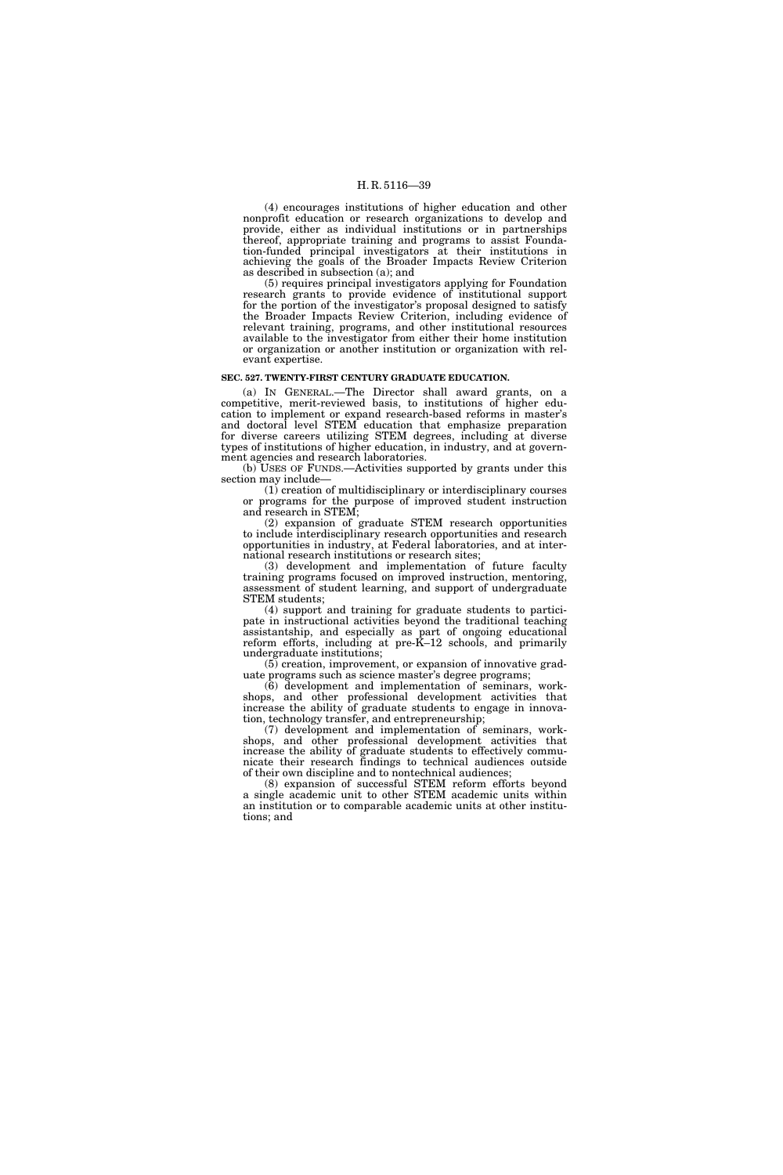(4) encourages institutions of higher education and other nonprofit education or research organizations to develop and provide, either as individual institutions or in partnerships thereof, appropriate training and programs to assist Foundation-funded principal investigators at their institutions in achieving the goals of the Broader Impacts Review Criterion as described in subsection (a); and

(5) requires principal investigators applying for Foundation research grants to provide evidence of institutional support for the portion of the investigator's proposal designed to satisfy the Broader Impacts Review Criterion, including evidence of relevant training, programs, and other institutional resources available to the investigator from either their home institution or organization or another institution or organization with relevant expertise.

#### **SEC. 527. TWENTY-FIRST CENTURY GRADUATE EDUCATION.**

(a) IN GENERAL.—The Director shall award grants, on a competitive, merit-reviewed basis, to institutions of higher education to implement or expand research-based reforms in master's and doctoral level STEM education that emphasize preparation for diverse careers utilizing STEM degrees, including at diverse types of institutions of higher education, in industry, and at government agencies and research laboratories.

(b) USES OF FUNDS.—Activities supported by grants under this section may include—

(1) creation of multidisciplinary or interdisciplinary courses or programs for the purpose of improved student instruction and research in STEM;

(2) expansion of graduate STEM research opportunities to include interdisciplinary research opportunities and research opportunities in industry, at Federal laboratories, and at international research institutions or research sites;

(3) development and implementation of future faculty training programs focused on improved instruction, mentoring, assessment of student learning, and support of undergraduate STEM students;

(4) support and training for graduate students to participate in instructional activities beyond the traditional teaching assistantship, and especially as part of ongoing educational reform efforts, including at pre-K–12 schools, and primarily undergraduate institutions;

(5) creation, improvement, or expansion of innovative graduate programs such as science master's degree programs;

(6) development and implementation of seminars, workshops, and other professional development activities that increase the ability of graduate students to engage in innovation, technology transfer, and entrepreneurship;

(7) development and implementation of seminars, workshops, and other professional development activities that increase the ability of graduate students to effectively communicate their research findings to technical audiences outside of their own discipline and to nontechnical audiences;

(8) expansion of successful STEM reform efforts beyond a single academic unit to other STEM academic units within an institution or to comparable academic units at other institutions; and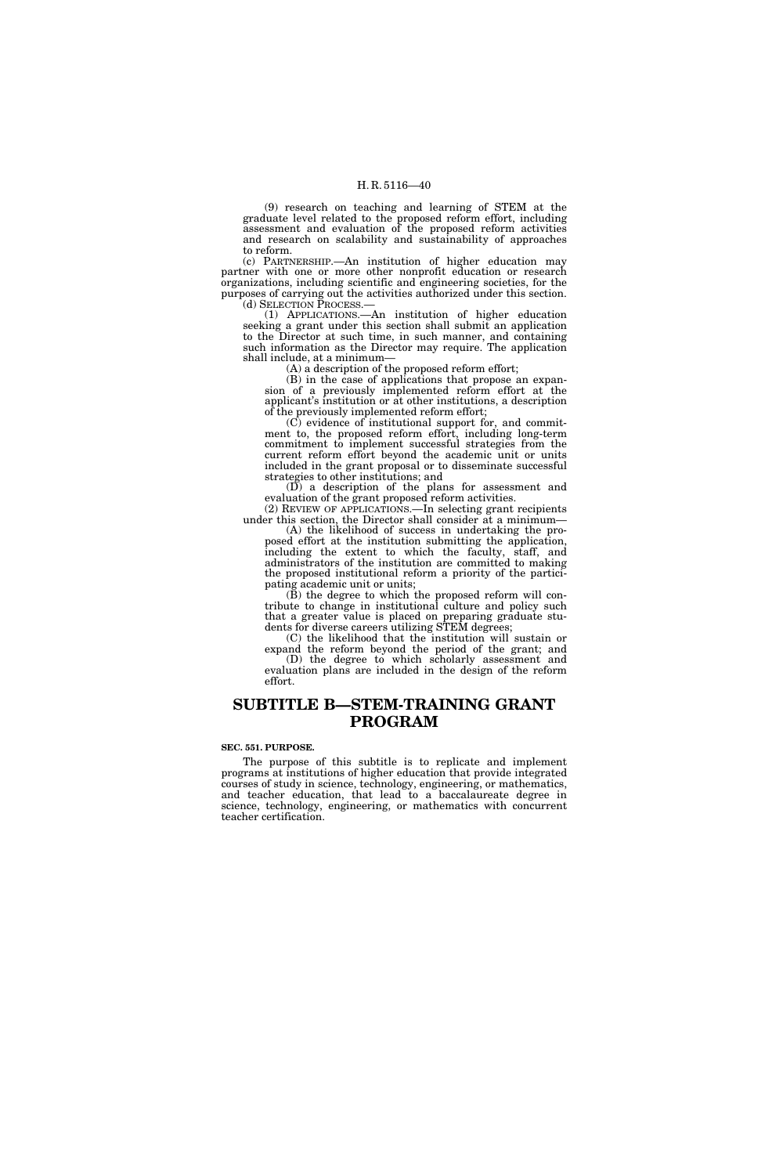(9) research on teaching and learning of STEM at the graduate level related to the proposed reform effort, including assessment and evaluation of the proposed reform activities and research on scalability and sustainability of approaches to reform.

(c) PARTNERSHIP.—An institution of higher education may partner with one or more other nonprofit education or research organizations, including scientific and engineering societies, for the purposes of carrying out the activities authorized under this section.<br>(d) SELECTION PROCESS.—

(1) APPLICATIONS.—An institution of higher education seeking a grant under this section shall submit an application to the Director at such time, in such manner, and containing such information as the Director may require. The application shall include, at a minimum—

(A) a description of the proposed reform effort;

(B) in the case of applications that propose an expansion of a previously implemented reform effort at the applicant's institution or at other institutions, a description of the previously implemented reform effort;

(C) evidence of institutional support for, and commitment to, the proposed reform effort, including long-term commitment to implement successful strategies from the current reform effort beyond the academic unit or units included in the grant proposal or to disseminate successful strategies to other institutions; and

(D) a description of the plans for assessment and evaluation of the grant proposed reform activities. (2) REVIEW OF APPLICATIONS.—In selecting grant recipients

under this section, the Director shall consider at a minimum— (A) the likelihood of success in undertaking the pro-

posed effort at the institution submitting the application, including the extent to which the faculty, staff, and administrators of the institution are committed to making the proposed institutional reform a priority of the participating academic unit or units;

(B) the degree to which the proposed reform will contribute to change in institutional culture and policy such that a greater value is placed on preparing graduate students for diverse careers utilizing STEM degrees;

(C) the likelihood that the institution will sustain or expand the reform beyond the period of the grant; and (D) the degree to which scholarly assessment and evaluation plans are included in the design of the reform effort.

### **SUBTITLE B—STEM-TRAINING GRANT PROGRAM**

#### **SEC. 551. PURPOSE.**

The purpose of this subtitle is to replicate and implement programs at institutions of higher education that provide integrated courses of study in science, technology, engineering, or mathematics, and teacher education, that lead to a baccalaureate degree in science, technology, engineering, or mathematics with concurrent teacher certification.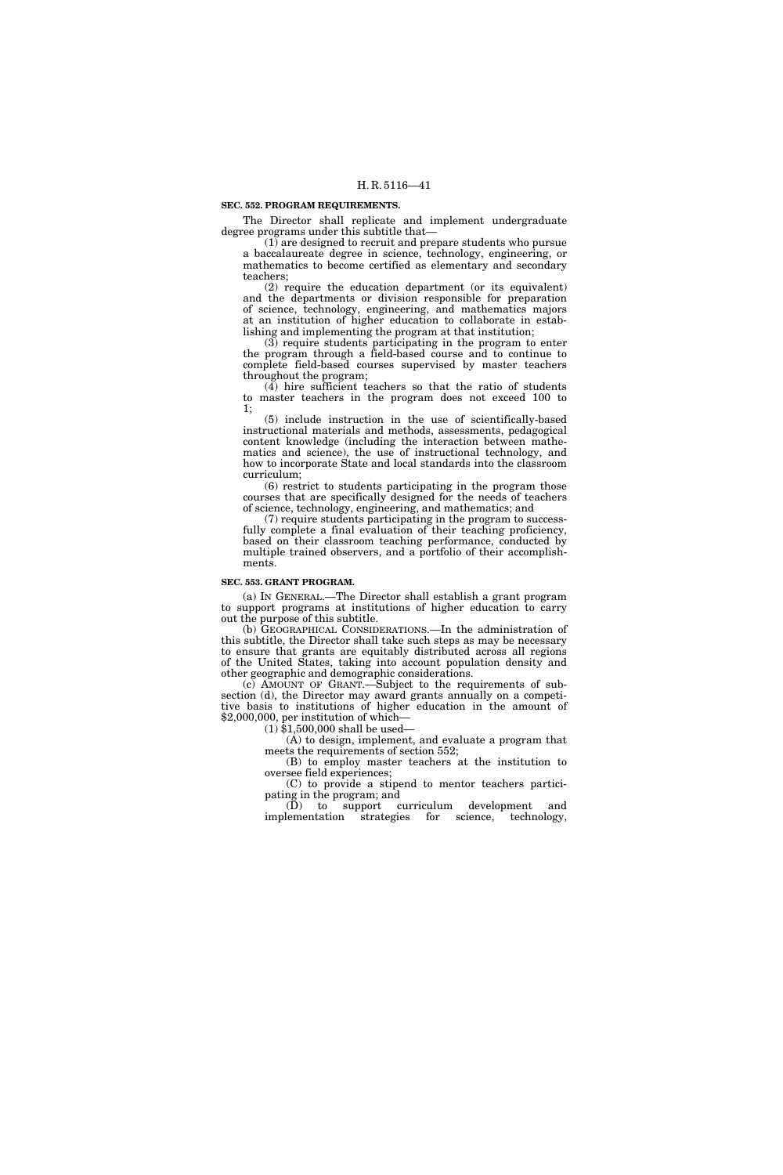**SEC. 552. PROGRAM REQUIREMENTS.** 

The Director shall replicate and implement undergraduate degree programs under this subtitle that-

(1) are designed to recruit and prepare students who pursue a baccalaureate degree in science, technology, engineering, or mathematics to become certified as elementary and secondary teachers;

(2) require the education department (or its equivalent) and the departments or division responsible for preparation of science, technology, engineering, and mathematics majors at an institution of higher education to collaborate in establishing and implementing the program at that institution;

(3) require students participating in the program to enter the program through a field-based course and to continue to complete field-based courses supervised by master teachers throughout the program;

(4) hire sufficient teachers so that the ratio of students to master teachers in the program does not exceed 100 to 1;

(5) include instruction in the use of scientifically-based instructional materials and methods, assessments, pedagogical content knowledge (including the interaction between mathematics and science), the use of instructional technology, and how to incorporate State and local standards into the classroom curriculum;

(6) restrict to students participating in the program those courses that are specifically designed for the needs of teachers of science, technology, engineering, and mathematics; and

(7) require students participating in the program to successfully complete a final evaluation of their teaching proficiency, based on their classroom teaching performance, conducted by multiple trained observers, and a portfolio of their accomplishments.

#### **SEC. 553. GRANT PROGRAM.**

(a) IN GENERAL.—The Director shall establish a grant program to support programs at institutions of higher education to carry out the purpose of this subtitle.

(b) GEOGRAPHICAL CONSIDERATIONS.—In the administration of this subtitle, the Director shall take such steps as may be necessary to ensure that grants are equitably distributed across all regions of the United States, taking into account population density and other geographic and demographic considerations.

(c) AMOUNT OF GRANT.—Subject to the requirements of subsection (d), the Director may award grants annually on a competitive basis to institutions of higher education in the amount of \$2,000,000, per institution of which—

(1) \$1,500,000 shall be used—

(A) to design, implement, and evaluate a program that meets the requirements of section 552;

(B) to employ master teachers at the institution to oversee field experiences;

(C) to provide a stipend to mentor teachers participating in the program; and

(D) to support curriculum development and implementation strategies for science, technology, istrategies for science, technology,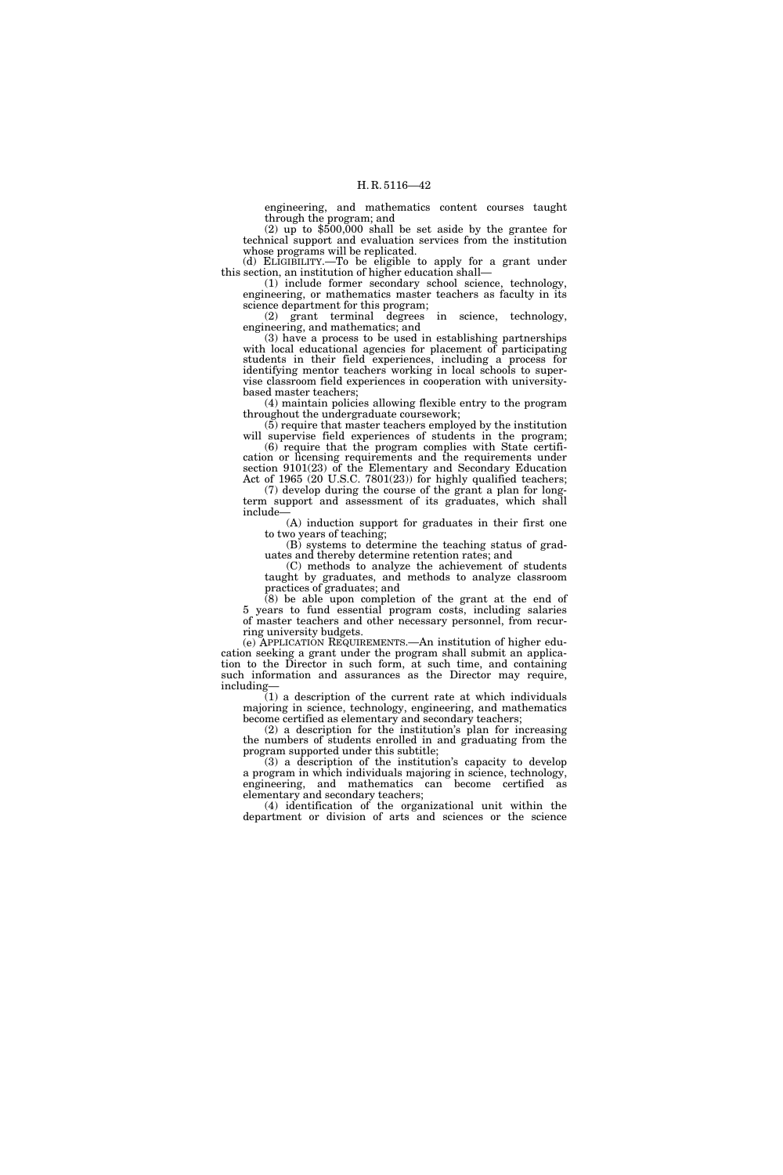engineering, and mathematics content courses taught through the program; and

 $(2)$  up to  $$500,000$  shall be set aside by the grantee for technical support and evaluation services from the institution whose programs will be replicated.

(d) ELIGIBILITY.—To be eligible to apply for a grant under this section, an institution of higher education shall—

(1) include former secondary school science, technology, engineering, or mathematics master teachers as faculty in its science department for this program;

(2) grant terminal degrees in science, technology, engineering, and mathematics; and

(3) have a process to be used in establishing partnerships with local educational agencies for placement of participating students in their field experiences, including a process for identifying mentor teachers working in local schools to supervise classroom field experiences in cooperation with universitybased master teachers;

(4) maintain policies allowing flexible entry to the program throughout the undergraduate coursework;

(5) require that master teachers employed by the institution will supervise field experiences of students in the program; (6) require that the program complies with State certifi-

cation or licensing requirements and the requirements under section 9101(23) of the Elementary and Secondary Education Act of 1965 (20 U.S.C. 7801(23)) for highly qualified teachers; (7) develop during the course of the grant a plan for long-

term support and assessment of its graduates, which shall include— (A) induction support for graduates in their first one

to two years of teaching;

(B) systems to determine the teaching status of graduates and thereby determine retention rates; and

(C) methods to analyze the achievement of students taught by graduates, and methods to analyze classroom practices of graduates; and

 $(8)$  be able upon completion of the grant at the end of 5 years to fund essential program costs, including salaries of master teachers and other necessary personnel, from recurring university budgets.

(e) APPLICATION REQUIREMENTS.—An institution of higher education seeking a grant under the program shall submit an application to the Director in such form, at such time, and containing such information and assurances as the Director may require, including—

(1) a description of the current rate at which individuals majoring in science, technology, engineering, and mathematics become certified as elementary and secondary teachers;

(2) a description for the institution's plan for increasing the numbers of students enrolled in and graduating from the program supported under this subtitle;

(3) a description of the institution's capacity to develop a program in which individuals majoring in science, technology, engineering, and mathematics can become certified as elementary and secondary teachers;

(4) identification of the organizational unit within the department or division of arts and sciences or the science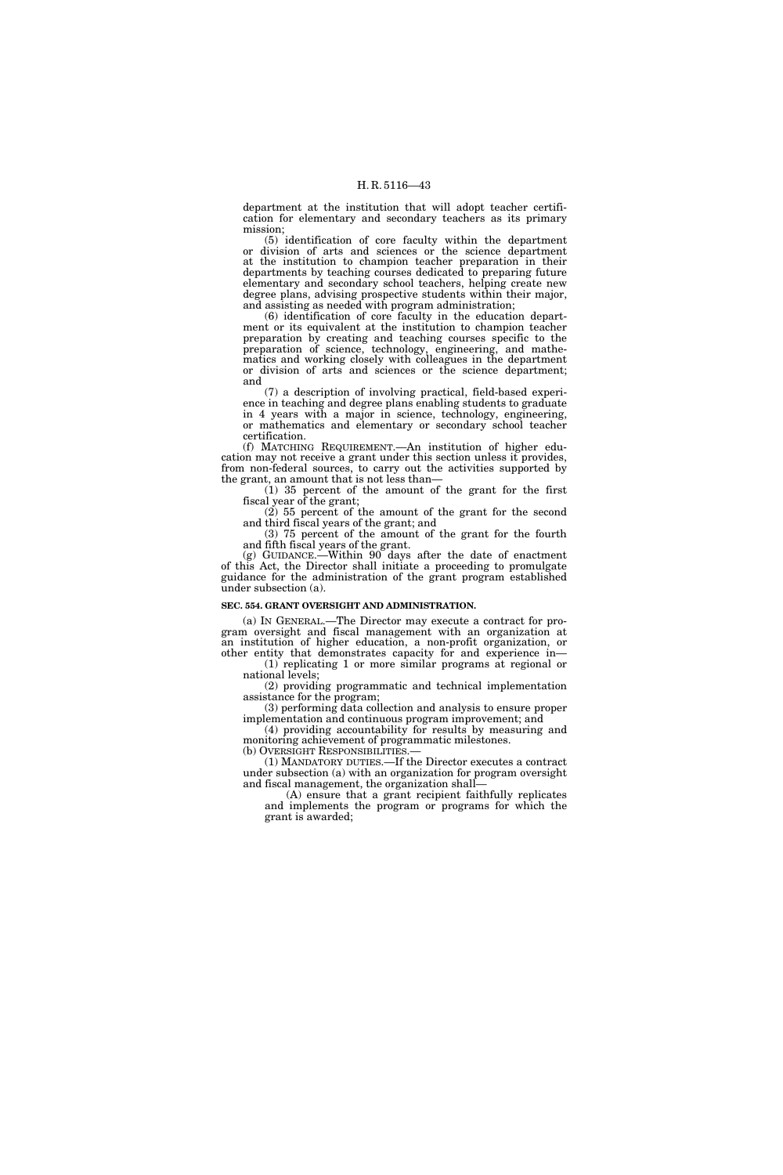department at the institution that will adopt teacher certification for elementary and secondary teachers as its primary mission;

(5) identification of core faculty within the department or division of arts and sciences or the science department at the institution to champion teacher preparation in their departments by teaching courses dedicated to preparing future elementary and secondary school teachers, helping create new degree plans, advising prospective students within their major, and assisting as needed with program administration;

(6) identification of core faculty in the education department or its equivalent at the institution to champion teacher preparation by creating and teaching courses specific to the preparation of science, technology, engineering, and mathematics and working closely with colleagues in the department or division of arts and sciences or the science department; and

(7) a description of involving practical, field-based experience in teaching and degree plans enabling students to graduate in 4 years with a major in science, technology, engineering, or mathematics and elementary or secondary school teacher certification.

(f) MATCHING REQUIREMENT.—An institution of higher education may not receive a grant under this section unless it provides, from non-federal sources, to carry out the activities supported by the grant, an amount that is not less than—

(1) 35 percent of the amount of the grant for the first fiscal year of the grant;

(2) 55 percent of the amount of the grant for the second and third fiscal years of the grant; and

(3) 75 percent of the amount of the grant for the fourth and fifth fiscal years of the grant.

(g) GUIDANCE.—Within 90 days after the date of enactment of this Act, the Director shall initiate a proceeding to promulgate guidance for the administration of the grant program established under subsection (a).

#### **SEC. 554. GRANT OVERSIGHT AND ADMINISTRATION.**

(a) IN GENERAL.—The Director may execute a contract for program oversight and fiscal management with an organization at an institution of higher education, a non-profit organization, or other entity that demonstrates capacity for and experience in—

(1) replicating 1 or more similar programs at regional or national levels;

(2) providing programmatic and technical implementation assistance for the program;

(3) performing data collection and analysis to ensure proper implementation and continuous program improvement; and

(4) providing accountability for results by measuring and monitoring achievement of programmatic milestones.<br>(b) OVERSIGHT RESPONSIBILITIES.—

(1) MANDATORY DUTIES.—If the Director executes a contract under subsection (a) with an organization for program oversight and fiscal management, the organization shall—

(A) ensure that a grant recipient faithfully replicates and implements the program or programs for which the grant is awarded;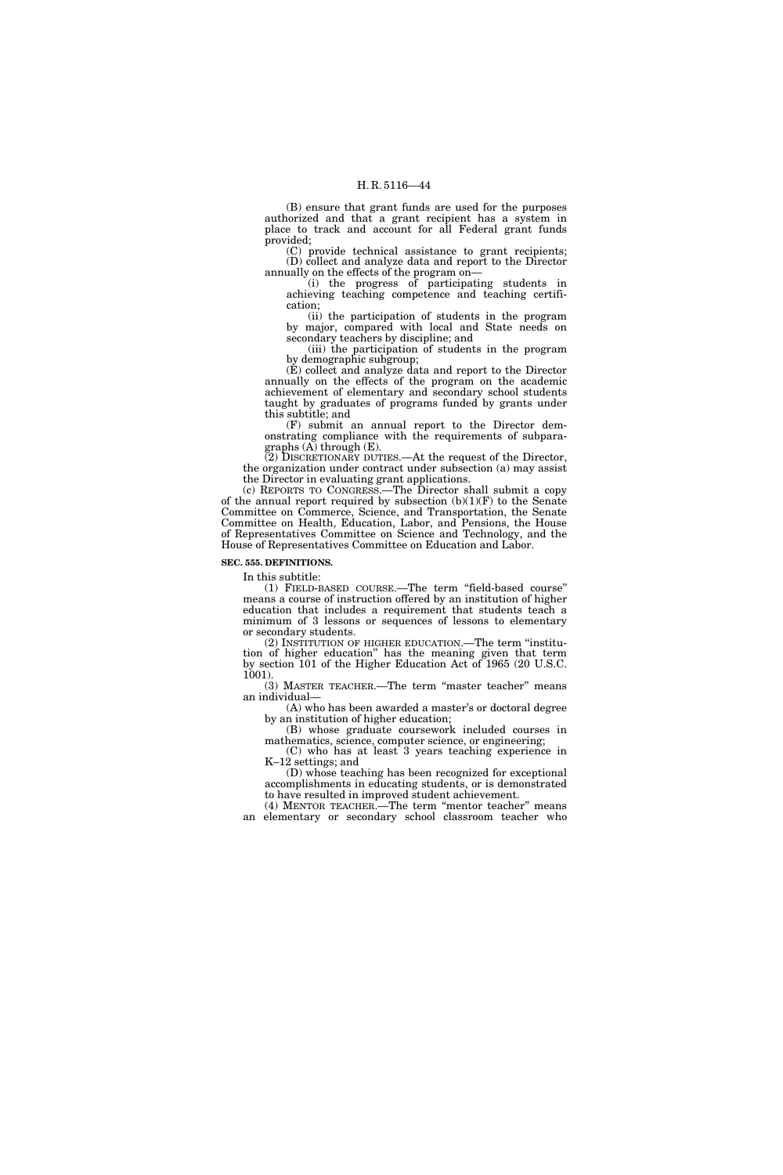(B) ensure that grant funds are used for the purposes authorized and that a grant recipient has a system in place to track and account for all Federal grant funds provided;

(C) provide technical assistance to grant recipients; (D) collect and analyze data and report to the Director annually on the effects of the program on—

(i) the progress of participating students in achieving teaching competence and teaching certification;

(ii) the participation of students in the program by major, compared with local and State needs on secondary teachers by discipline; and

(iii) the participation of students in the program by demographic subgroup;

(E) collect and analyze data and report to the Director annually on the effects of the program on the academic achievement of elementary and secondary school students taught by graduates of programs funded by grants under this subtitle; and

(F) submit an annual report to the Director demonstrating compliance with the requirements of subparagraphs (A) through (E).

(2) DISCRETIONARY DUTIES.—At the request of the Director, the organization under contract under subsection (a) may assist the Director in evaluating grant applications.

(c) REPORTS TO CONGRESS.—The Director shall submit a copy of the annual report required by subsection  $(b)(1)(F)$  to the Senate Committee on Commerce, Science, and Transportation, the Senate Committee on Health, Education, Labor, and Pensions, the House of Representatives Committee on Science and Technology, and the House of Representatives Committee on Education and Labor.

**SEC. 555. DEFINITIONS.** 

In this subtitle:

(1) FIELD-BASED COURSE.—The term ''field-based course'' means a course of instruction offered by an institution of higher education that includes a requirement that students teach a minimum of 3 lessons or sequences of lessons to elementary or secondary students.

(2) INSTITUTION OF HIGHER EDUCATION.—The term ''institution of higher education'' has the meaning given that term by section 101 of the Higher Education Act of 1965 (20 U.S.C. 1001).

(3) MASTER TEACHER.—The term ''master teacher'' means an individual—

(A) who has been awarded a master's or doctoral degree by an institution of higher education;

(B) whose graduate coursework included courses in mathematics, science, computer science, or engineering;

(C) who has at least 3 years teaching experience in K–12 settings; and

(D) whose teaching has been recognized for exceptional accomplishments in educating students, or is demonstrated to have resulted in improved student achievement.

(4) MENTOR TEACHER.—The term ''mentor teacher'' means an elementary or secondary school classroom teacher who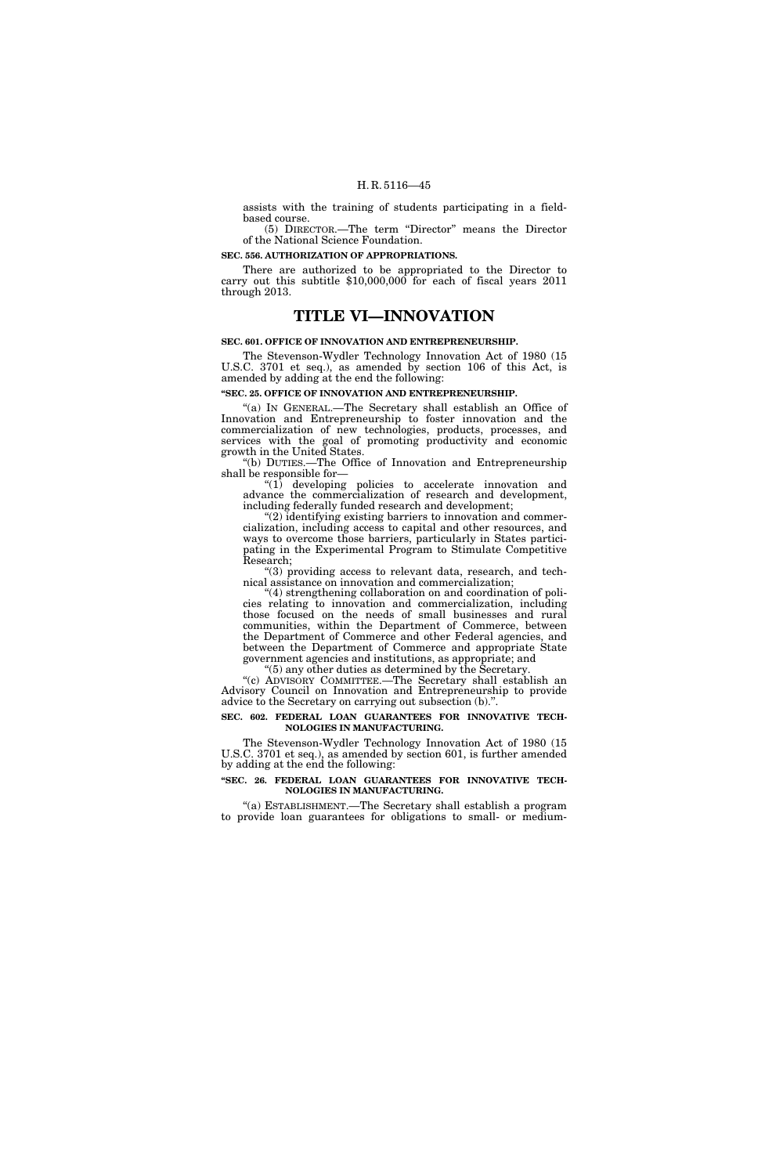assists with the training of students participating in a fieldbased course.

(5) DIRECTOR.—The term ''Director'' means the Director of the National Science Foundation.

#### **SEC. 556. AUTHORIZATION OF APPROPRIATIONS.**

There are authorized to be appropriated to the Director to carry out this subtitle \$10,000,000 for each of fiscal years 2011 through 2013.

### **TITLE VI—INNOVATION**

#### **SEC. 601. OFFICE OF INNOVATION AND ENTREPRENEURSHIP.**

The Stevenson-Wydler Technology Innovation Act of 1980 (15 U.S.C. 3701 et seq.), as amended by section 106 of this Act, is amended by adding at the end the following:

#### **''SEC. 25. OFFICE OF INNOVATION AND ENTREPRENEURSHIP.**

''(a) IN GENERAL.—The Secretary shall establish an Office of Innovation and Entrepreneurship to foster innovation and the commercialization of new technologies, products, processes, and services with the goal of promoting productivity and economic growth in the United States.

''(b) DUTIES.—The Office of Innovation and Entrepreneurship shall be responsible for—

 $(1)$  developing policies to accelerate innovation and advance the commercialization of research and development, including federally funded research and development;

''(2) identifying existing barriers to innovation and commercialization, including access to capital and other resources, and ways to overcome those barriers, particularly in States participating in the Experimental Program to Stimulate Competitive Research;

''(3) providing access to relevant data, research, and technical assistance on innovation and commercialization;

'(4) strengthening collaboration on and coordination of policies relating to innovation and commercialization, including those focused on the needs of small businesses and rural communities, within the Department of Commerce, between the Department of Commerce and other Federal agencies, and between the Department of Commerce and appropriate State government agencies and institutions, as appropriate; and

''(5) any other duties as determined by the Secretary.

''(c) ADVISORY COMMITTEE.—The Secretary shall establish an Advisory Council on Innovation and Entrepreneurship to provide advice to the Secretary on carrying out subsection (b).''.

#### **SEC. 602. FEDERAL LOAN GUARANTEES FOR INNOVATIVE TECH-NOLOGIES IN MANUFACTURING.**

The Stevenson-Wydler Technology Innovation Act of 1980 (15 U.S.C. 3701 et seq.), as amended by section 601, is further amended by adding at the end the following:

#### **''SEC. 26. FEDERAL LOAN GUARANTEES FOR INNOVATIVE TECH-NOLOGIES IN MANUFACTURING.**

''(a) ESTABLISHMENT.—The Secretary shall establish a program to provide loan guarantees for obligations to small- or medium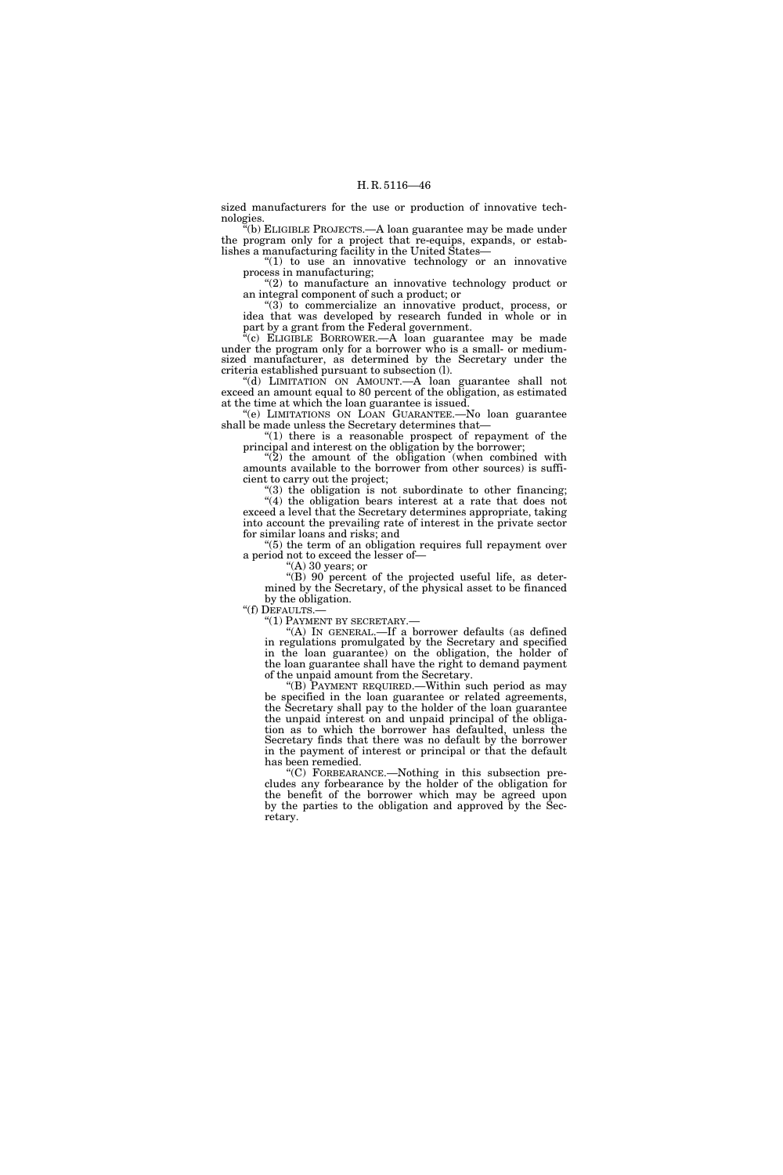sized manufacturers for the use or production of innovative technologies.

''(b) ELIGIBLE PROJECTS.—A loan guarantee may be made under the program only for a project that re-equips, expands, or establishes a manufacturing facility in the United States—

"(1) to use an innovative technology or an innovative process in manufacturing;

"(2) to manufacture an innovative technology product or an integral component of such a product; or

 $\degree$ (3) to commercialize an innovative product, process, or idea that was developed by research funded in whole or in part by a grant from the Federal government.

 $e^{i}(c)$  ELIGIBLE BORROWER.—A loan guarantee may be made under the program only for a borrower who is a small- or mediumsized manufacturer, as determined by the Secretary under the criteria established pursuant to subsection (l).

''(d) LIMITATION ON AMOUNT.—A loan guarantee shall not exceed an amount equal to 80 percent of the obligation, as estimated at the time at which the loan guarantee is issued.

''(e) LIMITATIONS ON LOAN GUARANTEE.—No loan guarantee shall be made unless the Secretary determines that—

" $(1)$  there is a reasonable prospect of repayment of the principal and interest on the obligation by the borrower;

 $(2)$  the amount of the obligation (when combined with amounts available to the borrower from other sources) is sufficient to carry out the project;

 $(3)$  the obligation is not subordinate to other financing;  $(4)$  the obligation bears interest at a rate that does not exceed a level that the Secretary determines appropriate, taking into account the prevailing rate of interest in the private sector for similar loans and risks; and

 $(5)$  the term of an obligation requires full repayment over a period not to exceed the lesser of—

''(A) 30 years; or

''(B) 90 percent of the projected useful life, as determined by the Secretary, of the physical asset to be financed by the obligation.<br>"(f) DEFAULTS.—

"(1) PAYMENT BY SECRETARY.—

''(A) IN GENERAL.—If a borrower defaults (as defined in regulations promulgated by the Secretary and specified in the loan guarantee) on the obligation, the holder of the loan guarantee shall have the right to demand payment of the unpaid amount from the Secretary.

''(B) PAYMENT REQUIRED.—Within such period as may be specified in the loan guarantee or related agreements, the Secretary shall pay to the holder of the loan guarantee the unpaid interest on and unpaid principal of the obligation as to which the borrower has defaulted, unless the Secretary finds that there was no default by the borrower in the payment of interest or principal or that the default has been remedied.

''(C) FORBEARANCE.—Nothing in this subsection precludes any forbearance by the holder of the obligation for the benefit of the borrower which may be agreed upon by the parties to the obligation and approved by the Secretary.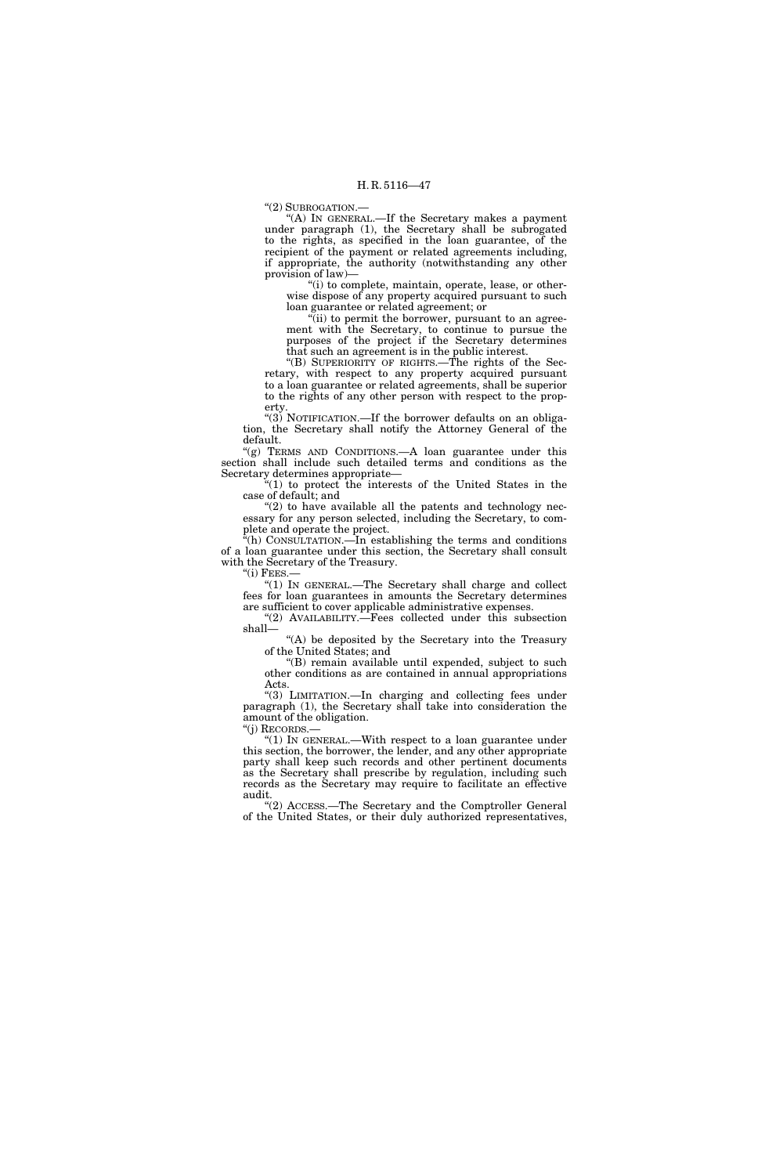''(2) SUBROGATION.—

"(A) IN GENERAL.—If the Secretary makes a payment under paragraph (1), the Secretary shall be subrogated to the rights, as specified in the loan guarantee, of the recipient of the payment or related agreements including, if appropriate, the authority (notwithstanding any other provision of law)—

"(i) to complete, maintain, operate, lease, or otherwise dispose of any property acquired pursuant to such loan guarantee or related agreement; or

"(ii) to permit the borrower, pursuant to an agreement with the Secretary, to continue to pursue the purposes of the project if the Secretary determines that such an agreement is in the public interest.

''(B) SUPERIORITY OF RIGHTS.—The rights of the Secretary, with respect to any property acquired pursuant to a loan guarantee or related agreements, shall be superior to the rights of any other person with respect to the property.

" $(3)$  NOTIFICATION.—If the borrower defaults on an obligation, the Secretary shall notify the Attorney General of the default.

"(g) TERMS AND CONDITIONS.—A loan guarantee under this section shall include such detailed terms and conditions as the Secretary determines appropriate—

''(1) to protect the interests of the United States in the case of default; and

''(2) to have available all the patents and technology necessary for any person selected, including the Secretary, to complete and operate the project.

''(h) CONSULTATION.—In establishing the terms and conditions of a loan guarantee under this section, the Secretary shall consult with the Secretary of the Treasury. " $(i)$  FEES. $-$ 

''(1) IN GENERAL.—The Secretary shall charge and collect fees for loan guarantees in amounts the Secretary determines are sufficient to cover applicable administrative expenses.

"(2) AVAILABILITY. Fees collected under this subsection shall—

"(A) be deposited by the Secretary into the Treasury of the United States; and

''(B) remain available until expended, subject to such other conditions as are contained in annual appropriations Acts.

"(3) LIMITATION.—In charging and collecting fees under paragraph (1), the Secretary shall take into consideration the amount of the obligation. ''(j) RECORDS.—

"(1) In GENERAL.—With respect to a loan guarantee under this section, the borrower, the lender, and any other appropriate party shall keep such records and other pertinent documents as the Secretary shall prescribe by regulation, including such records as the Secretary may require to facilitate an effective audit.

"(2) ACCESS.—The Secretary and the Comptroller General of the United States, or their duly authorized representatives,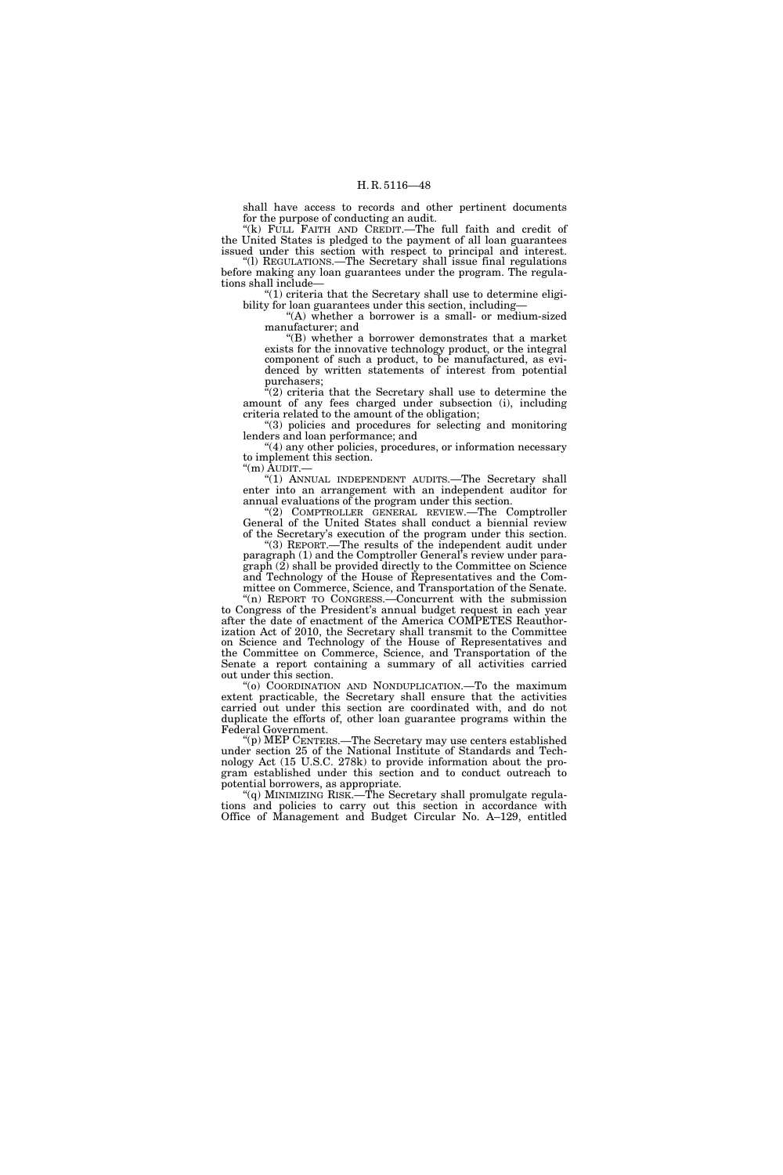shall have access to records and other pertinent documents for the purpose of conducting an audit.

"(k) FULL FAITH AND CREDIT.—The full faith and credit of the United States is pledged to the payment of all loan guarantees issued under this section with respect to principal and interest. ''(l) REGULATIONS.—The Secretary shall issue final regulations

before making any loan guarantees under the program. The regulations shall include—  $(1)$  criteria that the Secretary shall use to determine eligi-

bility for loan guarantees under this section, including—

"(A) whether a borrower is a small- or medium-sized manufacturer; and

''(B) whether a borrower demonstrates that a market exists for the innovative technology product, or the integral component of such a product, to be manufactured, as evidenced by written statements of interest from potential purchasers;

 $(2)$  criteria that the Secretary shall use to determine the amount of any fees charged under subsection (i), including criteria related to the amount of the obligation;

''(3) policies and procedures for selecting and monitoring lenders and loan performance; and

''(4) any other policies, procedures, or information necessary to implement this section.

''(m) AUDIT.— ''(1) ANNUAL INDEPENDENT AUDITS.—The Secretary shall

enter into an arrangement with an independent auditor for annual evaluations of the program under this section.

''(2) COMPTROLLER GENERAL REVIEW.—The Comptroller General of the United States shall conduct a biennial review of the Secretary's execution of the program under this section.

''(3) REPORT.—The results of the independent audit under paragraph (1) and the Comptroller General's review under paragraph (2) shall be provided directly to the Committee on Science and Technology of the House of Representatives and the Committee on Commerce, Science, and Transportation of the Senate.

''(n) REPORT TO CONGRESS.—Concurrent with the submission to Congress of the President's annual budget request in each year after the date of enactment of the America COMPETES Reauthorization Act of 2010, the Secretary shall transmit to the Committee on Science and Technology of the House of Representatives and the Committee on Commerce, Science, and Transportation of the Senate a report containing a summary of all activities carried out under this section.

''(o) COORDINATION AND NONDUPLICATION.—To the maximum extent practicable, the Secretary shall ensure that the activities carried out under this section are coordinated with, and do not duplicate the efforts of, other loan guarantee programs within the Federal Government.

''(p) MEP CENTERS.—The Secretary may use centers established under section 25 of the National Institute of Standards and Technology Act (15 U.S.C. 278k) to provide information about the program established under this section and to conduct outreach to potential borrowers, as appropriate.

"(q) MINIMIZING RISK.—The Secretary shall promulgate regulations and policies to carry out this section in accordance with Office of Management and Budget Circular No. A–129, entitled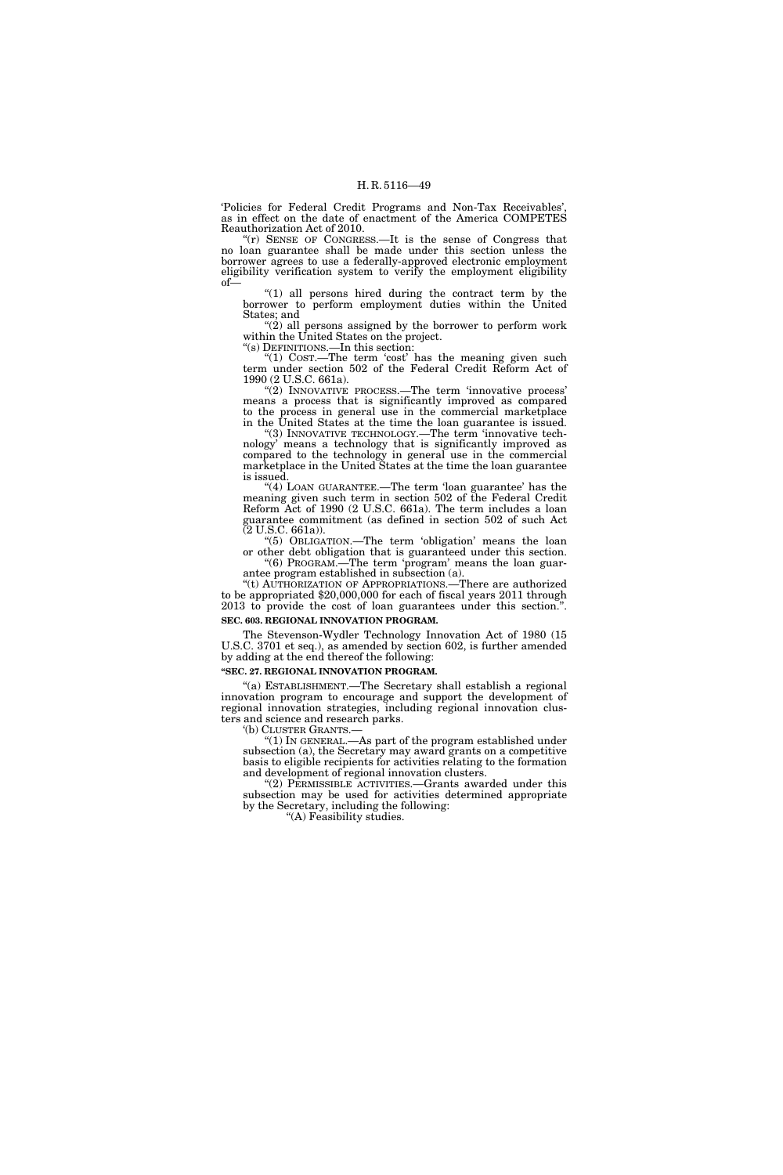'Policies for Federal Credit Programs and Non-Tax Receivables', as in effect on the date of enactment of the America COMPETES Reauthorization Act of 2010.

''(r) SENSE OF CONGRESS.—It is the sense of Congress that no loan guarantee shall be made under this section unless the borrower agrees to use a federally-approved electronic employment eligibility verification system to verify the employment eligibility of—

 $''(1)$  all persons hired during the contract term by the borrower to perform employment duties within the United States; and

"(2) all persons assigned by the borrower to perform work within the United States on the project.

''(s) DEFINITIONS.—In this section:

"(1)  $\text{CoST.}$ —The term 'cost' has the meaning given such term under section 502 of the Federal Credit Reform Act of 1990 (2 U.S.C. 661a).

"(2) INNOVATIVE PROCESS.—The term 'innovative process' means a process that is significantly improved as compared to the process in general use in the commercial marketplace in the United States at the time the loan guarantee is issued.

"(3) INNOVATIVE TECHNOLOGY.—The term 'innovative technology' means a technology that is significantly improved as compared to the technology in general use in the commercial marketplace in the United States at the time the loan guarantee is issued.

"(4) LOAN GUARANTEE.—The term 'loan guarantee' has the meaning given such term in section 502 of the Federal Credit Reform Act of 1990 (2 U.S.C. 661a). The term includes a loan guarantee commitment (as defined in section 502 of such Act (2 U.S.C. 661a)).

''(5) OBLIGATION.—The term 'obligation' means the loan or other debt obligation that is guaranteed under this section. "(6) PROGRAM.—The term 'program' means the loan guar-

antee program established in subsection (a). ''(t) AUTHORIZATION OF APPROPRIATIONS.—There are authorized

to be appropriated \$20,000,000 for each of fiscal years 2011 through 2013 to provide the cost of loan guarantees under this section.''. **SEC. 603. REGIONAL INNOVATION PROGRAM.** 

The Stevenson-Wydler Technology Innovation Act of 1980 (15 U.S.C. 3701 et seq.), as amended by section 602, is further amended by adding at the end thereof the following:

#### **''SEC. 27. REGIONAL INNOVATION PROGRAM.**

''(a) ESTABLISHMENT.—The Secretary shall establish a regional innovation program to encourage and support the development of regional innovation strategies, including regional innovation clusters and science and research parks.

'(b) CLUSTER GRANTS.—

" $(1)$  In GENERAL.—As part of the program established under subsection (a), the Secretary may award grants on a competitive basis to eligible recipients for activities relating to the formation and development of regional innovation clusters.

'(2) PERMISSIBLE ACTIVITIES.—Grants awarded under this subsection may be used for activities determined appropriate by the Secretary, including the following:

''(A) Feasibility studies.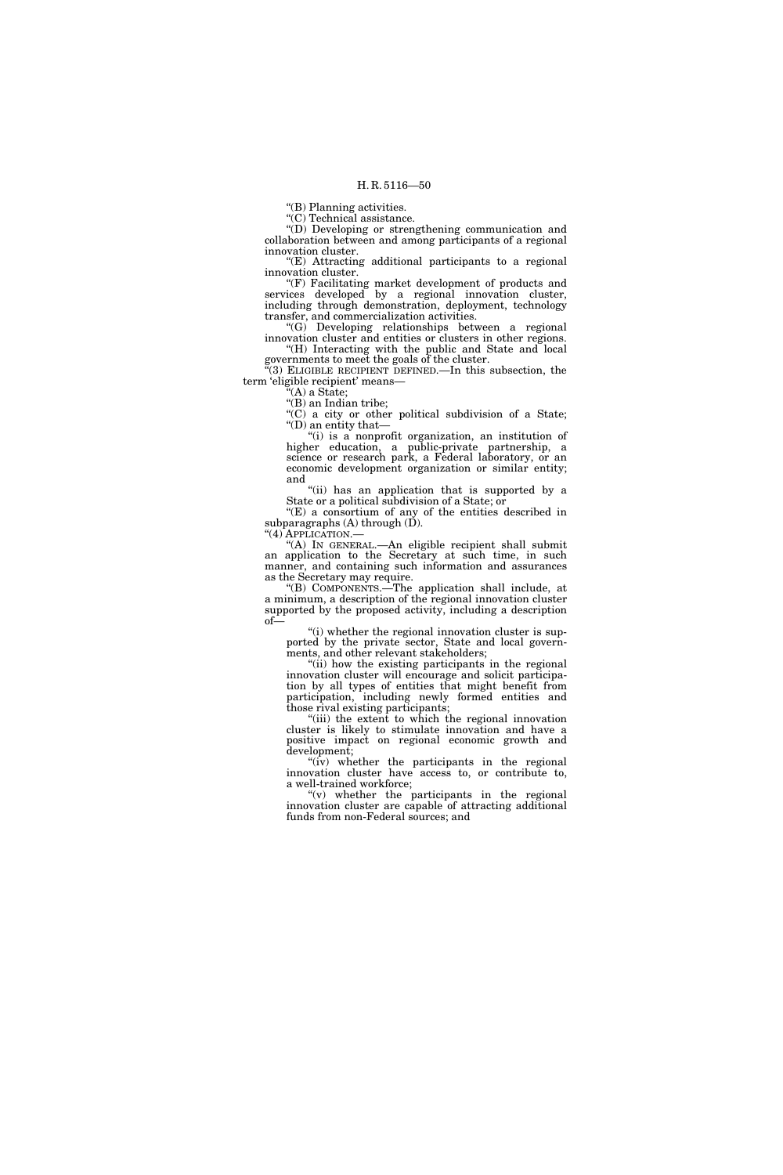''(B) Planning activities.

''(C) Technical assistance.

''(D) Developing or strengthening communication and collaboration between and among participants of a regional innovation cluster.

''(E) Attracting additional participants to a regional innovation cluster.

''(F) Facilitating market development of products and services developed by a regional innovation cluster, including through demonstration, deployment, technology transfer, and commercialization activities.

''(G) Developing relationships between a regional innovation cluster and entities or clusters in other regions. ''(H) Interacting with the public and State and local governments to meet the goals of the cluster.

 $(3)$  ELIGIBLE RECIPIENT DEFINED.—In this subsection, the term 'eligible recipient' means—

 $(A)$  a State;

"(B) an Indian tribe;

 $C'$ (C) a city or other political subdivision of a State; ''(D) an entity that—

''(i) is a nonprofit organization, an institution of higher education, a public-private partnership, a science or research park, a Federal laboratory, or an economic development organization or similar entity; and

"(ii) has an application that is supported by a State or a political subdivision of a State; or

''(E) a consortium of any of the entities described in subparagraphs  $(A)$  through  $(D)$ .

''(4) APPLICATION.— ''(A) IN GENERAL.—An eligible recipient shall submit an application to the Secretary at such time, in such manner, and containing such information and assurances as the Secretary may require.

''(B) COMPONENTS.—The application shall include, at a minimum, a description of the regional innovation cluster supported by the proposed activity, including a description of—

"(i) whether the regional innovation cluster is supported by the private sector, State and local governments, and other relevant stakeholders;

''(ii) how the existing participants in the regional innovation cluster will encourage and solicit participation by all types of entities that might benefit from participation, including newly formed entities and those rival existing participants;

"(iii) the extent to which the regional innovation cluster is likely to stimulate innovation and have a positive impact on regional economic growth and development;

"(iv) whether the participants in the regional innovation cluster have access to, or contribute to, a well-trained workforce;

" $(v)$  whether the participants in the regional innovation cluster are capable of attracting additional funds from non-Federal sources; and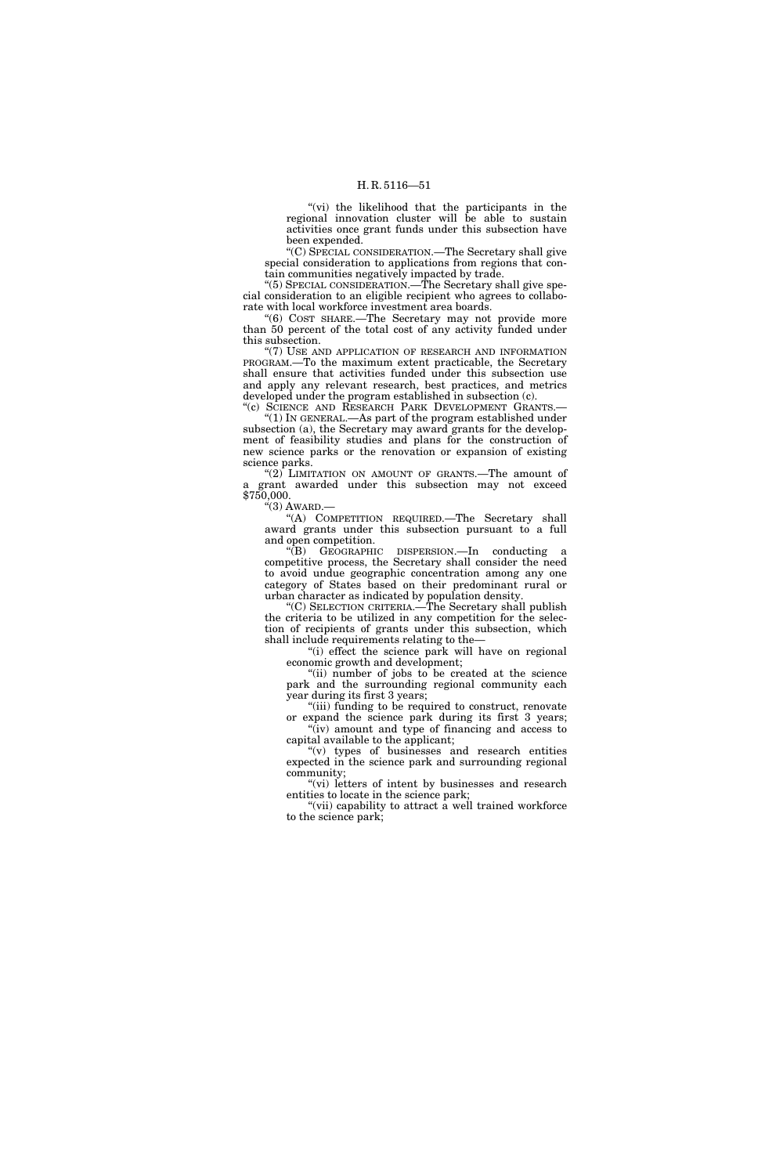"(vi) the likelihood that the participants in the regional innovation cluster will be able to sustain activities once grant funds under this subsection have been expended.

''(C) SPECIAL CONSIDERATION.—The Secretary shall give special consideration to applications from regions that contain communities negatively impacted by trade.

"(5) SPECIAL CONSIDERATION.—The Secretary shall give special consideration to an eligible recipient who agrees to collaborate with local workforce investment area boards.

''(6) COST SHARE.—The Secretary may not provide more than 50 percent of the total cost of any activity funded under this subsection.

''(7) USE AND APPLICATION OF RESEARCH AND INFORMATION PROGRAM.—To the maximum extent practicable, the Secretary shall ensure that activities funded under this subsection use and apply any relevant research, best practices, and metrics developed under the program established in subsection (c). "(c) SCIENCE AND RESEARCH PARK DEVELOPMENT GRANTS.-

''(1) IN GENERAL.—As part of the program established under subsection (a), the Secretary may award grants for the development of feasibility studies and plans for the construction of new science parks or the renovation or expansion of existing science parks.

" $(2)$  LIMITATION ON AMOUNT OF GRANTS.—The amount of a grant awarded under this subsection may not exceed \$750,000.

 $\cdot$ "(3) AWARD.-

''(A) COMPETITION REQUIRED.—The Secretary shall award grants under this subsection pursuant to a full and open competition.

''(B) GEOGRAPHIC DISPERSION.—In conducting a competitive process, the Secretary shall consider the need to avoid undue geographic concentration among any one category of States based on their predominant rural or urban character as indicated by population density.

''(C) SELECTION CRITERIA.—The Secretary shall publish the criteria to be utilized in any competition for the selection of recipients of grants under this subsection, which shall include requirements relating to the—

"(i) effect the science park will have on regional economic growth and development;

"(ii) number of jobs to be created at the science park and the surrounding regional community each year during its first 3 years;

''(iii) funding to be required to construct, renovate expand the science park during its first 3 years; "(iv) amount and type of financing and access to

capital available to the applicant; ''(v) types of businesses and research entities expected in the science park and surrounding regional community;

"(vi) letters of intent by businesses and research entities to locate in the science park;

"(vii) capability to attract a well trained workforce to the science park;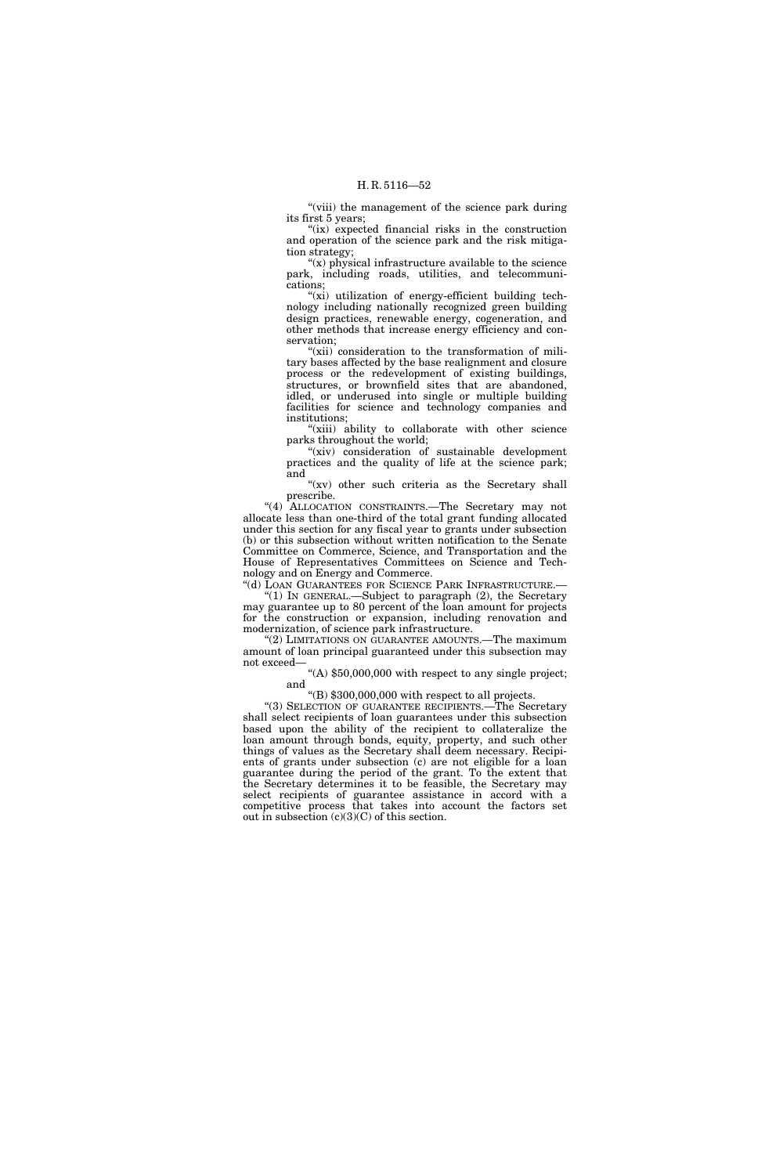"(viii) the management of the science park during its first 5 years;

"(ix) expected financial risks in the construction and operation of the science park and the risk mitigation strategy;

"(x) physical infrastructure available to the science park, including roads, utilities, and telecommunications;

"(xi) utilization of energy-efficient building technology including nationally recognized green building design practices, renewable energy, cogeneration, and other methods that increase energy efficiency and conservation;

"(xii) consideration to the transformation of military bases affected by the base realignment and closure process or the redevelopment of existing buildings, structures, or brownfield sites that are abandoned, idled, or underused into single or multiple building facilities for science and technology companies and institutions;

"(xiii) ability to collaborate with other science parks throughout the world;

"(xiv) consideration of sustainable development practices and the quality of life at the science park; and

"(xv) other such criteria as the Secretary shall prescribe.

''(4) ALLOCATION CONSTRAINTS.—The Secretary may not allocate less than one-third of the total grant funding allocated under this section for any fiscal year to grants under subsection (b) or this subsection without written notification to the Senate Committee on Commerce, Science, and Transportation and the House of Representatives Committees on Science and Technology and on Energy and Commerce.

''(d) LOAN GUARANTEES FOR SCIENCE PARK INFRASTRUCTURE.— ''(1) IN GENERAL.—Subject to paragraph (2), the Secretary

may guarantee up to 80 percent of the loan amount for projects for the construction or expansion, including renovation and modernization, of science park infrastructure.

"(2) LIMITATIONS ON GUARANTEE AMOUNTS.—The maximum amount of loan principal guaranteed under this subsection may not exceed—

''(A) \$50,000,000 with respect to any single project; and

''(B) \$300,000,000 with respect to all projects.

''(3) SELECTION OF GUARANTEE RECIPIENTS.—The Secretary shall select recipients of loan guarantees under this subsection based upon the ability of the recipient to collateralize the loan amount through bonds, equity, property, and such other things of values as the Secretary shall deem necessary. Recipients of grants under subsection (c) are not eligible for a loan guarantee during the period of the grant. To the extent that the Secretary determines it to be feasible, the Secretary may select recipients of guarantee assistance in accord with a competitive process that takes into account the factors set out in subsection  $(c)(3)(C)$  of this section.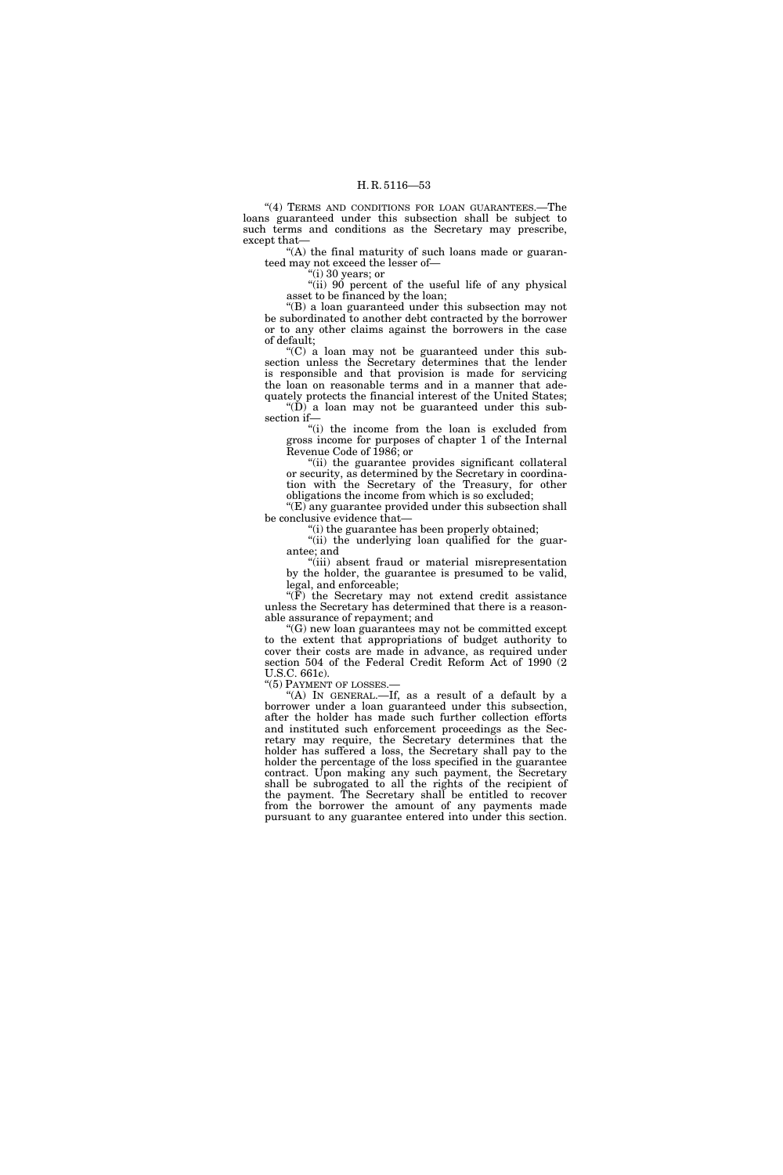"(4) TERMS AND CONDITIONS FOR LOAN GUARANTEES.-The loans guaranteed under this subsection shall be subject to such terms and conditions as the Secretary may prescribe, except that—

 $<sup>4</sup>(A)$  the final maturity of such loans made or guaran-</sup> teed may not exceed the lesser of—

 $(i)$  30 years; or

"(ii) 90 percent of the useful life of any physical asset to be financed by the loan;

''(B) a loan guaranteed under this subsection may not be subordinated to another debt contracted by the borrower or to any other claims against the borrowers in the case of default;

''(C) a loan may not be guaranteed under this subsection unless the Secretary determines that the lender is responsible and that provision is made for servicing the loan on reasonable terms and in a manner that adequately protects the financial interest of the United States;

''(D) a loan may not be guaranteed under this subsection if—

''(i) the income from the loan is excluded from gross income for purposes of chapter 1 of the Internal Revenue Code of 1986; or

''(ii) the guarantee provides significant collateral or security, as determined by the Secretary in coordination with the Secretary of the Treasury, for other obligations the income from which is so excluded;

"(E) any guarantee provided under this subsection shall be conclusive evidence that—

''(i) the guarantee has been properly obtained;

"(ii) the underlying loan qualified for the guarantee; and

"(iii) absent fraud or material misrepresentation by the holder, the guarantee is presumed to be valid, legal, and enforceable;

" $(F)$  the Secretary may not extend credit assistance unless the Secretary has determined that there is a reasonable assurance of repayment; and

''(G) new loan guarantees may not be committed except to the extent that appropriations of budget authority to cover their costs are made in advance, as required under section 504 of the Federal Credit Reform Act of 1990 (2 U.S.C. 661c).

"(5) PAYMENT OF LOSSES.-

"(A) IN GENERAL.—If, as a result of a default by a borrower under a loan guaranteed under this subsection, after the holder has made such further collection efforts and instituted such enforcement proceedings as the Secretary may require, the Secretary determines that the holder has suffered a loss, the Secretary shall pay to the holder the percentage of the loss specified in the guarantee contract. Upon making any such payment, the Secretary shall be subrogated to all the rights of the recipient of the payment. The Secretary shall be entitled to recover from the borrower the amount of any payments made pursuant to any guarantee entered into under this section.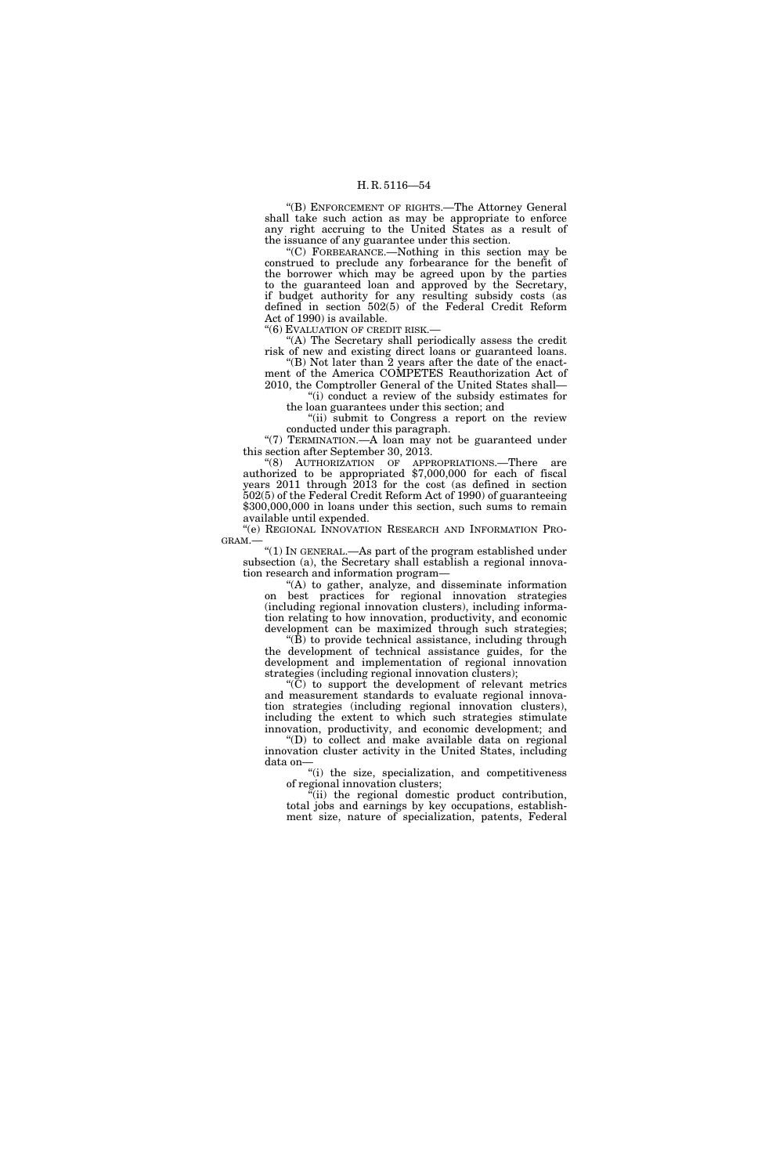''(B) ENFORCEMENT OF RIGHTS.—The Attorney General shall take such action as may be appropriate to enforce any right accruing to the United States as a result of the issuance of any guarantee under this section.

''(C) FORBEARANCE.—Nothing in this section may be construed to preclude any forbearance for the benefit of the borrower which may be agreed upon by the parties to the guaranteed loan and approved by the Secretary, if budget authority for any resulting subsidy costs (as defined in section 502(5) of the Federal Credit Reform Act of 1990) is available.

''(6) EVALUATION OF CREDIT RISK.—

"(A) The Secretary shall periodically assess the credit risk of new and existing direct loans or guaranteed loans.

"(B) Not later than  $\overline{2}$  years after the date of the enactment of the America COMPETES Reauthorization Act of 2010, the Comptroller General of the United States shall—

''(i) conduct a review of the subsidy estimates for the loan guarantees under this section; and

"(ii) submit to Congress a report on the review conducted under this paragraph.

"(7) TERMINATION.—A loan may not be guaranteed under this section after September 30, 2013.

"(8) AUTHORIZATION OF APPROPRIATIONS.—There are authorized to be appropriated \$7,000,000 for each of fiscal years 2011 through 2013 for the cost (as defined in section 502(5) of the Federal Credit Reform Act of 1990) of guaranteeing \$300,000,000 in loans under this section, such sums to remain available until expended.

''(e) REGIONAL INNOVATION RESEARCH AND INFORMATION PRO-GRAM.—

''(1) IN GENERAL.—As part of the program established under subsection (a), the Secretary shall establish a regional innovation research and information program—

"(A) to gather, analyze, and disseminate information on best practices for regional innovation strategies (including regional innovation clusters), including information relating to how innovation, productivity, and economic development can be maximized through such strategies;

 $\mathrm{``}(\bar{\mathbf{B}})$  to provide technical assistance, including through the development of technical assistance guides, for the development and implementation of regional innovation strategies (including regional innovation clusters);

 $(C)$  to support the development of relevant metrics and measurement standards to evaluate regional innovation strategies (including regional innovation clusters), including the extent to which such strategies stimulate innovation, productivity, and economic development; and

''(D) to collect and make available data on regional innovation cluster activity in the United States, including data on—

''(i) the size, specialization, and competitiveness of regional innovation clusters;

''(ii) the regional domestic product contribution, total jobs and earnings by key occupations, establishment size, nature of specialization, patents, Federal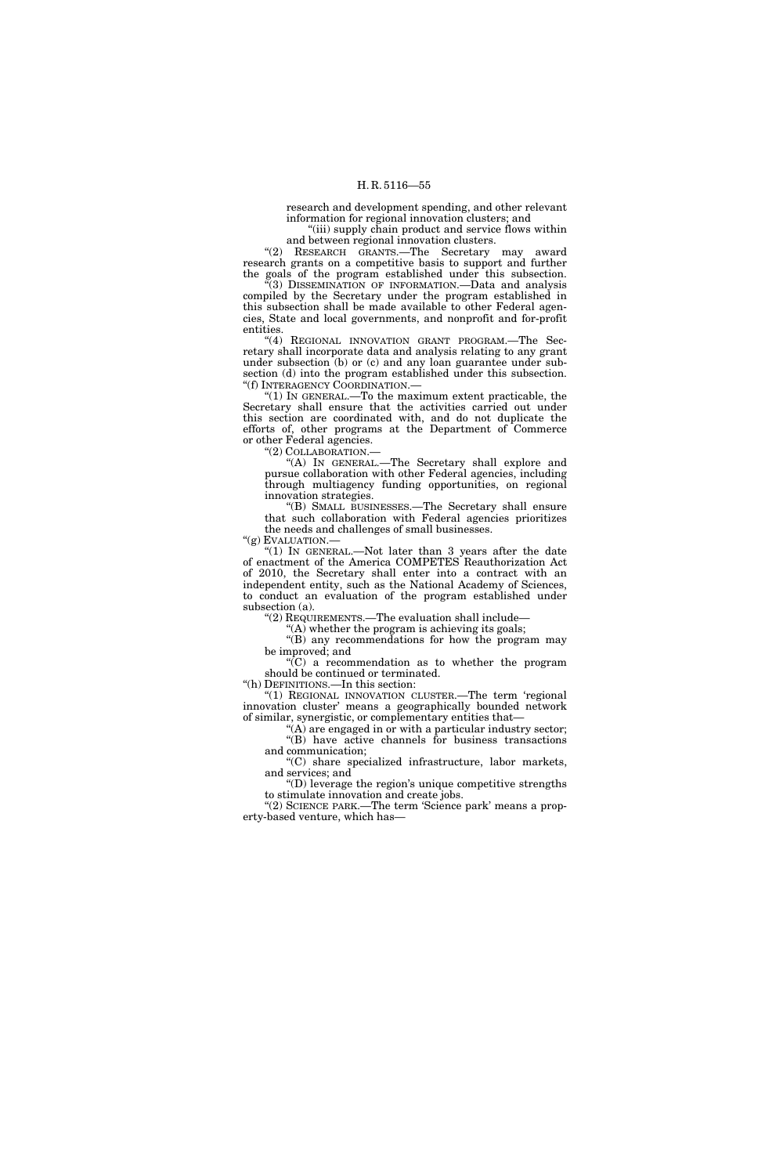research and development spending, and other relevant information for regional innovation clusters; and

"(iii) supply chain product and service flows within and between regional innovation clusters.

''(2) RESEARCH GRANTS.—The Secretary may award research grants on a competitive basis to support and further the goals of the program established under this subsection.

''(3) DISSEMINATION OF INFORMATION.—Data and analysis compiled by the Secretary under the program established in this subsection shall be made available to other Federal agencies, State and local governments, and nonprofit and for-profit entities.

"(4) REGIONAL INNOVATION GRANT PROGRAM.—The Secretary shall incorporate data and analysis relating to any grant under subsection (b) or (c) and any loan guarantee under subsection (d) into the program established under this subsection. ''(f) INTERAGENCY COORDINATION.—

" $(1)$  In GENERAL.—To the maximum extent practicable, the Secretary shall ensure that the activities carried out under this section are coordinated with, and do not duplicate the efforts of, other programs at the Department of Commerce or other Federal agencies.

''(2) COLLABORATION.—

"(A) In GENERAL.—The Secretary shall explore and pursue collaboration with other Federal agencies, including through multiagency funding opportunities, on regional innovation strategies.

''(B) SMALL BUSINESSES.—The Secretary shall ensure that such collaboration with Federal agencies prioritizes the needs and challenges of small businesses.

"(g) EVALUATION.-

" $(1)$  In GENERAL.—Not later than 3 years after the date of enactment of the America COMPETES Reauthorization Act of 2010, the Secretary shall enter into a contract with an independent entity, such as the National Academy of Sciences, to conduct an evaluation of the program established under subsection (a).

''(2) REQUIREMENTS.—The evaluation shall include—

 $(A)$  whether the program is achieving its goals;

''(B) any recommendations for how the program may be improved; and

 $\sqrt{\text{C}}$  a recommendation as to whether the program should be continued or terminated.

''(h) DEFINITIONS.—In this section:

"(1) REGIONAL INNOVATION CLUSTER.—The term 'regional innovation cluster' means a geographically bounded network of similar, synergistic, or complementary entities that—

"(A) are engaged in or with a particular industry sector; "(B) have active channels for business transactions and communication;

''(C) share specialized infrastructure, labor markets, and services; and

''(D) leverage the region's unique competitive strengths to stimulate innovation and create jobs.

"(2) SCIENCE PARK.—The term 'Science park' means a property-based venture, which has—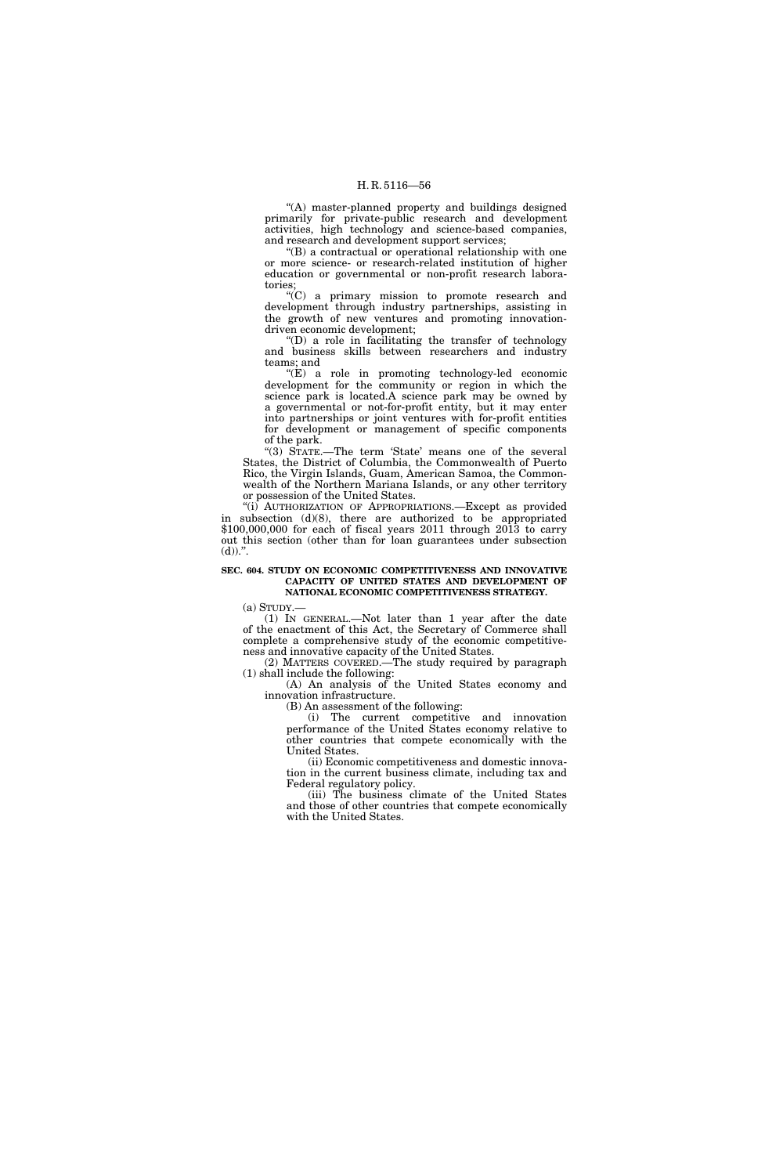''(A) master-planned property and buildings designed primarily for private-public research and development activities, high technology and science-based companies, and research and development support services;

''(B) a contractual or operational relationship with one or more science- or research-related institution of higher education or governmental or non-profit research laboratories;

''(C) a primary mission to promote research and development through industry partnerships, assisting in the growth of new ventures and promoting innovationdriven economic development;

''(D) a role in facilitating the transfer of technology and business skills between researchers and industry teams; and

''(E) a role in promoting technology-led economic development for the community or region in which the science park is located.A science park may be owned by a governmental or not-for-profit entity, but it may enter into partnerships or joint ventures with for-profit entities for development or management of specific components of the park.

"(3) STATE.—The term 'State' means one of the several States, the District of Columbia, the Commonwealth of Puerto Rico, the Virgin Islands, Guam, American Samoa, the Commonwealth of the Northern Mariana Islands, or any other territory or possession of the United States.

"(i) AUTHORIZATION OF APPROPRIATIONS.—Except as provided in subsection (d)(8), there are authorized to be appropriated \$100,000,000 for each of fiscal years 2011 through 2013 to carry out this section (other than for loan guarantees under subsection  $(d)$ .".

#### **SEC. 604. STUDY ON ECONOMIC COMPETITIVENESS AND INNOVATIVE CAPACITY OF UNITED STATES AND DEVELOPMENT OF NATIONAL ECONOMIC COMPETITIVENESS STRATEGY.**

(a) STUDY.—

(1) IN GENERAL.—Not later than 1 year after the date of the enactment of this Act, the Secretary of Commerce shall complete a comprehensive study of the economic competitiveness and innovative capacity of the United States.

(2) MATTERS COVERED.—The study required by paragraph (1) shall include the following:

(A) An analysis of the United States economy and innovation infrastructure.

(B) An assessment of the following:

(i) The current competitive and innovation performance of the United States economy relative to other countries that compete economically with the United States.

(ii) Economic competitiveness and domestic innovation in the current business climate, including tax and Federal regulatory policy.

(iii) The business climate of the United States and those of other countries that compete economically with the United States.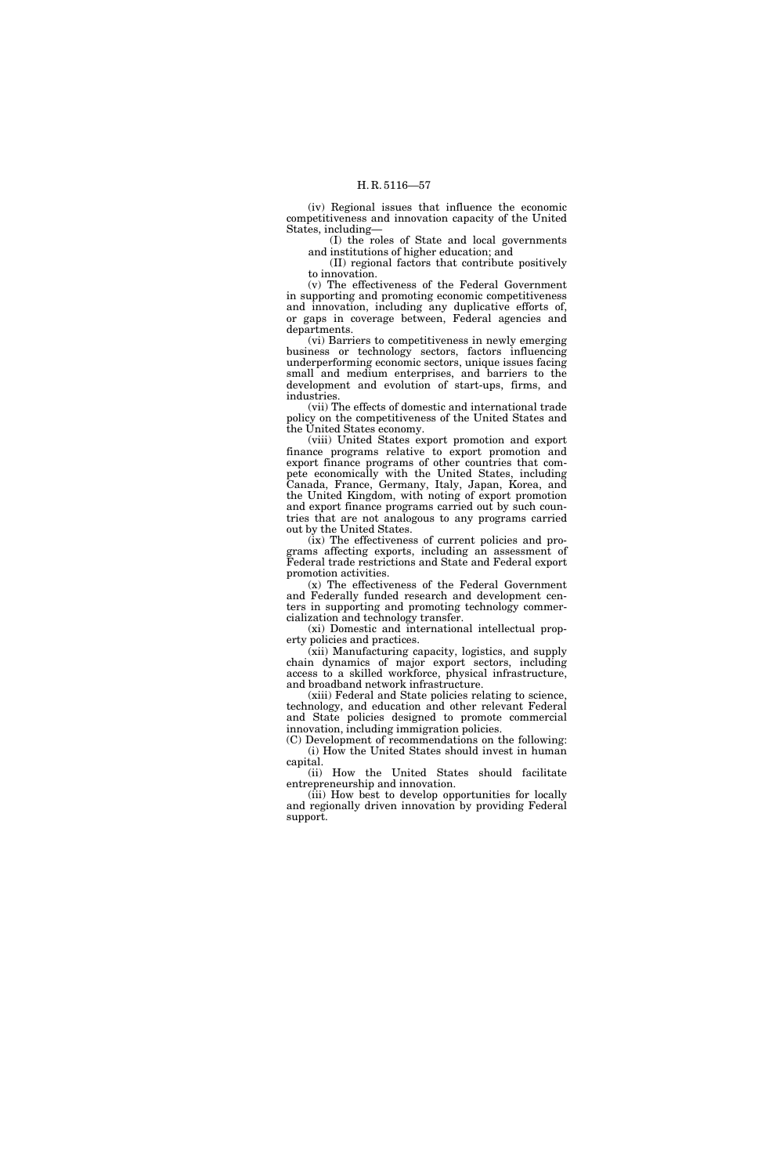(iv) Regional issues that influence the economic competitiveness and innovation capacity of the United States, including—

(I) the roles of State and local governments and institutions of higher education; and

(II) regional factors that contribute positively to innovation.

(v) The effectiveness of the Federal Government in supporting and promoting economic competitiveness and innovation, including any duplicative efforts of, or gaps in coverage between, Federal agencies and departments.

(vi) Barriers to competitiveness in newly emerging business or technology sectors, factors influencing underperforming economic sectors, unique issues facing small and medium enterprises, and barriers to the development and evolution of start-ups, firms, and industries.

(vii) The effects of domestic and international trade policy on the competitiveness of the United States and the United States economy.

(viii) United States export promotion and export finance programs relative to export promotion and export finance programs of other countries that compete economically with the United States, including Canada, France, Germany, Italy, Japan, Korea, and the United Kingdom, with noting of export promotion and export finance programs carried out by such countries that are not analogous to any programs carried out by the United States.

(ix) The effectiveness of current policies and programs affecting exports, including an assessment of Federal trade restrictions and State and Federal export promotion activities.

(x) The effectiveness of the Federal Government and Federally funded research and development centers in supporting and promoting technology commercialization and technology transfer.

(xi) Domestic and international intellectual property policies and practices.

(xii) Manufacturing capacity, logistics, and supply chain dynamics of major export sectors, including access to a skilled workforce, physical infrastructure, and broadband network infrastructure.

(xiii) Federal and State policies relating to science, technology, and education and other relevant Federal and State policies designed to promote commercial innovation, including immigration policies.

(C) Development of recommendations on the following: (i) How the United States should invest in human capital.

(ii) How the United States should facilitate entrepreneurship and innovation.

(iii) How best to develop opportunities for locally and regionally driven innovation by providing Federal support.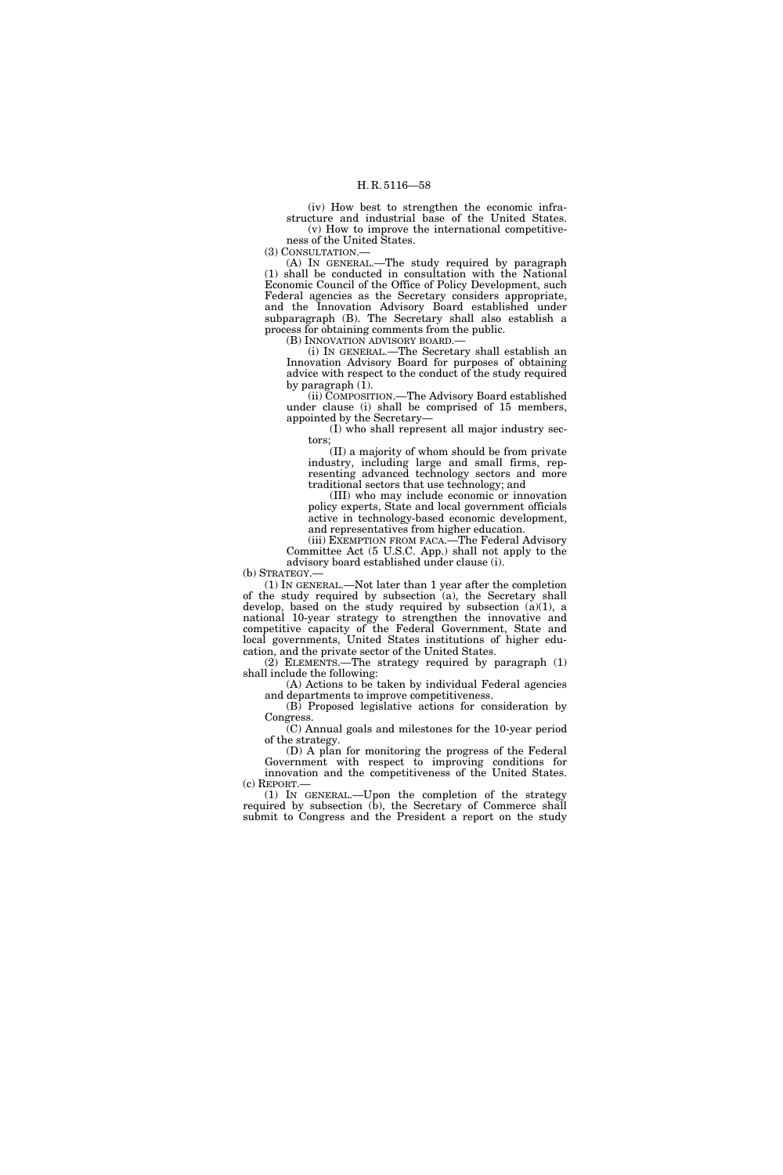(iv) How best to strengthen the economic infrastructure and industrial base of the United States. (v) How to improve the international competitive-

ness of the United States. (3) CONSULTATION.—

(A) IN GENERAL.—The study required by paragraph (1) shall be conducted in consultation with the National Economic Council of the Office of Policy Development, such Federal agencies as the Secretary considers appropriate, and the Innovation Advisory Board established under subparagraph (B). The Secretary shall also establish a process for obtaining comments from the public.

(B) INNOVATION ADVISORY BOARD.—

(i) IN GENERAL.—The Secretary shall establish an Innovation Advisory Board for purposes of obtaining advice with respect to the conduct of the study required by paragraph (1).

(ii) COMPOSITION.—The Advisory Board established under clause (i) shall be comprised of 15 members, appointed by the Secretary—

(I) who shall represent all major industry sectors;

(II) a majority of whom should be from private industry, including large and small firms, representing advanced technology sectors and more traditional sectors that use technology; and

(III) who may include economic or innovation policy experts, State and local government officials active in technology-based economic development, and representatives from higher education.

(iii) EXEMPTION FROM FACA.—The Federal Advisory Committee Act (5 U.S.C. App.) shall not apply to the advisory board established under clause (i).

(b) STRATEGY.

(1) IN GENERAL.—Not later than 1 year after the completion of the study required by subsection (a), the Secretary shall develop, based on the study required by subsection (a)(1), a national 10-year strategy to strengthen the innovative and competitive capacity of the Federal Government, State and local governments, United States institutions of higher education, and the private sector of the United States.

(2) ELEMENTS.—The strategy required by paragraph (1) shall include the following:

(A) Actions to be taken by individual Federal agencies and departments to improve competitiveness.

(B) Proposed legislative actions for consideration by Congress.

(C) Annual goals and milestones for the 10-year period of the strategy.

(D) A plan for monitoring the progress of the Federal Government with respect to improving conditions for innovation and the competitiveness of the United States. (c) REPORT.—

(1) IN GENERAL.—Upon the completion of the strategy required by subsection (b), the Secretary of Commerce shall submit to Congress and the President a report on the study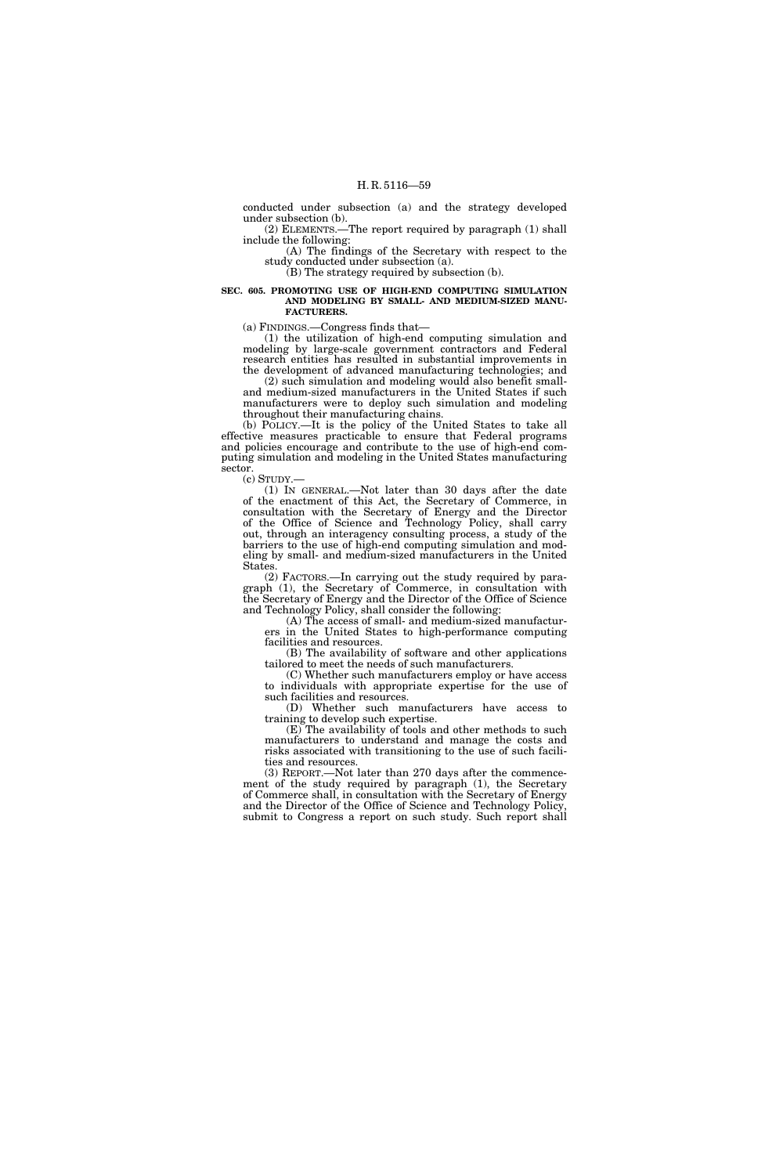conducted under subsection (a) and the strategy developed under subsection (b).

(2) ELEMENTS.—The report required by paragraph (1) shall include the following:

(A) The findings of the Secretary with respect to the study conducted under subsection (a). (B) The strategy required by subsection (b).

#### **SEC. 605. PROMOTING USE OF HIGH-END COMPUTING SIMULATION AND MODELING BY SMALL- AND MEDIUM-SIZED MANU-FACTURERS.**

(a) FINDINGS.—Congress finds that—

(1) the utilization of high-end computing simulation and modeling by large-scale government contractors and Federal research entities has resulted in substantial improvements in the development of advanced manufacturing technologies; and

(2) such simulation and modeling would also benefit smalland medium-sized manufacturers in the United States if such manufacturers were to deploy such simulation and modeling throughout their manufacturing chains.

(b) POLICY.—It is the policy of the United States to take all effective measures practicable to ensure that Federal programs and policies encourage and contribute to the use of high-end computing simulation and modeling in the United States manufacturing sector.

(c) STUDY.—

(1) IN GENERAL.—Not later than 30 days after the date of the enactment of this Act, the Secretary of Commerce, in consultation with the Secretary of Energy and the Director of the Office of Science and Technology Policy, shall carry out, through an interagency consulting process, a study of the barriers to the use of high-end computing simulation and modeling by small- and medium-sized manufacturers in the United States.

(2) FACTORS.—In carrying out the study required by paragraph (1), the Secretary of Commerce, in consultation with the Secretary of Energy and the Director of the Office of Science and Technology Policy, shall consider the following:

(A) The access of small- and medium-sized manufacturers in the United States to high-performance computing facilities and resources.

(B) The availability of software and other applications tailored to meet the needs of such manufacturers.

(C) Whether such manufacturers employ or have access to individuals with appropriate expertise for the use of such facilities and resources.

(D) Whether such manufacturers have access to training to develop such expertise.

(E) The availability of tools and other methods to such manufacturers to understand and manage the costs and risks associated with transitioning to the use of such facilities and resources.

(3) REPORT.—Not later than 270 days after the commencement of the study required by paragraph (1), the Secretary of Commerce shall, in consultation with the Secretary of Energy and the Director of the Office of Science and Technology Policy, submit to Congress a report on such study. Such report shall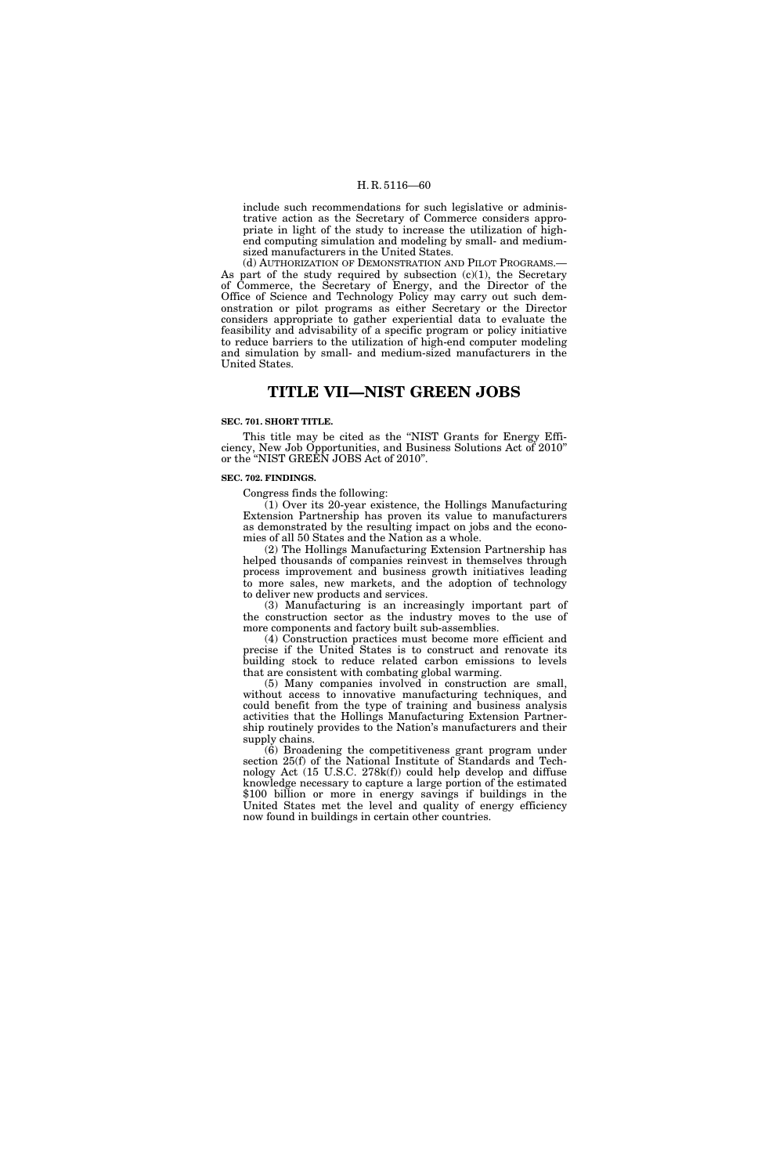include such recommendations for such legislative or administrative action as the Secretary of Commerce considers appropriate in light of the study to increase the utilization of highend computing simulation and modeling by small- and mediumsized manufacturers in the United States.

(d) AUTHORIZATION OF DEMONSTRATION AND PILOT PROGRAMS.— As part of the study required by subsection  $(c)(1)$ , the Secretary of Commerce, the Secretary of Energy, and the Director of the Office of Science and Technology Policy may carry out such demonstration or pilot programs as either Secretary or the Director considers appropriate to gather experiential data to evaluate the feasibility and advisability of a specific program or policy initiative to reduce barriers to the utilization of high-end computer modeling and simulation by small- and medium-sized manufacturers in the United States.

### **TITLE VII—NIST GREEN JOBS**

#### **SEC. 701. SHORT TITLE.**

This title may be cited as the ''NIST Grants for Energy Efficiency, New Job Opportunities, and Business Solutions Act of 2010'' or the ''NIST GREEN JOBS Act of 2010''.

#### **SEC. 702. FINDINGS.**

Congress finds the following:

(1) Over its 20-year existence, the Hollings Manufacturing Extension Partnership has proven its value to manufacturers as demonstrated by the resulting impact on jobs and the economies of all 50 States and the Nation as a whole.

(2) The Hollings Manufacturing Extension Partnership has helped thousands of companies reinvest in themselves through process improvement and business growth initiatives leading to more sales, new markets, and the adoption of technology to deliver new products and services.

(3) Manufacturing is an increasingly important part of the construction sector as the industry moves to the use of more components and factory built sub-assemblies.

(4) Construction practices must become more efficient and precise if the United States is to construct and renovate its building stock to reduce related carbon emissions to levels that are consistent with combating global warming.

(5) Many companies involved in construction are small, without access to innovative manufacturing techniques, and could benefit from the type of training and business analysis activities that the Hollings Manufacturing Extension Partnership routinely provides to the Nation's manufacturers and their supply chains.

(6) Broadening the competitiveness grant program under section 25(f) of the National Institute of Standards and Technology Act (15 U.S.C. 278k(f)) could help develop and diffuse knowledge necessary to capture a large portion of the estimated \$100 billion or more in energy savings if buildings in the United States met the level and quality of energy efficiency now found in buildings in certain other countries.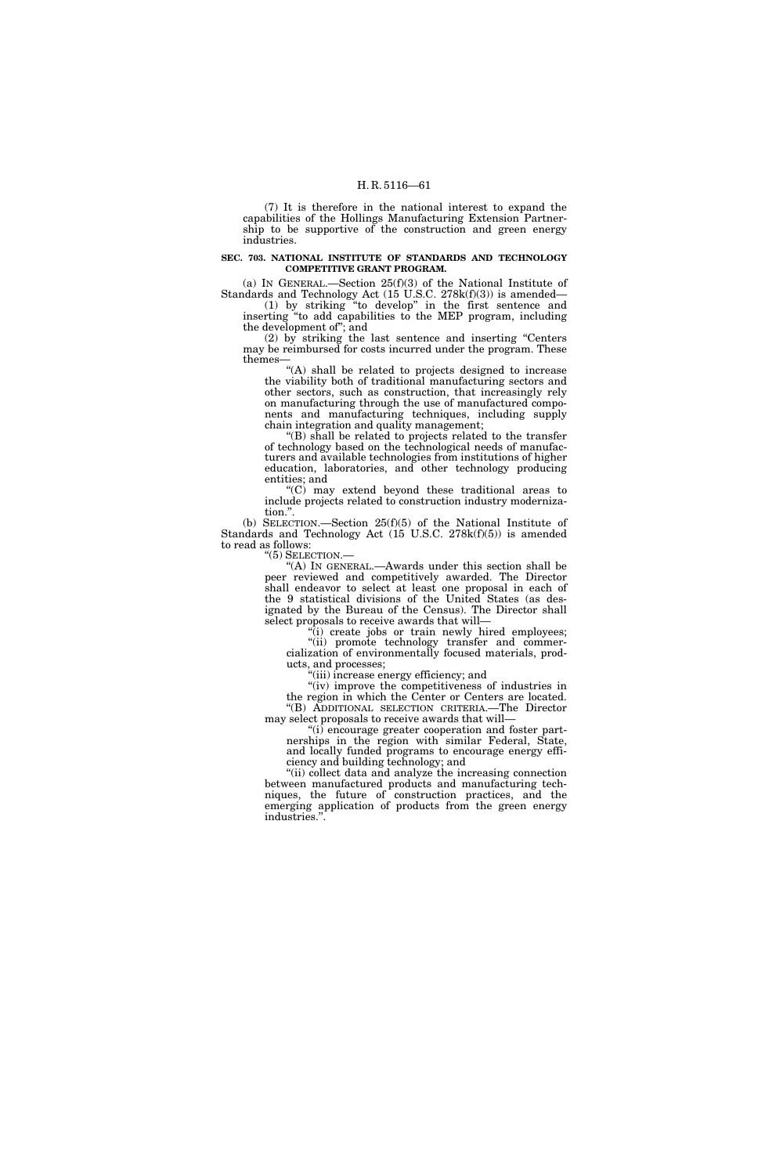(7) It is therefore in the national interest to expand the capabilities of the Hollings Manufacturing Extension Partnership to be supportive of the construction and green energy industries.

#### **SEC. 703. NATIONAL INSTITUTE OF STANDARDS AND TECHNOLOGY COMPETITIVE GRANT PROGRAM.**

(a) IN GENERAL.—Section 25(f)(3) of the National Institute of Standards and Technology Act (15 U.S.C. 278k(f)(3)) is amended— (1) by striking ''to develop'' in the first sentence and

inserting ''to add capabilities to the MEP program, including the development of''; and

(2) by striking the last sentence and inserting ''Centers may be reimbursed for costs incurred under the program. These themes—

"(A) shall be related to projects designed to increase the viability both of traditional manufacturing sectors and other sectors, such as construction, that increasingly rely on manufacturing through the use of manufactured components and manufacturing techniques, including supply chain integration and quality management;

(B) shall be related to projects related to the transfer of technology based on the technological needs of manufacturers and available technologies from institutions of higher education, laboratories, and other technology producing entities; and

 $(C)$  may extend beyond these traditional areas to include projects related to construction industry modernization.''.

(b) SELECTION.—Section 25(f)(5) of the National Institute of Standards and Technology Act (15 U.S.C. 278k(f)(5)) is amended to read as follows:<br>"(5) SELECTION.—

"(A) In GENERAL.—Awards under this section shall be peer reviewed and competitively awarded. The Director shall endeavor to select at least one proposal in each of the 9 statistical divisions of the United States (as designated by the Bureau of the Census). The Director shall select proposals to receive awards that will—

"(i) create jobs or train newly hired employees; ''(ii) promote technology transfer and commercialization of environmentally focused materials, products, and processes;

''(iii) increase energy efficiency; and

"(iv) improve the competitiveness of industries in the region in which the Center or Centers are located. ''(B) ADDITIONAL SELECTION CRITERIA.—The Director may select proposals to receive awards that will—

''(i) encourage greater cooperation and foster partnerships in the region with similar Federal, State, and locally funded programs to encourage energy efficiency and building technology; and

"(ii) collect data and analyze the increasing connection between manufactured products and manufacturing techniques, the future of construction practices, and the emerging application of products from the green energy industries.''.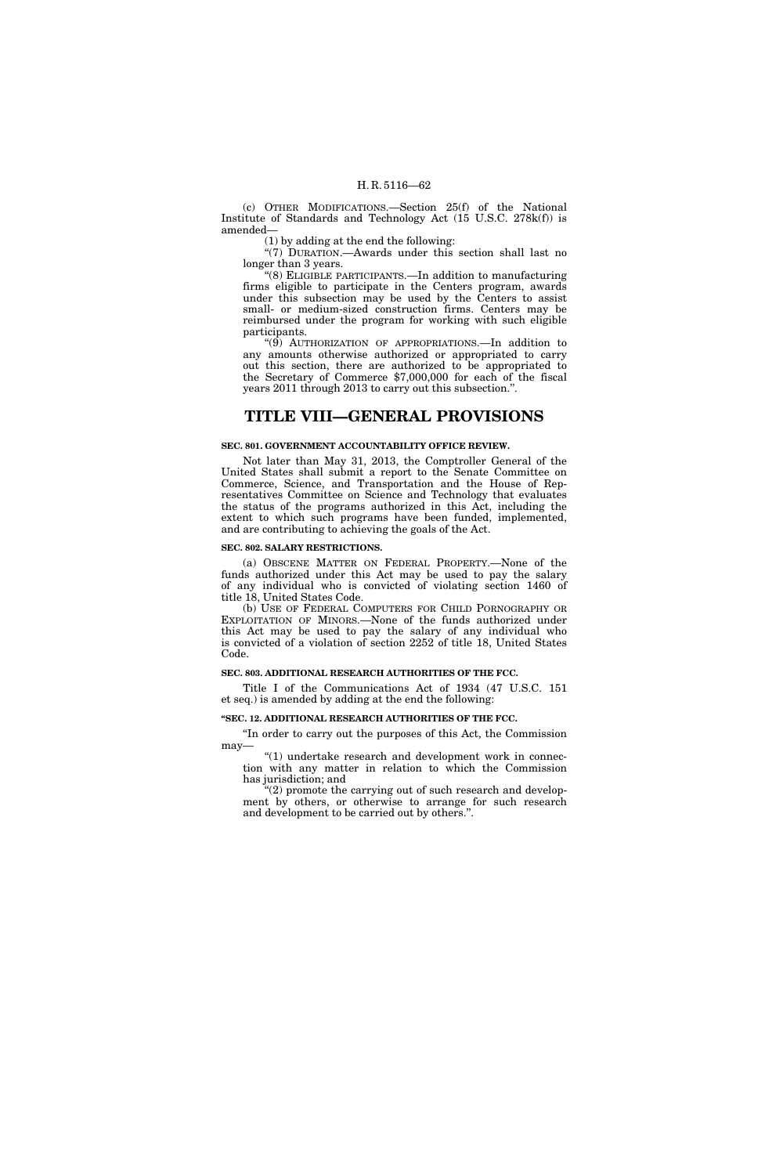(c) OTHER MODIFICATIONS.—Section 25(f) of the National Institute of Standards and Technology Act (15 U.S.C. 278k(f)) is amended—

(1) by adding at the end the following:

"(7) DURATION.—Awards under this section shall last no longer than 3 years.

''(8) ELIGIBLE PARTICIPANTS.—In addition to manufacturing firms eligible to participate in the Centers program, awards under this subsection may be used by the Centers to assist small- or medium-sized construction firms. Centers may be reimbursed under the program for working with such eligible participants.

''(9) AUTHORIZATION OF APPROPRIATIONS.—In addition to any amounts otherwise authorized or appropriated to carry out this section, there are authorized to be appropriated to the Secretary of Commerce \$7,000,000 for each of the fiscal years 2011 through 2013 to carry out this subsection.''.

### **TITLE VIII—GENERAL PROVISIONS**

#### **SEC. 801. GOVERNMENT ACCOUNTABILITY OFFICE REVIEW.**

Not later than May 31, 2013, the Comptroller General of the United States shall submit a report to the Senate Committee on Commerce, Science, and Transportation and the House of Representatives Committee on Science and Technology that evaluates the status of the programs authorized in this Act, including the extent to which such programs have been funded, implemented, and are contributing to achieving the goals of the Act.

#### **SEC. 802. SALARY RESTRICTIONS.**

(a) OBSCENE MATTER ON FEDERAL PROPERTY.—None of the funds authorized under this Act may be used to pay the salary of any individual who is convicted of violating section 1460 of title 18, United States Code.

(b) USE OF FEDERAL COMPUTERS FOR CHILD PORNOGRAPHY OR EXPLOITATION OF MINORS.—None of the funds authorized under this Act may be used to pay the salary of any individual who is convicted of a violation of section 2252 of title 18, United States Code.

#### **SEC. 803. ADDITIONAL RESEARCH AUTHORITIES OF THE FCC.**

Title I of the Communications Act of 1934 (47 U.S.C. 151 et seq.) is amended by adding at the end the following:

#### **''SEC. 12. ADDITIONAL RESEARCH AUTHORITIES OF THE FCC.**

''In order to carry out the purposes of this Act, the Commission may—

"(1) undertake research and development work in connection with any matter in relation to which the Commission has jurisdiction; and

 $(2)$  promote the carrying out of such research and development by others, or otherwise to arrange for such research and development to be carried out by others.''.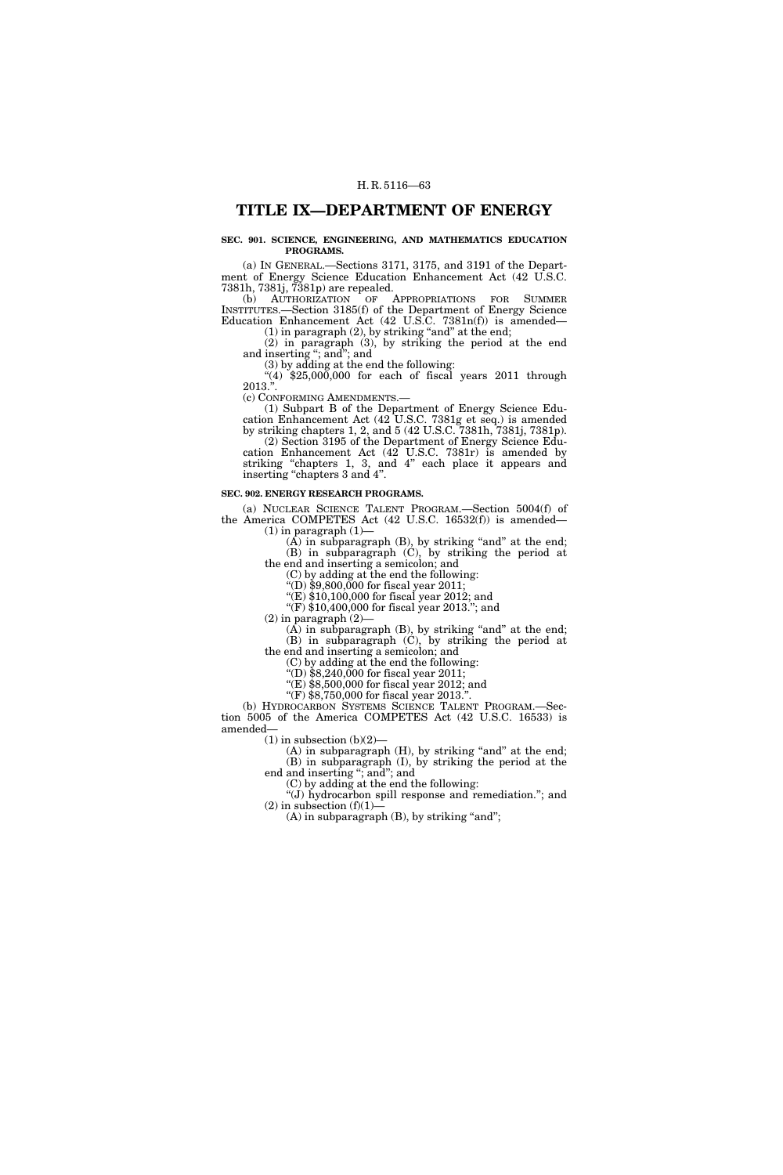### **TITLE IX—DEPARTMENT OF ENERGY**

#### **SEC. 901. SCIENCE, ENGINEERING, AND MATHEMATICS EDUCATION PROGRAMS.**

(a) IN GENERAL.—Sections 3171, 3175, and 3191 of the Department of Energy Science Education Enhancement Act (42 U.S.C. 7381h, 7381j, 7381p) are repealed.

(b) AUTHORIZATION OF APPROPRIATIONS FOR SUMMER INSTITUTES.—Section 3185(f) of the Department of Energy Science Education Enhancement Act (42 U.S.C. 7381n(f)) is amended—  $(1)$  in paragraph  $(2)$ , by striking "and" at the end;

(2) in paragraph (3), by striking the period at the end and inserting ''; and''; and

(3) by adding at the end the following:

 $*(4)$  \$25,000,000 for each of fiscal years 2011 through  $2013.$ ".

(c) CONFORMING AMENDMENTS.—

(1) Subpart B of the Department of Energy Science Education Enhancement Act (42 U.S.C. 7381g et seq.) is amended by striking chapters 1, 2, and 5 (42 U.S.C. 7381h, 7381j, 7381p).

(2) Section 3195 of the Department of Energy Science Education Enhancement Act (42 U.S.C. 7381r) is amended by striking "chapters 1, 3, and 4" each place it appears and inserting "chapters 3 and 4".

#### **SEC. 902. ENERGY RESEARCH PROGRAMS.**

(a) NUCLEAR SCIENCE TALENT PROGRAM.—Section 5004(f) of the America COMPETES Act (42 U.S.C. 16532(f)) is amended—  $(1)$  in paragraph  $(1)$ 

 $(A)$  in subparagraph  $(B)$ , by striking "and" at the end; (B) in subparagraph (C), by striking the period at

the end and inserting a semicolon; and

(C) by adding at the end the following:

''(D) \$9,800,000 for fiscal year 2011;

''(E) \$10,100,000 for fiscal year 2012; and

"(F)  $\overline{$10,400,000}$  for fiscal year 2013."; and

 $(2)$  in paragraph  $(2)$ 

 $(A)$  in subparagraph  $(B)$ , by striking "and" at the end; (B) in subparagraph (C), by striking the period at the end and inserting a semicolon; and

(C) by adding at the end the following:

''(D) \$8,240,000 for fiscal year 2011;

 $\sqrt{\text{E}}$ ) \$8,500,000 for fiscal year 2012; and

"(F)  $$8,750,000$  for fiscal year 2013.".

(b) HYDROCARBON SYSTEMS SCIENCE TALENT PROGRAM.—Section 5005 of the America COMPETES Act (42 U.S.C. 16533) is amended—

 $(1)$  in subsection  $(b)(2)$ —

 $(A)$  in subparagraph  $(H)$ , by striking "and" at the end; (B) in subparagraph (I), by striking the period at the end and inserting "; and"; and

(C) by adding at the end the following:

''(J) hydrocarbon spill response and remediation.''; and  $(2)$  in subsection  $(f)(1)$ 

 $(A)$  in subparagraph  $(B)$ , by striking "and";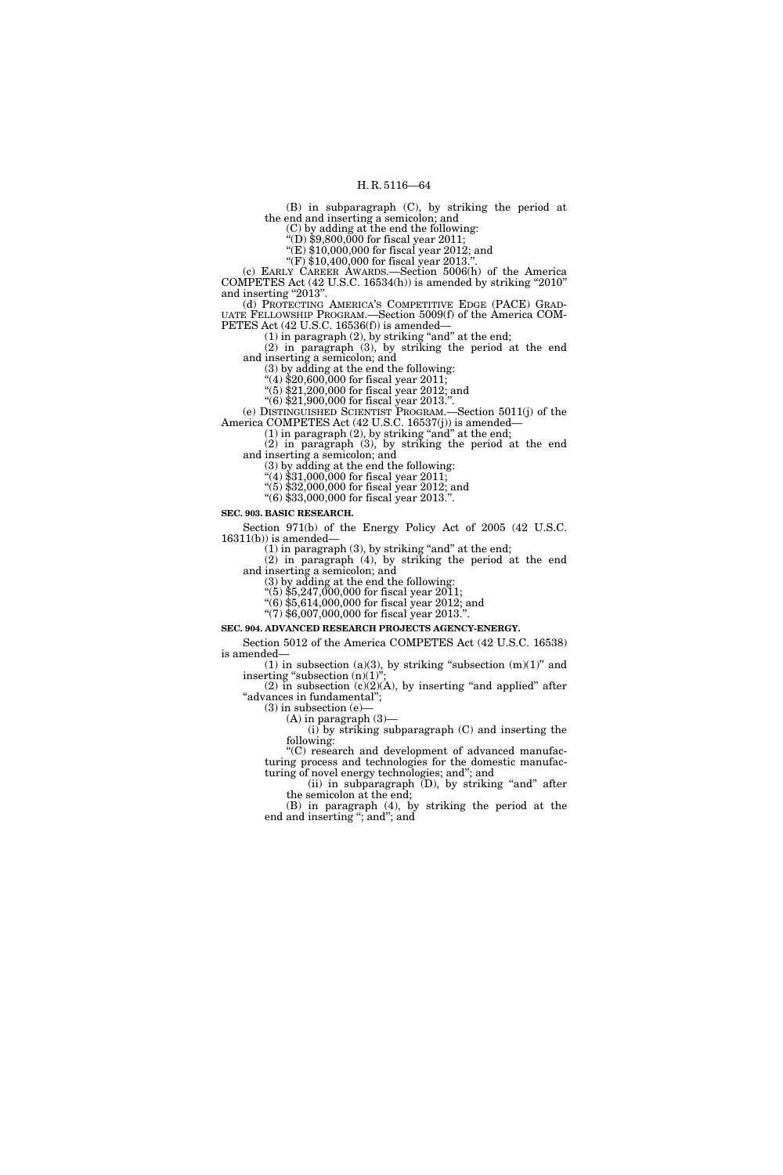(B) in subparagraph (C), by striking the period at the end and inserting a semicolon; and

(C) by adding at the end the following:

''(D) \$9,800,000 for fiscal year 2011;  $E(E)$  \$10,000,000 for fiscal year 2012; and

''(F) \$10,400,000 for fiscal year 2013.''.

(c) EARLY CAREER AWARDS.—Section 5006(h) of the America COMPETES Act (42 U.S.C. 16534(h)) is amended by striking ''2010'' and inserting "2013".

(d) PROTECTING AMERICA'S COMPETITIVE EDGE (PACE) GRAD- UATE FELLOWSHIP PROGRAM.—Section 5009(f) of the America COM-PETES Act (42 U.S.C. 16536(f)) is amended—

 $(1)$  in paragraph  $(2)$ , by striking "and" at the end;

(2) in paragraph (3), by striking the period at the end and inserting a semicolon; and

(3) by adding at the end the following:

''(4) \$20,600,000 for fiscal year 2011;

''(5) \$21,200,000 for fiscal year 2012; and ''(6) \$21,900,000 for fiscal year 2013.''.

(e) DISTINGUISHED SCIENTIST PROGRAM.—Section 5011(j) of the America COMPETES Act (42 U.S.C. 16537(j)) is amended—

 $(1)$  in paragraph  $(2)$ , by striking "and" at the end;

(2) in paragraph (3), by striking the period at the end and inserting a semicolon; and

(3) by adding at the end the following:

''(4) \$31,000,000 for fiscal year 2011;

''(5) \$32,000,000 for fiscal year 2012; and ''(6) \$33,000,000 for fiscal year 2013.''.

**SEC. 903. BASIC RESEARCH.** 

Section 971(b) of the Energy Policy Act of 2005 (42 U.S.C.  $16311(b)$ ) is amended-

 $(1)$  in paragraph  $(3)$ , by striking "and" at the end;

(2) in paragraph (4), by striking the period at the end and inserting a semicolon; and

(3) by adding at the end the following:

''(5) \$5,247,000,000 for fiscal year 2011;

''(6) \$5,614,000,000 for fiscal year 2012; and  $(7)$  \$6,007,000,000 for fiscal year 2013.".

**SEC. 904. ADVANCED RESEARCH PROJECTS AGENCY-ENERGY.** 

Section 5012 of the America COMPETES Act (42 U.S.C. 16538) is amended—

(1) in subsection (a)(3), by striking "subsection  $(m)(1)$ " and inserting "subsection  $(n)(1)$ ";

(2) in subsection  $(c)(2)(A)$ , by inserting "and applied" after "advances in fundamental";

 $(3)$  in subsection  $(e)$ -

(A) in paragraph (3)—

(i) by striking subparagraph (C) and inserting the following: ''(C) research and development of advanced manufac-

turing process and technologies for the domestic manufacturing of novel energy technologies; and''; and

(ii) in subparagraph  $(D)$ , by striking "and" after the semicolon at the end;

(B) in paragraph (4), by striking the period at the end and inserting ''; and''; and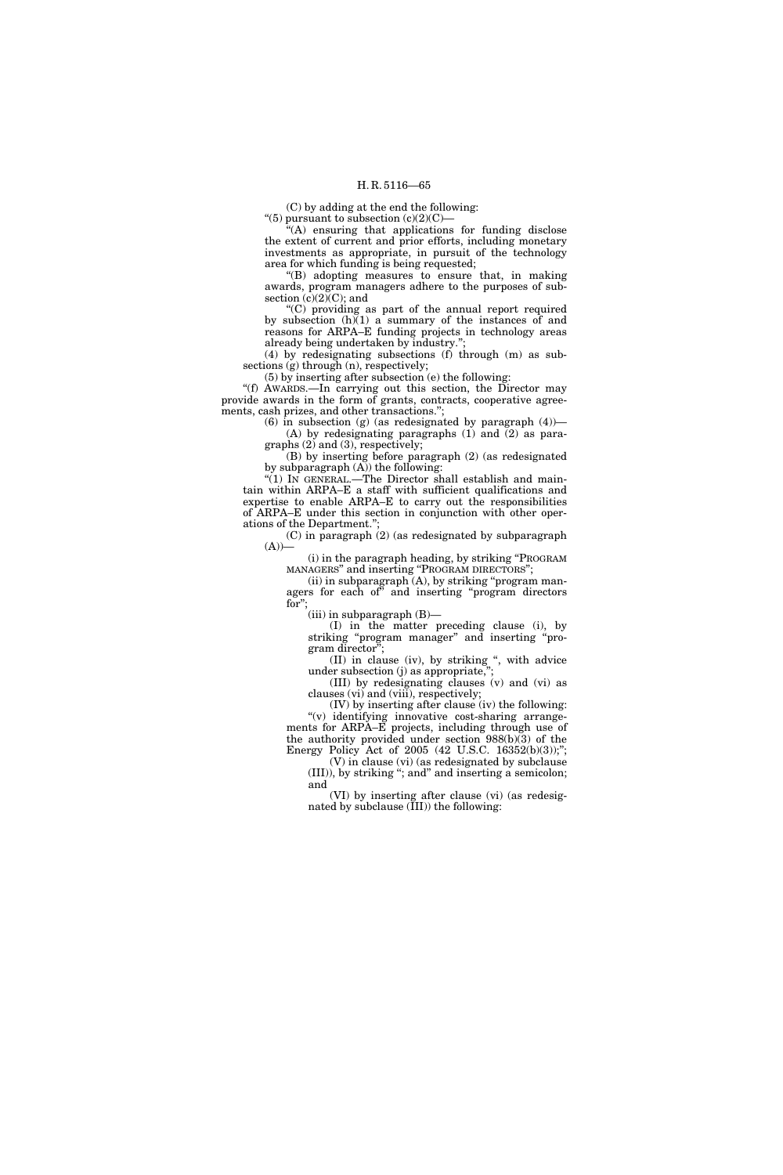(C) by adding at the end the following:

"(5) pursuant to subsection  $(c)(2)(C)$ -

'(A) ensuring that applications for funding disclose the extent of current and prior efforts, including monetary investments as appropriate, in pursuit of the technology area for which funding is being requested;

''(B) adopting measures to ensure that, in making awards, program managers adhere to the purposes of subsection  $(c)(2)(C)$ ; and

''(C) providing as part of the annual report required by subsection  $(h)(1)$  a summary of the instances of and reasons for ARPA–E funding projects in technology areas already being undertaken by industry.'';

(4) by redesignating subsections (f) through (m) as subsections (g) through (n), respectively;

(5) by inserting after subsection (e) the following:

''(f) AWARDS.—In carrying out this section, the Director may provide awards in the form of grants, contracts, cooperative agreements, cash prizes, and other transactions.";

(6) in subsection (g) (as redesignated by paragraph  $(4)$ )-(A) by redesignating paragraphs (1) and (2) as paragraphs (2) and (3), respectively;

(B) by inserting before paragraph (2) (as redesignated by subparagraph  $(A)$ ) the following:

"(1) IN GENERAL.—The Director shall establish and maintain within ARPA–E a staff with sufficient qualifications and expertise to enable ARPA–E to carry out the responsibilities of ARPA–E under this section in conjunction with other operations of the Department.'';

(C) in paragraph (2) (as redesignated by subparagraph  $(A)$ )

(i) in the paragraph heading, by striking ''PROGRAM MANAGERS'' and inserting ''PROGRAM DIRECTORS'';

(ii) in subparagraph  $(A)$ , by striking "program managers for each of'' and inserting ''program directors for'';

(iii) in subparagraph (B)—

(I) in the matter preceding clause (i), by striking ''program manager'' and inserting ''program director'';

(II) in clause (iv), by striking ", with advice under subsection  $(j)$  as appropriate,

(III) by redesignating clauses (v) and (vi) as clauses (vi) and (viii), respectively;

(IV) by inserting after clause (iv) the following: ''(v) identifying innovative cost-sharing arrangements for ARPA–E projects, including through use of the authority provided under section 988(b)(3) of the Energy Policy Act of 2005 (42 U.S.C. 16352(b)(3));";

(V) in clause (vi) (as redesignated by subclause (III)), by striking ''; and'' and inserting a semicolon; and

(VI) by inserting after clause (vi) (as redesignated by subclause (III)) the following: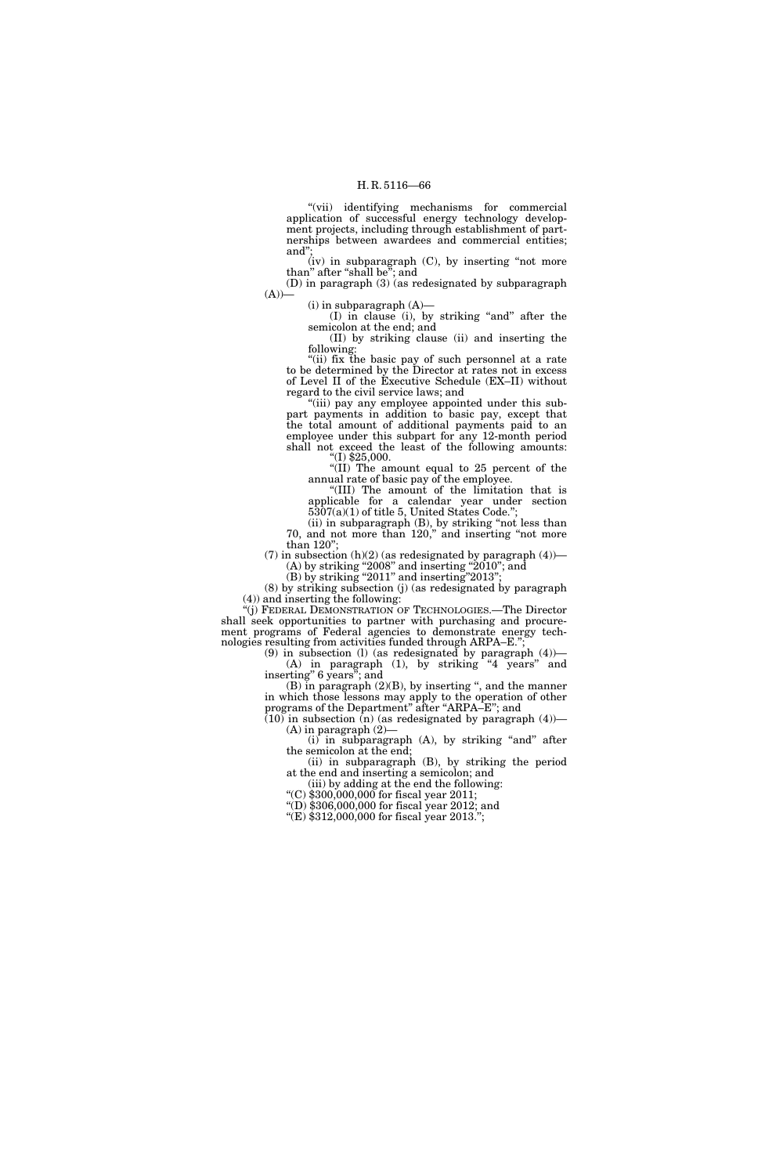''(vii) identifying mechanisms for commercial application of successful energy technology development projects, including through establishment of partnerships between awardees and commercial entities; and'';

 $(iv)$  in subparagraph  $(C)$ , by inserting "not more than'' after ''shall be''; and

(D) in paragraph (3) (as redesignated by subparagraph  $(A)$ —

 $(i)$  in subparagraph  $(A)$ —

(I) in clause (i), by striking ''and'' after the semicolon at the end; and

(II) by striking clause (ii) and inserting the following:

"(ii) fix the basic pay of such personnel at a rate to be determined by the Director at rates not in excess of Level II of the Executive Schedule (EX–II) without regard to the civil service laws; and

''(iii) pay any employee appointed under this subpart payments in addition to basic pay, except that the total amount of additional payments paid to an employee under this subpart for any 12-month period shall not exceed the least of the following amounts:  $\degree$ (I) \$25,000.

''(II) The amount equal to 25 percent of the annual rate of basic pay of the employee.

''(III) The amount of the limitation that is applicable for a calendar year under section 5307(a)(1) of title 5, United States Code.'';

(ii) in subparagraph (B), by striking ''not less than 70, and not more than 120,'' and inserting ''not more than 120'';

(7) in subsection  $(h)(2)$  (as redesignated by paragraph  $(4)$ )—  $(A)$  by striking "2008" and inserting "2010"; and

 $(B)$  by striking "2011" and inserting "2013";

(8) by striking subsection (j) (as redesignated by paragraph (4)) and inserting the following:

''(j) FEDERAL DEMONSTRATION OF TECHNOLOGIES.—The Director shall seek opportunities to partner with purchasing and procurement programs of Federal agencies to demonstrate energy technologies resulting from activities funded through ARPA–E."

(9) in subsection (l) (as redesignated by paragraph (4))— (A) in paragraph (1), by striking ''4 years'' and inserting'' 6 years''; and

(B) in paragraph (2)(B), by inserting ", and the manner in which those lessons may apply to the operation of other programs of the Department'' after ''ARPA–E''; and

 $(10)$  in subsection  $(n)$  (as redesignated by paragraph  $(4)$ )—  $(A)$  in paragraph  $(2)$ 

 $(i)$  in subparagraph  $(A)$ , by striking "and" after the semicolon at the end;

(ii) in subparagraph (B), by striking the period at the end and inserting a semicolon; and

(iii) by adding at the end the following: ''(C) \$300,000,000 for fiscal year 2011;

''(D) \$306,000,000 for fiscal year 2012; and

''(E) \$312,000,000 for fiscal year 2013.'';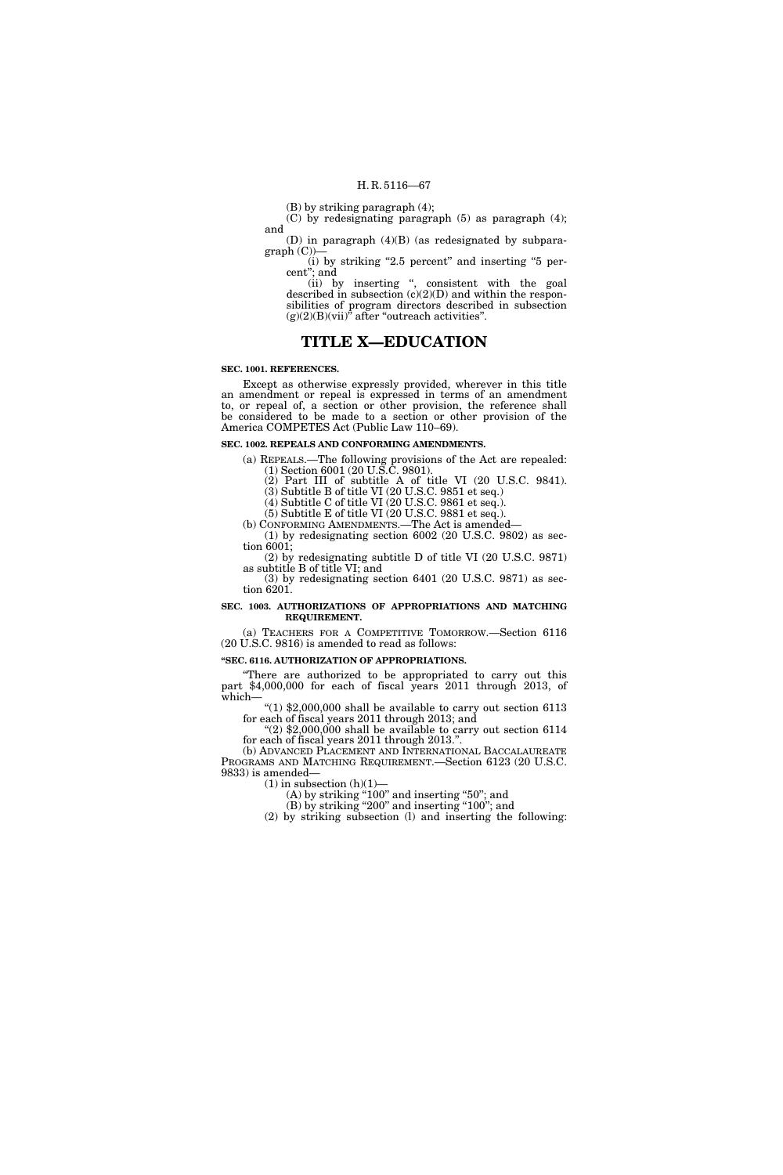(B) by striking paragraph (4);

(C) by redesignating paragraph (5) as paragraph (4); and

(D) in paragraph (4)(B) (as redesignated by subparagraph (C))

(i) by striking "2.5 percent" and inserting "5 percent''; and

(ii) by inserting '', consistent with the goal described in subsection (c)(2)(D) and within the responsibilities of program directors described in subsection  $(g)(2)(B)(vii)$ " after "outreach activities".

### **TITLE X—EDUCATION**

#### **SEC. 1001. REFERENCES.**

Except as otherwise expressly provided, wherever in this title an amendment or repeal is expressed in terms of an amendment to, or repeal of, a section or other provision, the reference shall be considered to be made to a section or other provision of the America COMPETES Act (Public Law 110–69).

#### **SEC. 1002. REPEALS AND CONFORMING AMENDMENTS.**

(a) REPEALS.—The following provisions of the Act are repealed: (1) Section 6001 (20 U.S.C. 9801).

(2) Part III of subtitle A of title VI (20 U.S.C. 9841). (3) Subtitle B of title VI (20 U.S.C. 9851 et seq.)

(4) Subtitle C of title VI (20 U.S.C. 9861 et seq.).

(5) Subtitle E of title VI (20 U.S.C. 9881 et seq.).

(b) CONFORMING AMENDMENTS.—The Act is amended— (1) by redesignating section 6002 (20 U.S.C. 9802) as sec-

tion 6001; (2) by redesignating subtitle D of title VI (20 U.S.C. 9871)

as subtitle B of title VI; and (3) by redesignating section 6401 (20 U.S.C. 9871) as section 6201.

#### **SEC. 1003. AUTHORIZATIONS OF APPROPRIATIONS AND MATCHING REQUIREMENT.**

(a) TEACHERS FOR A COMPETITIVE TOMORROW.—Section 6116 (20 U.S.C. 9816) is amended to read as follows:

#### **''SEC. 6116. AUTHORIZATION OF APPROPRIATIONS.**

''There are authorized to be appropriated to carry out this part \$4,000,000 for each of fiscal years 2011 through 2013, of which—

" $(1)$  \$2,000,000 shall be available to carry out section 6113 for each of fiscal years 2011 through 2013; and

" $(2)$  \$2,000,000 shall be available to carry out section 6114 for each of fiscal years 2011 through 2013.''.

(b) ADVANCED PLACEMENT AND INTERNATIONAL BACCALAUREATE PROGRAMS AND MATCHING REQUIREMENT.—Section 6123 (20 U.S.C. 9833) is amended—

 $(1)$  in subsection  $(h)(1)$ –

 $(A)$  by striking "100" and inserting "50"; and

(B) by striking "200" and inserting "100"; and (2) by striking subsection (l) and inserting the following: